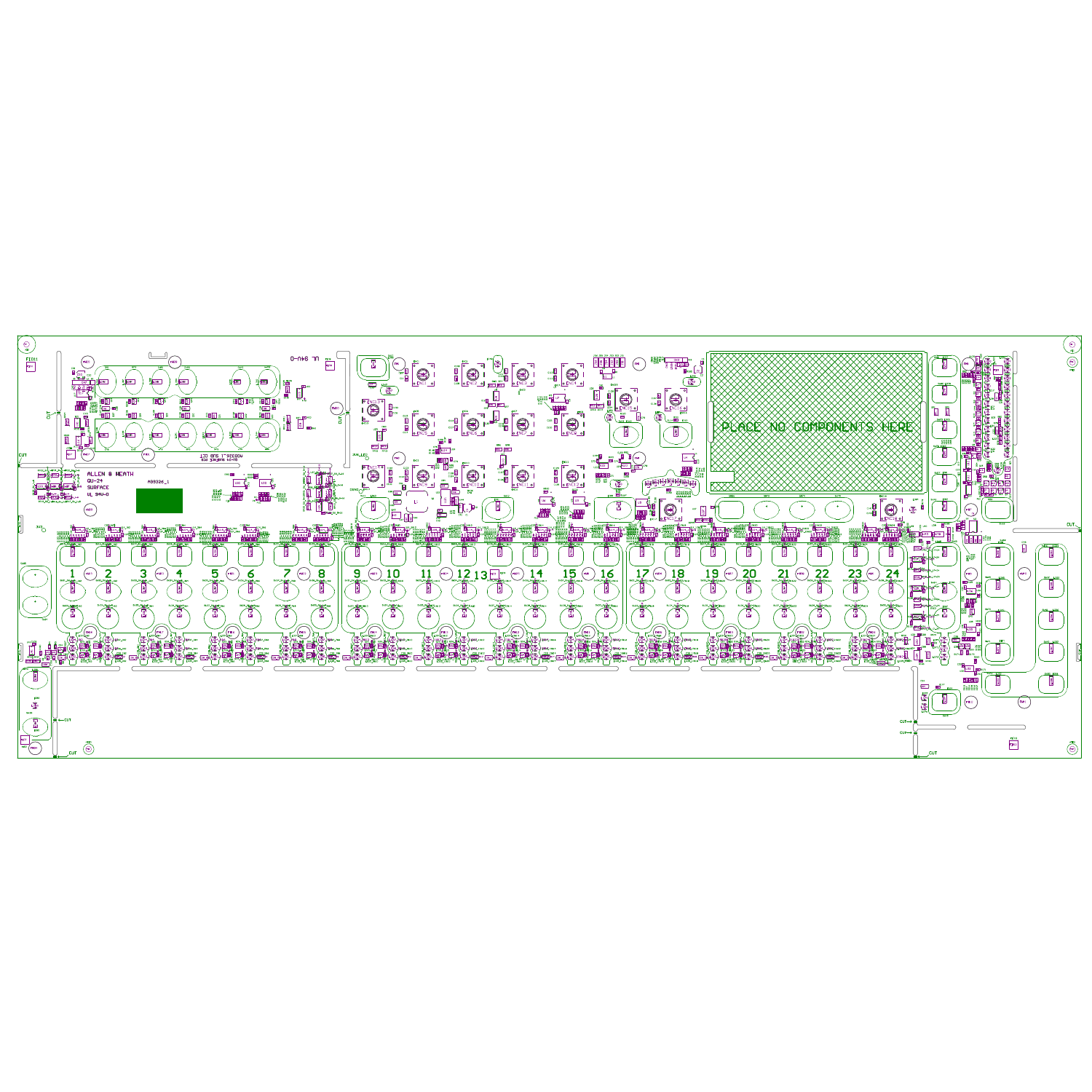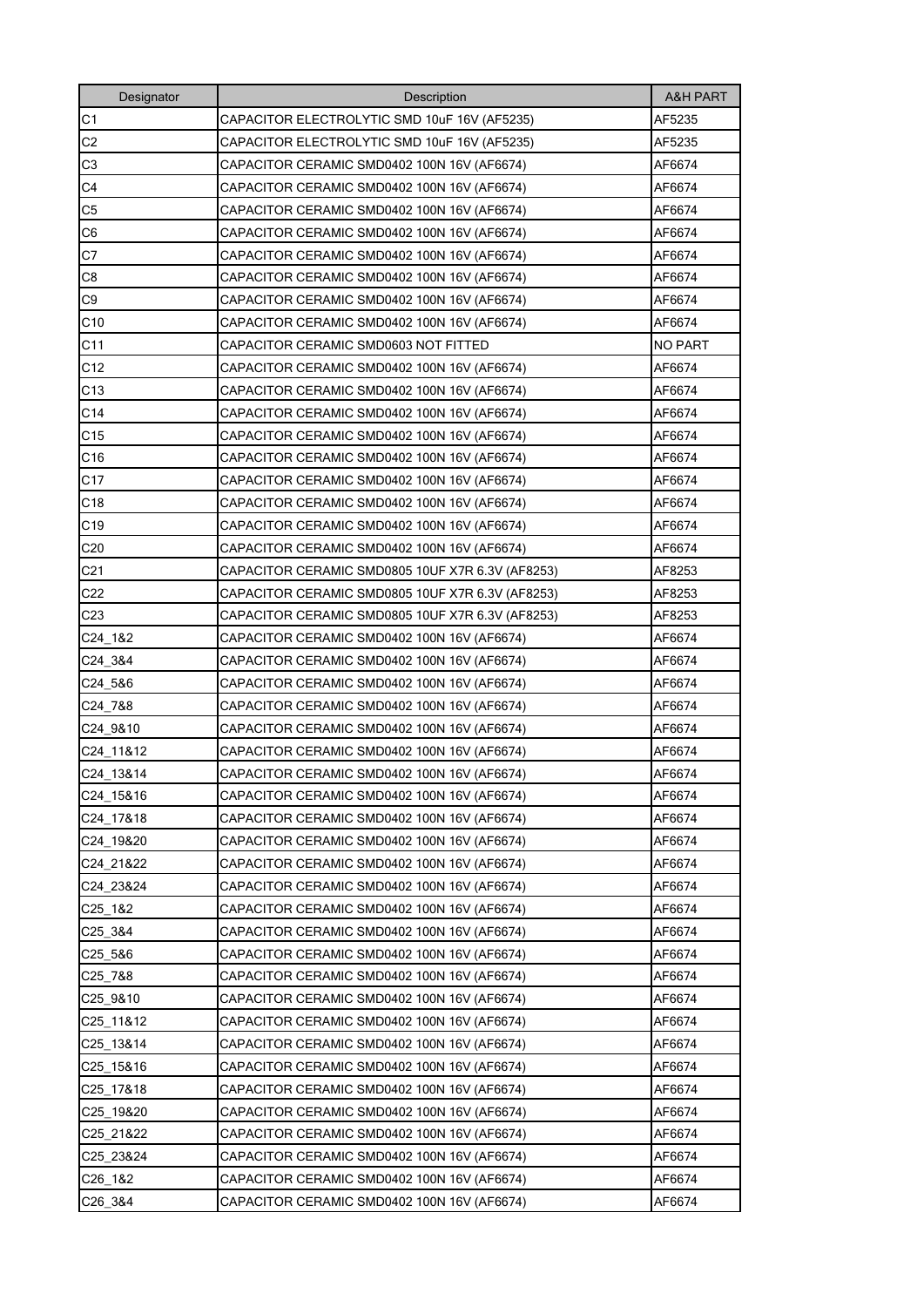| Designator                        | Description                                      | <b>A&amp;H PART</b> |
|-----------------------------------|--------------------------------------------------|---------------------|
| C1                                | CAPACITOR ELECTROLYTIC SMD 10uF 16V (AF5235)     | AF5235              |
| C <sub>2</sub>                    | CAPACITOR ELECTROLYTIC SMD 10uF 16V (AF5235)     | AF5235              |
| C <sub>3</sub>                    | CAPACITOR CERAMIC SMD0402 100N 16V (AF6674)      | AF6674              |
| C <sub>4</sub>                    | CAPACITOR CERAMIC SMD0402 100N 16V (AF6674)      | AF6674              |
| C <sub>5</sub>                    | CAPACITOR CERAMIC SMD0402 100N 16V (AF6674)      | AF6674              |
| C <sub>6</sub>                    | CAPACITOR CERAMIC SMD0402 100N 16V (AF6674)      | AF6674              |
| C7                                | CAPACITOR CERAMIC SMD0402 100N 16V (AF6674)      | AF6674              |
| C8                                | CAPACITOR CERAMIC SMD0402 100N 16V (AF6674)      | AF6674              |
| C <sub>9</sub>                    | CAPACITOR CERAMIC SMD0402 100N 16V (AF6674)      | AF6674              |
| C10                               | CAPACITOR CERAMIC SMD0402 100N 16V (AF6674)      | AF6674              |
| C11                               | CAPACITOR CERAMIC SMD0603 NOT FITTED             | NO PART             |
| C <sub>12</sub>                   | CAPACITOR CERAMIC SMD0402 100N 16V (AF6674)      | AF6674              |
| C13                               | CAPACITOR CERAMIC SMD0402 100N 16V (AF6674)      | AF6674              |
| C <sub>14</sub>                   | CAPACITOR CERAMIC SMD0402 100N 16V (AF6674)      | AF6674              |
| C15                               | CAPACITOR CERAMIC SMD0402 100N 16V (AF6674)      | AF6674              |
| C16                               | CAPACITOR CERAMIC SMD0402 100N 16V (AF6674)      | AF6674              |
| C17                               | CAPACITOR CERAMIC SMD0402 100N 16V (AF6674)      | AF6674              |
| C18                               | CAPACITOR CERAMIC SMD0402 100N 16V (AF6674)      | AF6674              |
| C <sub>19</sub>                   | CAPACITOR CERAMIC SMD0402 100N 16V (AF6674)      | AF6674              |
| C <sub>20</sub>                   | CAPACITOR CERAMIC SMD0402 100N 16V (AF6674)      | AF6674              |
| C <sub>21</sub>                   | CAPACITOR CERAMIC SMD0805 10UF X7R 6.3V (AF8253) | AF8253              |
| C22                               | CAPACITOR CERAMIC SMD0805 10UF X7R 6.3V (AF8253) | AF8253              |
| C <sub>23</sub>                   | CAPACITOR CERAMIC SMD0805 10UF X7R 6.3V (AF8253) | AF8253              |
| C24 1&2                           | CAPACITOR CERAMIC SMD0402 100N 16V (AF6674)      | AF6674              |
| C <sub>24</sub> 3&4               | CAPACITOR CERAMIC SMD0402 100N 16V (AF6674)      | AF6674              |
| C24_5&6                           | CAPACITOR CERAMIC SMD0402 100N 16V (AF6674)      | AF6674              |
| C24_7&8                           | CAPACITOR CERAMIC SMD0402 100N 16V (AF6674)      | AF6674              |
| C24_9&10                          | CAPACITOR CERAMIC SMD0402 100N 16V (AF6674)      | AF6674              |
| C24_11&12                         | CAPACITOR CERAMIC SMD0402 100N 16V (AF6674)      | AF6674              |
| C24 13&14                         | CAPACITOR CERAMIC SMD0402 100N 16V (AF6674)      | AF6674              |
| C24 15&16                         | CAPACITOR CERAMIC SMD0402 100N 16V (AF6674)      | AF6674              |
| C24 17&18                         | CAPACITOR CERAMIC SMD0402 100N 16V (AF6674)      | AF6674              |
| C24 19&20                         | CAPACITOR CERAMIC SMD0402 100N 16V (AF6674)      | AF6674              |
| C24 21&22                         | CAPACITOR CERAMIC SMD0402 100N 16V (AF6674)      | AF6674              |
| C24 23&24                         | CAPACITOR CERAMIC SMD0402 100N 16V (AF6674)      | AF6674              |
| C <sub>25</sub> 1& <sub>2</sub>   | CAPACITOR CERAMIC SMD0402 100N 16V (AF6674)      | AF6674              |
| C25 3&4                           | CAPACITOR CERAMIC SMD0402 100N 16V (AF6674)      | AF6674              |
| C25 5&6                           | CAPACITOR CERAMIC SMD0402 100N 16V (AF6674)      | AF6674              |
| C25 7&8                           | CAPACITOR CERAMIC SMD0402 100N 16V (AF6674)      | AF6674              |
| C25 9&10                          | CAPACITOR CERAMIC SMD0402 100N 16V (AF6674)      | AF6674              |
| C25_11&12                         | CAPACITOR CERAMIC SMD0402 100N 16V (AF6674)      | AF6674              |
| C25 13&14                         | CAPACITOR CERAMIC SMD0402 100N 16V (AF6674)      | AF6674              |
| C <sub>25</sub> 15&16             | CAPACITOR CERAMIC SMD0402 100N 16V (AF6674)      | AF6674              |
| C25 17&18                         | CAPACITOR CERAMIC SMD0402 100N 16V (AF6674)      | AF6674              |
| C25_19&20                         | CAPACITOR CERAMIC SMD0402 100N 16V (AF6674)      | AF6674              |
| C <sub>25</sub> 21& <sub>22</sub> | CAPACITOR CERAMIC SMD0402 100N 16V (AF6674)      | AF6674              |
| C25 23&24                         | CAPACITOR CERAMIC SMD0402 100N 16V (AF6674)      | AF6674              |
| C26_1&2                           | CAPACITOR CERAMIC SMD0402 100N 16V (AF6674)      | AF6674              |
| C <sub>26</sub> 3&4               | CAPACITOR CERAMIC SMD0402 100N 16V (AF6674)      | AF6674              |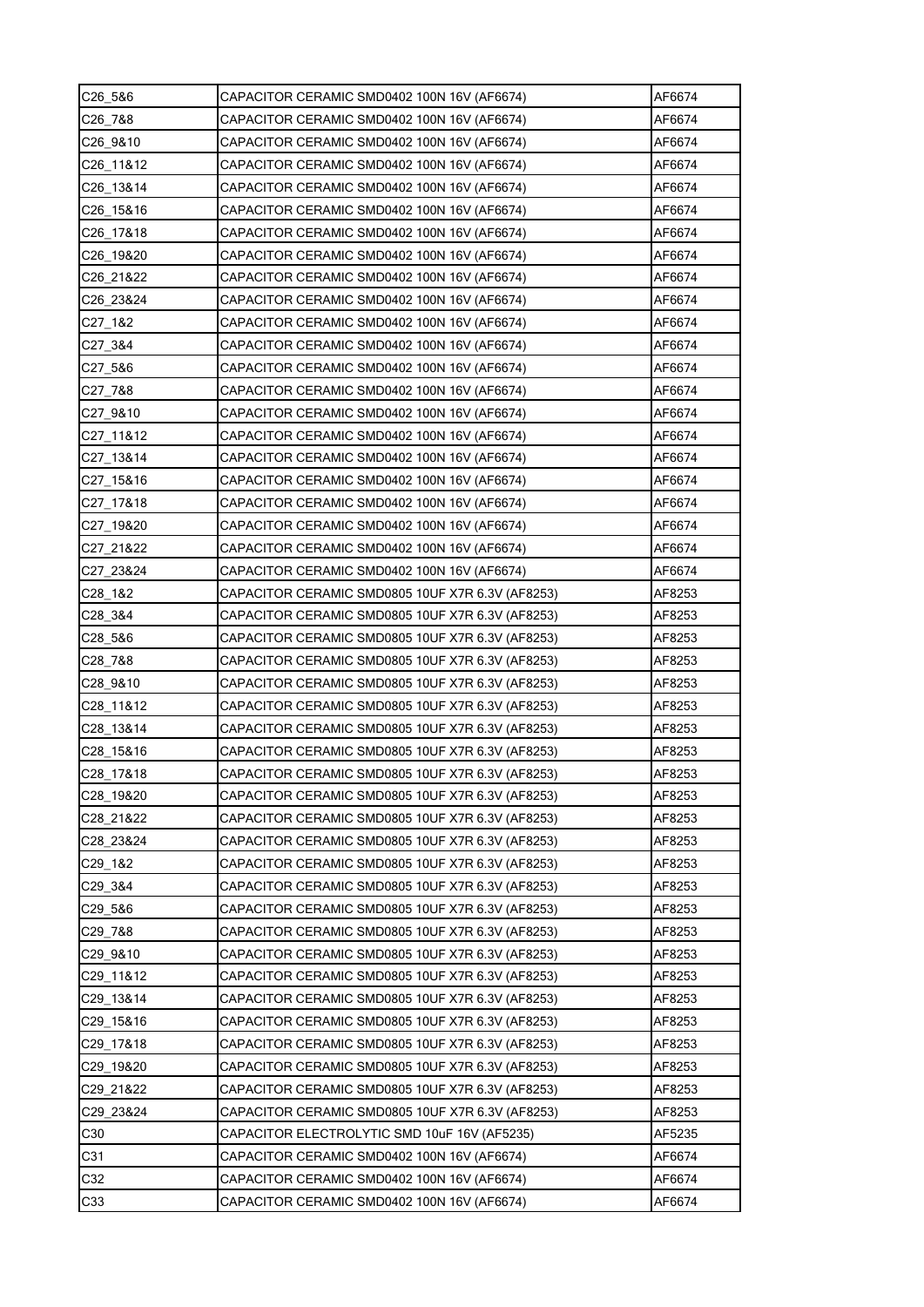| C26_5&6                           | CAPACITOR CERAMIC SMD0402 100N 16V (AF6674)      | AF6674 |
|-----------------------------------|--------------------------------------------------|--------|
| C26 7&8                           | CAPACITOR CERAMIC SMD0402 100N 16V (AF6674)      | AF6674 |
| C <sub>26</sub> 9&10              | CAPACITOR CERAMIC SMD0402 100N 16V (AF6674)      | AF6674 |
| C26_11&12                         | CAPACITOR CERAMIC SMD0402 100N 16V (AF6674)      | AF6674 |
| C <sub>26</sub> 13&14             | CAPACITOR CERAMIC SMD0402 100N 16V (AF6674)      | AF6674 |
| C <sub>26</sub> 15&16             | CAPACITOR CERAMIC SMD0402 100N 16V (AF6674)      | AF6674 |
| C <sub>26</sub> 17&18             | CAPACITOR CERAMIC SMD0402 100N 16V (AF6674)      | AF6674 |
| C <sub>26</sub> 19& <sub>20</sub> | CAPACITOR CERAMIC SMD0402 100N 16V (AF6674)      | AF6674 |
| C26_21&22                         | CAPACITOR CERAMIC SMD0402 100N 16V (AF6674)      | AF6674 |
| C26_23&24                         | CAPACITOR CERAMIC SMD0402 100N 16V (AF6674)      | AF6674 |
| C27_1&2                           | CAPACITOR CERAMIC SMD0402 100N 16V (AF6674)      | AF6674 |
| C27_3&4                           | CAPACITOR CERAMIC SMD0402 100N 16V (AF6674)      | AF6674 |
| C27_5&6                           | CAPACITOR CERAMIC SMD0402 100N 16V (AF6674)      | AF6674 |
| C27 7&8                           | CAPACITOR CERAMIC SMD0402 100N 16V (AF6674)      | AF6674 |
| C27_9&10                          | CAPACITOR CERAMIC SMD0402 100N 16V (AF6674)      | AF6674 |
| C27_11&12                         | CAPACITOR CERAMIC SMD0402 100N 16V (AF6674)      | AF6674 |
| C27 13&14                         | CAPACITOR CERAMIC SMD0402 100N 16V (AF6674)      | AF6674 |
| C27 15&16                         | CAPACITOR CERAMIC SMD0402 100N 16V (AF6674)      | AF6674 |
| C27_17&18                         | CAPACITOR CERAMIC SMD0402 100N 16V (AF6674)      | AF6674 |
| C27_19&20                         | CAPACITOR CERAMIC SMD0402 100N 16V (AF6674)      | AF6674 |
| C27 21&22                         | CAPACITOR CERAMIC SMD0402 100N 16V (AF6674)      | AF6674 |
| C27 23&24                         | CAPACITOR CERAMIC SMD0402 100N 16V (AF6674)      | AF6674 |
| C28_1&2                           | CAPACITOR CERAMIC SMD0805 10UF X7R 6.3V (AF8253) | AF8253 |
| C28 3&4                           | CAPACITOR CERAMIC SMD0805 10UF X7R 6.3V (AF8253) | AF8253 |
| C <sub>28</sub> 5&6               | CAPACITOR CERAMIC SMD0805 10UF X7R 6.3V (AF8253) | AF8253 |
| C28 7&8                           | CAPACITOR CERAMIC SMD0805 10UF X7R 6.3V (AF8253) | AF8253 |
| C28 9&10                          | CAPACITOR CERAMIC SMD0805 10UF X7R 6.3V (AF8253) | AF8253 |
| C28 11&12                         | CAPACITOR CERAMIC SMD0805 10UF X7R 6.3V (AF8253) | AF8253 |
| C28 13&14                         | CAPACITOR CERAMIC SMD0805 10UF X7R 6.3V (AF8253) | AF8253 |
| C28_15&16                         | CAPACITOR CERAMIC SMD0805 10UF X7R 6.3V (AF8253) | AF8253 |
| C28 17&18                         | CAPACITOR CERAMIC SMD0805 10UF X7R 6.3V (AF8253) | AF8253 |
| C28 19&20                         | CAPACITOR CERAMIC SMD0805 10UF X7R 6.3V (AF8253) | AF8253 |
| C28 21&22                         | CAPACITOR CERAMIC SMD0805 10UF X7R 6.3V (AF8253) | AF8253 |
| C28 23&24                         | CAPACITOR CERAMIC SMD0805 10UF X7R 6.3V (AF8253) | AF8253 |
| C29_1&2                           | CAPACITOR CERAMIC SMD0805 10UF X7R 6.3V (AF8253) | AF8253 |
| C29_3&4                           | CAPACITOR CERAMIC SMD0805 10UF X7R 6.3V (AF8253) | AF8253 |
| C <sub>29</sub> 5&6               | CAPACITOR CERAMIC SMD0805 10UF X7R 6.3V (AF8253) | AF8253 |
| C29 7&8                           | CAPACITOR CERAMIC SMD0805 10UF X7R 6.3V (AF8253) | AF8253 |
| C29 9&10                          | CAPACITOR CERAMIC SMD0805 10UF X7R 6.3V (AF8253) | AF8253 |
| C29 11&12                         | CAPACITOR CERAMIC SMD0805 10UF X7R 6.3V (AF8253) | AF8253 |
| C29 13&14                         | CAPACITOR CERAMIC SMD0805 10UF X7R 6.3V (AF8253) | AF8253 |
| C29 15&16                         | CAPACITOR CERAMIC SMD0805 10UF X7R 6.3V (AF8253) | AF8253 |
| C29 17&18                         | CAPACITOR CERAMIC SMD0805 10UF X7R 6.3V (AF8253) | AF8253 |
| C29 19&20                         | CAPACITOR CERAMIC SMD0805 10UF X7R 6.3V (AF8253) | AF8253 |
| C29 21&22                         | CAPACITOR CERAMIC SMD0805 10UF X7R 6.3V (AF8253) | AF8253 |
| C29 23&24                         | CAPACITOR CERAMIC SMD0805 10UF X7R 6.3V (AF8253) | AF8253 |
| C <sub>30</sub>                   | CAPACITOR ELECTROLYTIC SMD 10uF 16V (AF5235)     | AF5235 |
| C31                               | CAPACITOR CERAMIC SMD0402 100N 16V (AF6674)      | AF6674 |
| C32                               | CAPACITOR CERAMIC SMD0402 100N 16V (AF6674)      | AF6674 |
| C <sub>33</sub>                   | CAPACITOR CERAMIC SMD0402 100N 16V (AF6674)      | AF6674 |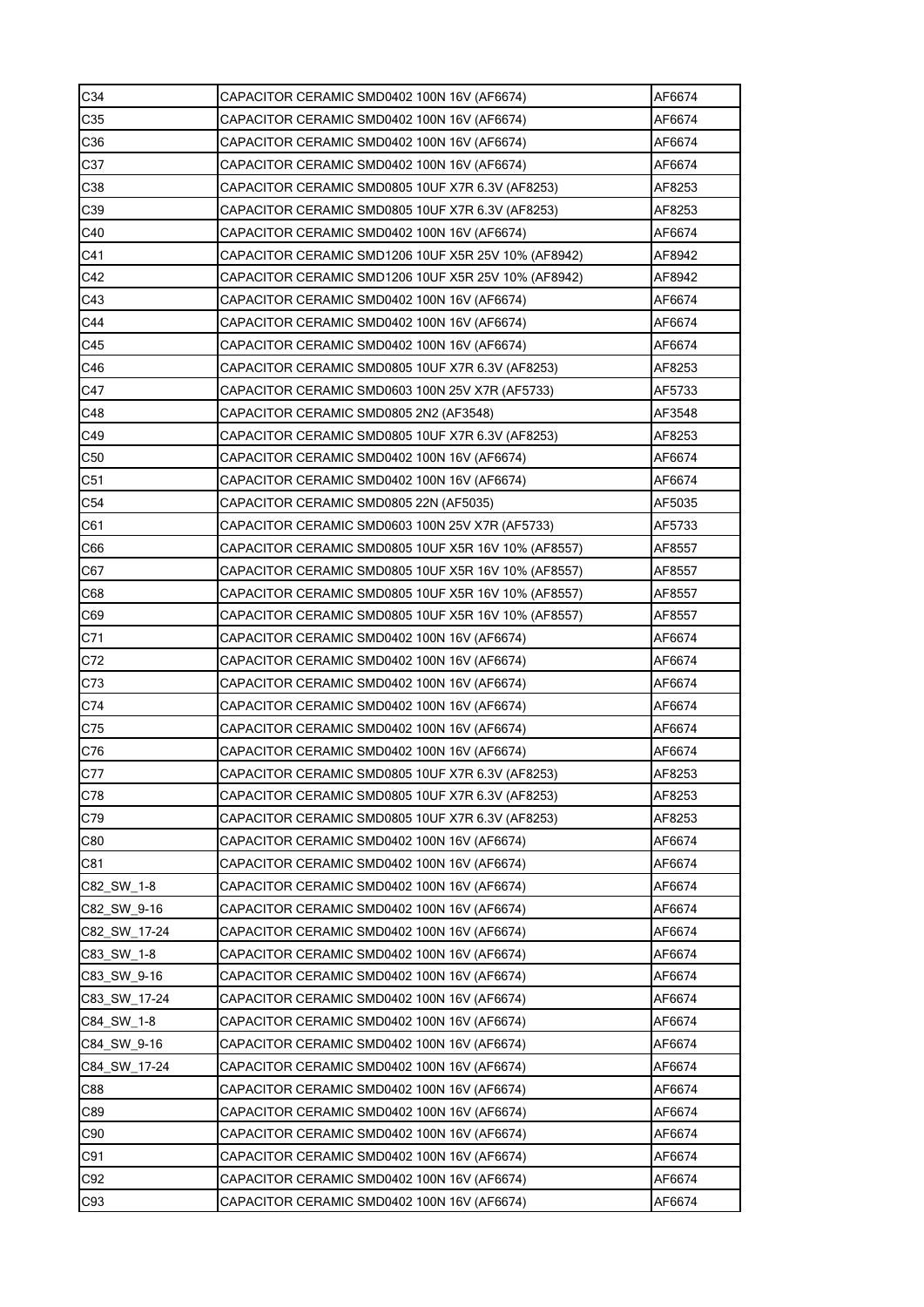| C34             | CAPACITOR CERAMIC SMD0402 100N 16V (AF6674)                                                | AF6674 |
|-----------------|--------------------------------------------------------------------------------------------|--------|
| C35             | CAPACITOR CERAMIC SMD0402 100N 16V (AF6674)                                                | AF6674 |
| C36             | CAPACITOR CERAMIC SMD0402 100N 16V (AF6674)                                                | AF6674 |
| C37             | CAPACITOR CERAMIC SMD0402 100N 16V (AF6674)                                                | AF6674 |
| C38             | CAPACITOR CERAMIC SMD0805 10UF X7R 6.3V (AF8253)                                           | AF8253 |
| C39             | CAPACITOR CERAMIC SMD0805 10UF X7R 6.3V (AF8253)                                           | AF8253 |
| C40             | CAPACITOR CERAMIC SMD0402 100N 16V (AF6674)                                                | AF6674 |
| C41             | CAPACITOR CERAMIC SMD1206 10UF X5R 25V 10% (AF8942)                                        | AF8942 |
| C42             | CAPACITOR CERAMIC SMD1206 10UF X5R 25V 10% (AF8942)                                        | AF8942 |
| C43             | CAPACITOR CERAMIC SMD0402 100N 16V (AF6674)                                                | AF6674 |
| C44             | CAPACITOR CERAMIC SMD0402 100N 16V (AF6674)                                                | AF6674 |
| C45             | CAPACITOR CERAMIC SMD0402 100N 16V (AF6674)                                                | AF6674 |
| C46             | CAPACITOR CERAMIC SMD0805 10UF X7R 6.3V (AF8253)                                           | AF8253 |
| C47             | CAPACITOR CERAMIC SMD0603 100N 25V X7R (AF5733)                                            | AF5733 |
| C48             | CAPACITOR CERAMIC SMD0805 2N2 (AF3548)                                                     | AF3548 |
| C49             | CAPACITOR CERAMIC SMD0805 10UF X7R 6.3V (AF8253)                                           | AF8253 |
| C <sub>50</sub> | CAPACITOR CERAMIC SMD0402 100N 16V (AF6674)                                                | AF6674 |
| C <sub>51</sub> | CAPACITOR CERAMIC SMD0402 100N 16V (AF6674)                                                | AF6674 |
| C <sub>54</sub> | CAPACITOR CERAMIC SMD0805 22N (AF5035)                                                     | AF5035 |
| C61             | CAPACITOR CERAMIC SMD0603 100N 25V X7R (AF5733)                                            | AF5733 |
| C66             | CAPACITOR CERAMIC SMD0805 10UF X5R 16V 10% (AF8557)                                        | AF8557 |
| C67             | CAPACITOR CERAMIC SMD0805 10UF X5R 16V 10% (AF8557)                                        | AF8557 |
| C68             | CAPACITOR CERAMIC SMD0805 10UF X5R 16V 10% (AF8557)                                        | AF8557 |
| C69             | CAPACITOR CERAMIC SMD0805 10UF X5R 16V 10% (AF8557)                                        | AF8557 |
| C71             |                                                                                            |        |
|                 | CAPACITOR CERAMIC SMD0402 100N 16V (AF6674)                                                | AF6674 |
| C72             | CAPACITOR CERAMIC SMD0402 100N 16V (AF6674)                                                | AF6674 |
| C73             | CAPACITOR CERAMIC SMD0402 100N 16V (AF6674)<br>CAPACITOR CERAMIC SMD0402 100N 16V (AF6674) | AF6674 |
| C74             |                                                                                            | AF6674 |
| C75             | CAPACITOR CERAMIC SMD0402 100N 16V (AF6674)                                                | AF6674 |
| C76             | CAPACITOR CERAMIC SMD0402 100N 16V (AF6674)                                                | AF6674 |
| C77             | CAPACITOR CERAMIC SMD0805 10UF X7R 6.3V (AF8253)                                           | AF8253 |
| C78             | CAPACITOR CERAMIC SMD0805 10UF X7R 6.3V (AF8253)                                           | AF8253 |
| C79             | CAPACITOR CERAMIC SMD0805 10UF X7R 6.3V (AF8253)                                           | AF8253 |
| C80             | CAPACITOR CERAMIC SMD0402 100N 16V (AF6674)                                                | AF6674 |
| C81             | CAPACITOR CERAMIC SMD0402 100N 16V (AF6674)                                                | AF6674 |
| C82 SW 1-8      | CAPACITOR CERAMIC SMD0402 100N 16V (AF6674)                                                | AF6674 |
| C82 SW 9-16     | CAPACITOR CERAMIC SMD0402 100N 16V (AF6674)                                                | AF6674 |
| C82_SW_17-24    | CAPACITOR CERAMIC SMD0402 100N 16V (AF6674)                                                | AF6674 |
| C83 SW 1-8      | CAPACITOR CERAMIC SMD0402 100N 16V (AF6674)                                                | AF6674 |
| C83 SW 9-16     | CAPACITOR CERAMIC SMD0402 100N 16V (AF6674)                                                | AF6674 |
| C83 SW 17-24    | CAPACITOR CERAMIC SMD0402 100N 16V (AF6674)                                                | AF6674 |
| C84 SW 1-8      | CAPACITOR CERAMIC SMD0402 100N 16V (AF6674)                                                | AF6674 |
| C84 SW 9-16     | CAPACITOR CERAMIC SMD0402 100N 16V (AF6674)                                                | AF6674 |
| C84 SW 17-24    | CAPACITOR CERAMIC SMD0402 100N 16V (AF6674)                                                | AF6674 |
| C88             | CAPACITOR CERAMIC SMD0402 100N 16V (AF6674)                                                | AF6674 |
| C89             | CAPACITOR CERAMIC SMD0402 100N 16V (AF6674)                                                | AF6674 |
| C90             | CAPACITOR CERAMIC SMD0402 100N 16V (AF6674)                                                | AF6674 |
| C91             | CAPACITOR CERAMIC SMD0402 100N 16V (AF6674)                                                | AF6674 |
| C92             | CAPACITOR CERAMIC SMD0402 100N 16V (AF6674)                                                | AF6674 |
| C93             | CAPACITOR CERAMIC SMD0402 100N 16V (AF6674)                                                | AF6674 |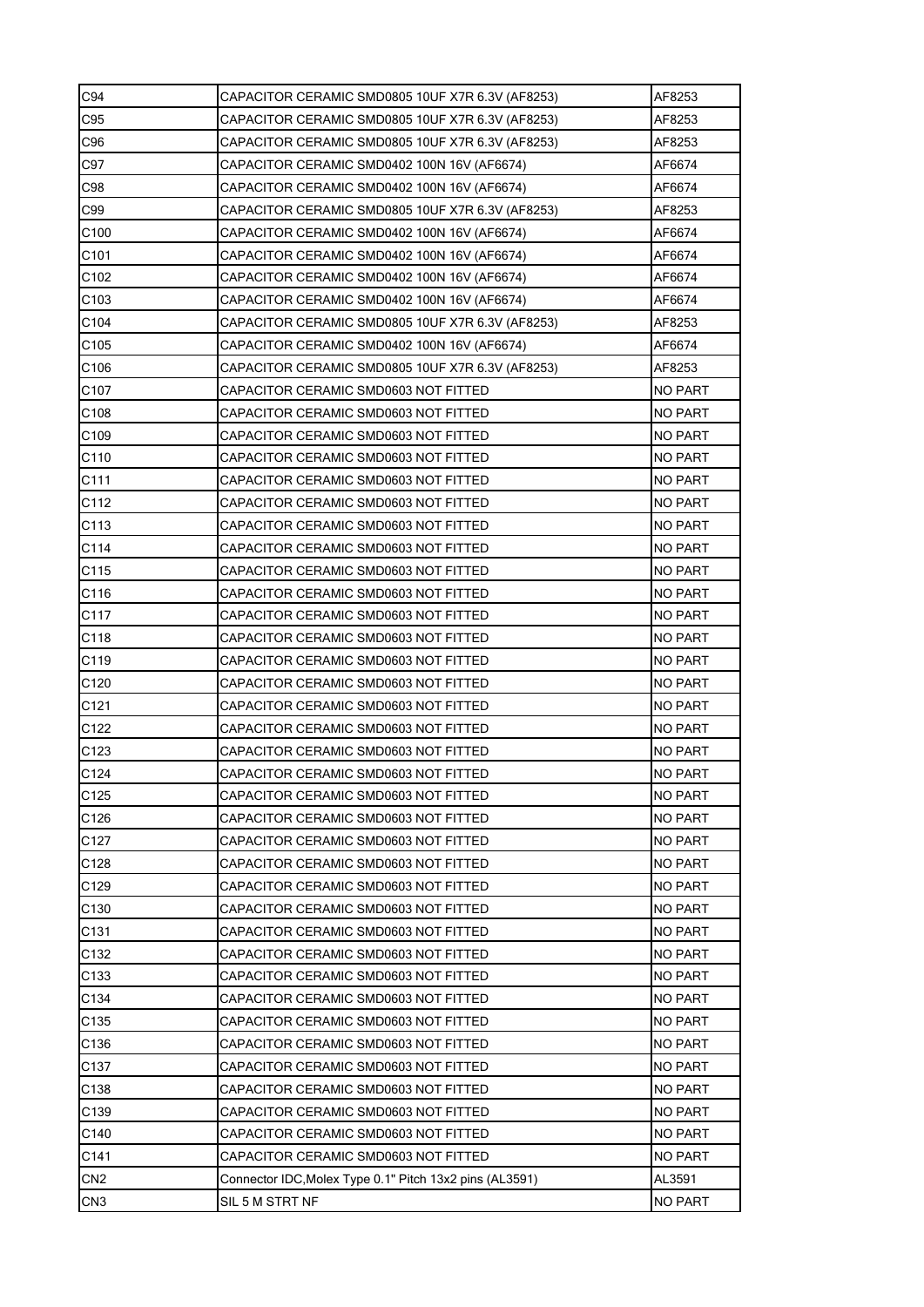| C94              | CAPACITOR CERAMIC SMD0805 10UF X7R 6.3V (AF8253)        | AF8253         |
|------------------|---------------------------------------------------------|----------------|
| C95              | CAPACITOR CERAMIC SMD0805 10UF X7R 6.3V (AF8253)        | AF8253         |
| C96              | CAPACITOR CERAMIC SMD0805 10UF X7R 6.3V (AF8253)        | AF8253         |
| C97              | CAPACITOR CERAMIC SMD0402 100N 16V (AF6674)             | AF6674         |
| C98              | CAPACITOR CERAMIC SMD0402 100N 16V (AF6674)             | AF6674         |
| C99              | CAPACITOR CERAMIC SMD0805 10UF X7R 6.3V (AF8253)        | AF8253         |
| C <sub>100</sub> | CAPACITOR CERAMIC SMD0402 100N 16V (AF6674)             | AF6674         |
| C101             | CAPACITOR CERAMIC SMD0402 100N 16V (AF6674)             | AF6674         |
| C102             | CAPACITOR CERAMIC SMD0402 100N 16V (AF6674)             | AF6674         |
| C103             | CAPACITOR CERAMIC SMD0402 100N 16V (AF6674)             | AF6674         |
| C104             | CAPACITOR CERAMIC SMD0805 10UF X7R 6.3V (AF8253)        | AF8253         |
| C105             | CAPACITOR CERAMIC SMD0402 100N 16V (AF6674)             | AF6674         |
| C <sub>106</sub> | CAPACITOR CERAMIC SMD0805 10UF X7R 6.3V (AF8253)        | AF8253         |
| C107             | CAPACITOR CERAMIC SMD0603 NOT FITTED                    | <b>NO PART</b> |
| C108             | CAPACITOR CERAMIC SMD0603 NOT FITTED                    | <b>NO PART</b> |
| C <sub>109</sub> | CAPACITOR CERAMIC SMD0603 NOT FITTED                    | <b>NO PART</b> |
| C110             | CAPACITOR CERAMIC SMD0603 NOT FITTED                    | <b>NO PART</b> |
| C111             | CAPACITOR CERAMIC SMD0603 NOT FITTED                    | <b>NO PART</b> |
| C112             | CAPACITOR CERAMIC SMD0603 NOT FITTED                    | <b>NO PART</b> |
| C <sub>113</sub> | CAPACITOR CERAMIC SMD0603 NOT FITTED                    | NO PART        |
| C114             | CAPACITOR CERAMIC SMD0603 NOT FITTED                    | <b>NO PART</b> |
| C115             | CAPACITOR CERAMIC SMD0603 NOT FITTED                    | <b>NO PART</b> |
| C116             | CAPACITOR CERAMIC SMD0603 NOT FITTED                    | <b>NO PART</b> |
| C117             | CAPACITOR CERAMIC SMD0603 NOT FITTED                    | <b>NO PART</b> |
| C118             | CAPACITOR CERAMIC SMD0603 NOT FITTED                    | <b>NO PART</b> |
| C119             | CAPACITOR CERAMIC SMD0603 NOT FITTED                    | <b>NO PART</b> |
| C120             | CAPACITOR CERAMIC SMD0603 NOT FITTED                    | <b>NO PART</b> |
| C121             | CAPACITOR CERAMIC SMD0603 NOT FITTED                    | <b>NO PART</b> |
| C122             | CAPACITOR CERAMIC SMD0603 NOT FITTED                    | <b>NO PART</b> |
| C <sub>123</sub> | CAPACITOR CERAMIC SMD0603 NOT FITTED                    | NO PART        |
| C124             | CAPACITOR CERAMIC SMD0603 NOT FITTED                    | <b>NO PART</b> |
| C125             | CAPACITOR CERAMIC SMD0603 NOT FITTED                    | <b>NO PART</b> |
| C126             | CAPACITOR CERAMIC SMD0603 NOT FITTED                    | <b>NO PART</b> |
| C127             | CAPACITOR CERAMIC SMD0603 NOT FITTED                    | <b>NO PART</b> |
| C128             | CAPACITOR CERAMIC SMD0603 NOT FITTED                    | <b>NO PART</b> |
| C129             | CAPACITOR CERAMIC SMD0603 NOT FITTED                    | <b>NO PART</b> |
| C130             | CAPACITOR CERAMIC SMD0603 NOT FITTED                    | <b>NO PART</b> |
| C131             | CAPACITOR CERAMIC SMD0603 NOT FITTED                    | <b>NO PART</b> |
| C <sub>132</sub> | CAPACITOR CERAMIC SMD0603 NOT FITTED                    | NO PART        |
| C133             | CAPACITOR CERAMIC SMD0603 NOT FITTED                    | <b>NO PART</b> |
| C134             | CAPACITOR CERAMIC SMD0603 NOT FITTED                    | <b>NO PART</b> |
| C <sub>135</sub> | CAPACITOR CERAMIC SMD0603 NOT FITTED                    | <b>NO PART</b> |
| C136             | CAPACITOR CERAMIC SMD0603 NOT FITTED                    | <b>NO PART</b> |
| C137             | CAPACITOR CERAMIC SMD0603 NOT FITTED                    | <b>NO PART</b> |
| C138             | CAPACITOR CERAMIC SMD0603 NOT FITTED                    | <b>NO PART</b> |
| C139             | CAPACITOR CERAMIC SMD0603 NOT FITTED                    | <b>NO PART</b> |
| C140             | CAPACITOR CERAMIC SMD0603 NOT FITTED                    | NO PART        |
| C141             | CAPACITOR CERAMIC SMD0603 NOT FITTED                    | <b>NO PART</b> |
| CN <sub>2</sub>  | Connector IDC, Molex Type 0.1" Pitch 13x2 pins (AL3591) | AL3591         |
| CN <sub>3</sub>  | SIL 5 M STRT NF                                         | <b>NO PART</b> |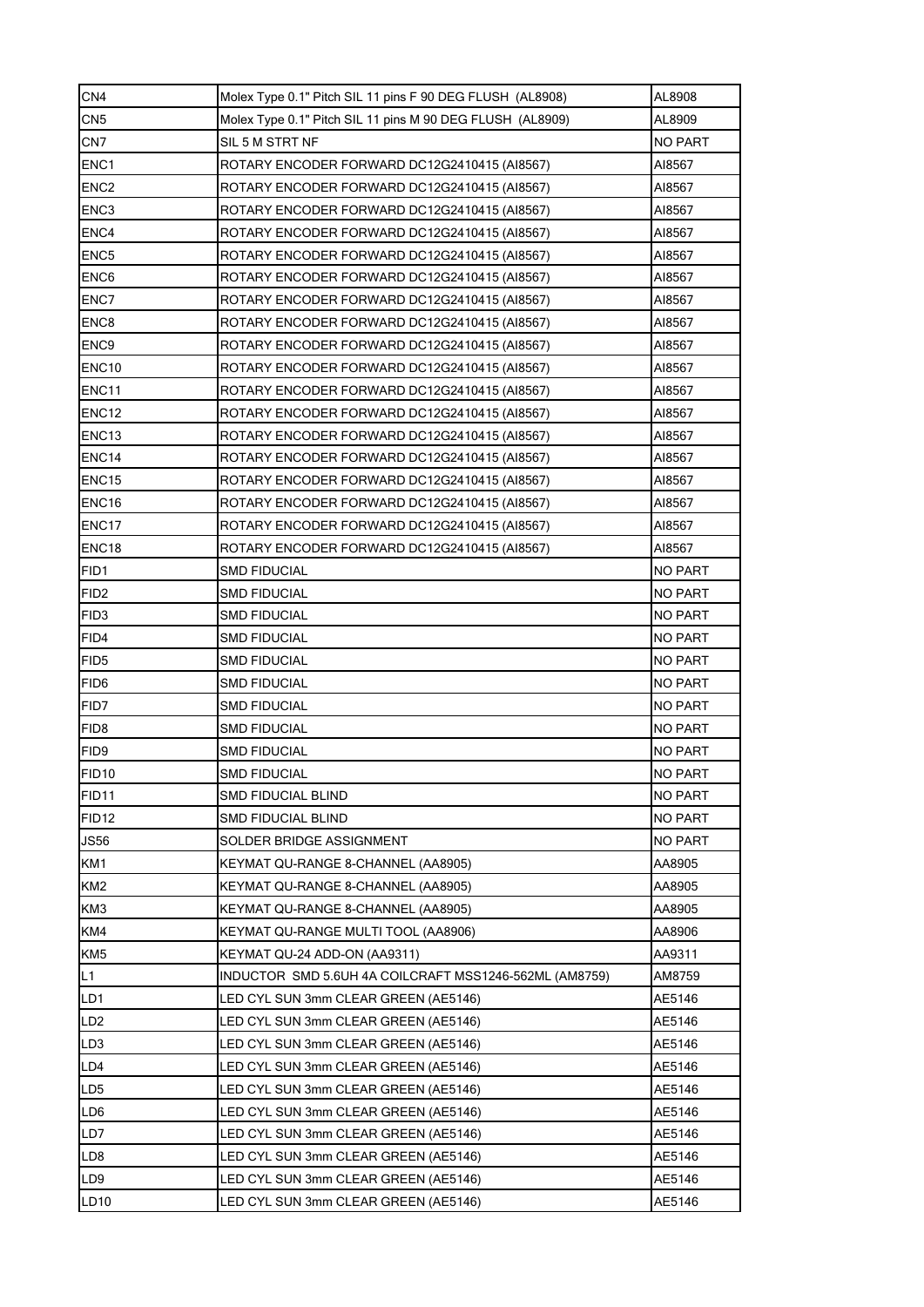| CN <sub>4</sub>   | Molex Type 0.1" Pitch SIL 11 pins F 90 DEG FLUSH (AL8908) | AL8908         |
|-------------------|-----------------------------------------------------------|----------------|
| CN <sub>5</sub>   | Molex Type 0.1" Pitch SIL 11 pins M 90 DEG FLUSH (AL8909) | AL8909         |
| CN <sub>7</sub>   | SIL 5 M STRT NF                                           | <b>NO PART</b> |
| ENC <sub>1</sub>  | ROTARY ENCODER FORWARD DC12G2410415 (AI8567)              | AI8567         |
| ENC <sub>2</sub>  | ROTARY ENCODER FORWARD DC12G2410415 (AI8567)              | AI8567         |
| ENC <sub>3</sub>  | ROTARY ENCODER FORWARD DC12G2410415 (AI8567)              | AI8567         |
| ENC4              | ROTARY ENCODER FORWARD DC12G2410415 (AI8567)              | AI8567         |
| ENC <sub>5</sub>  | ROTARY ENCODER FORWARD DC12G2410415 (AI8567)              | AI8567         |
| ENC6              | ROTARY ENCODER FORWARD DC12G2410415 (AI8567)              | AI8567         |
| ENC7              | ROTARY ENCODER FORWARD DC12G2410415 (AI8567)              | AI8567         |
| ENC <sub>8</sub>  | ROTARY ENCODER FORWARD DC12G2410415 (AI8567)              | AI8567         |
| ENC9              | ROTARY ENCODER FORWARD DC12G2410415 (AI8567)              | AI8567         |
| ENC <sub>10</sub> | ROTARY ENCODER FORWARD DC12G2410415 (AI8567)              | AI8567         |
| ENC11             | ROTARY ENCODER FORWARD DC12G2410415 (AI8567)              | AI8567         |
| ENC <sub>12</sub> | ROTARY ENCODER FORWARD DC12G2410415 (AI8567)              | AI8567         |
| ENC <sub>13</sub> | ROTARY ENCODER FORWARD DC12G2410415 (AI8567)              | AI8567         |
| ENC14             | ROTARY ENCODER FORWARD DC12G2410415 (AI8567)              | AI8567         |
| ENC <sub>15</sub> | ROTARY ENCODER FORWARD DC12G2410415 (AI8567)              | AI8567         |
| ENC16             | ROTARY ENCODER FORWARD DC12G2410415 (AI8567)              | AI8567         |
| ENC <sub>17</sub> | ROTARY ENCODER FORWARD DC12G2410415 (AI8567)              | AI8567         |
| ENC18             | ROTARY ENCODER FORWARD DC12G2410415 (AI8567)              | AI8567         |
| FID1              | SMD FIDUCIAL                                              | <b>NO PART</b> |
| FID <sub>2</sub>  | <b>SMD FIDUCIAL</b>                                       | <b>NO PART</b> |
| FID <sub>3</sub>  | <b>SMD FIDUCIAL</b>                                       | <b>NO PART</b> |
| FID4              | SMD FIDUCIAL                                              | <b>NO PART</b> |
| FID5              | SMD FIDUCIAL                                              | <b>NO PART</b> |
| FID <sub>6</sub>  | <b>SMD FIDUCIAL</b>                                       | <b>NO PART</b> |
| FID7              | <b>SMD FIDUCIAL</b>                                       | <b>NO PART</b> |
| FID <sub>8</sub>  | SMD FIDUCIAL                                              | <b>NO PART</b> |
| FID9              | <b>SMD FIDUCIAL</b>                                       | <b>NO PART</b> |
| <b>FID10</b>      | <b>SMD FIDUCIAL</b>                                       | <b>NO PART</b> |
| <b>FID11</b>      | SMD FIDUCIAL BLIND                                        | <b>NO PART</b> |
| FID <sub>12</sub> | <b>SMD FIDUCIAL BLIND</b>                                 | <b>NO PART</b> |
| <b>JS56</b>       | SOLDER BRIDGE ASSIGNMENT                                  | <b>NO PART</b> |
| KM1               | KEYMAT QU-RANGE 8-CHANNEL (AA8905)                        | AA8905         |
| KM <sub>2</sub>   | KEYMAT QU-RANGE 8-CHANNEL (AA8905)                        | AA8905         |
| KM3               | KEYMAT QU-RANGE 8-CHANNEL (AA8905)                        | AA8905         |
| KM4               | KEYMAT QU-RANGE MULTI TOOL (AA8906)                       | AA8906         |
| KM <sub>5</sub>   | KEYMAT QU-24 ADD-ON (AA9311)                              | AA9311         |
| L1                |                                                           | AM8759         |
| LD1               | LED CYL SUN 3mm CLEAR GREEN (AE5146)                      | AE5146         |
| LD <sub>2</sub>   | LED CYL SUN 3mm CLEAR GREEN (AE5146)                      | AE5146         |
| LD <sub>3</sub>   | LED CYL SUN 3mm CLEAR GREEN (AE5146)                      | AE5146         |
| LD4               | LED CYL SUN 3mm CLEAR GREEN (AE5146)                      | AE5146         |
| LD <sub>5</sub>   | LED CYL SUN 3mm CLEAR GREEN (AE5146)                      | AE5146         |
| LD <sub>6</sub>   | LED CYL SUN 3mm CLEAR GREEN (AE5146)                      | AE5146         |
| LD7               | LED CYL SUN 3mm CLEAR GREEN (AE5146)                      | AE5146         |
| LD8               | LED CYL SUN 3mm CLEAR GREEN (AE5146)                      | AE5146         |
| LD9               | LED CYL SUN 3mm CLEAR GREEN (AE5146)                      | AE5146         |
| LD10              | LED CYL SUN 3mm CLEAR GREEN (AE5146)                      | AE5146         |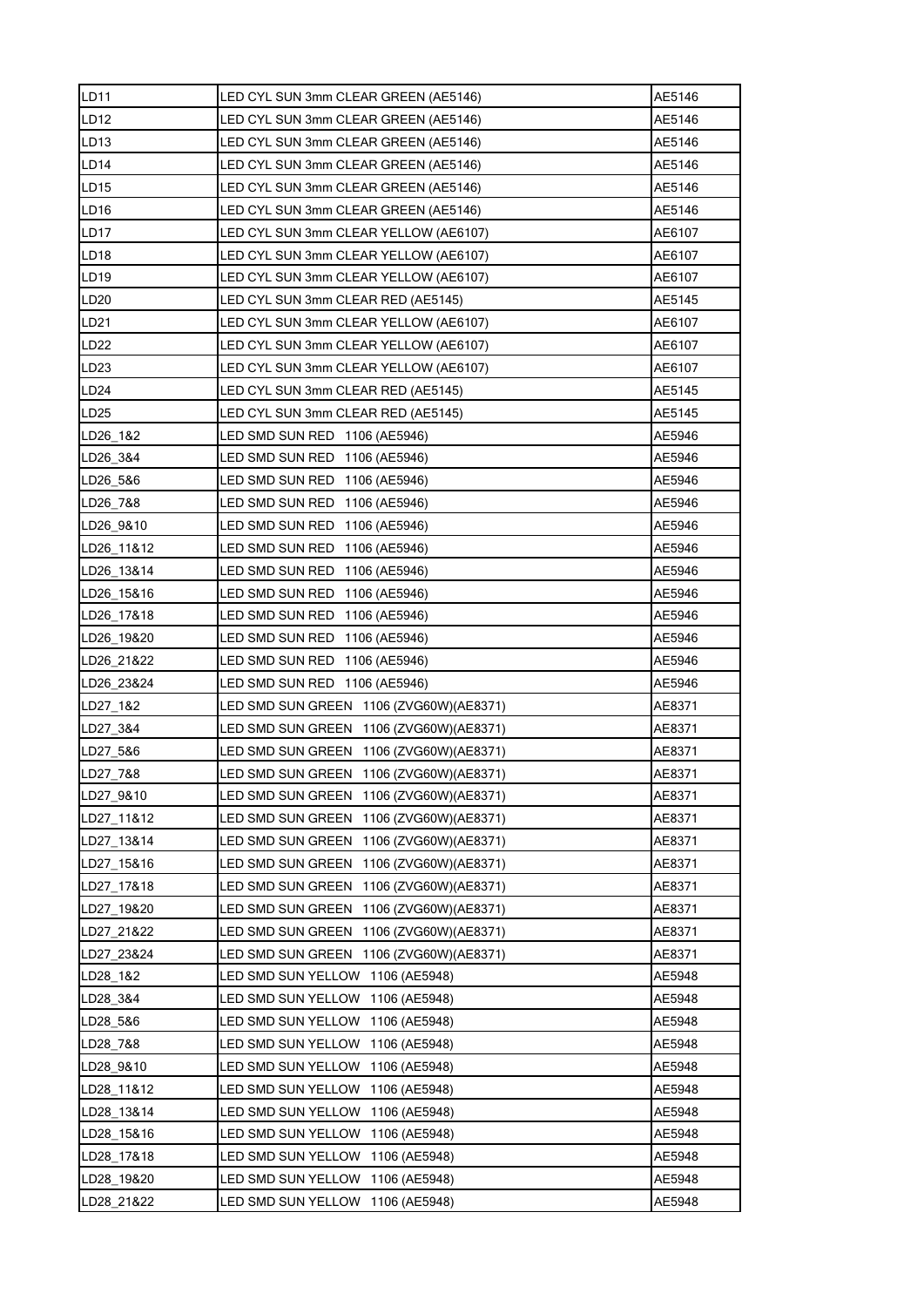| LD11             | LED CYL SUN 3mm CLEAR GREEN (AE5146)        | AE5146 |
|------------------|---------------------------------------------|--------|
| LD12             | LED CYL SUN 3mm CLEAR GREEN (AE5146)        | AE5146 |
| LD13             | LED CYL SUN 3mm CLEAR GREEN (AE5146)        | AE5146 |
| <b>LD14</b>      | LED CYL SUN 3mm CLEAR GREEN (AE5146)        | AE5146 |
| LD15             | LED CYL SUN 3mm CLEAR GREEN (AE5146)        | AE5146 |
| LD16             | LED CYL SUN 3mm CLEAR GREEN (AE5146)        | AE5146 |
| <b>LD17</b>      | LED CYL SUN 3mm CLEAR YELLOW (AE6107)       | AE6107 |
| <b>LD18</b>      | LED CYL SUN 3mm CLEAR YELLOW (AE6107)       | AE6107 |
| LD19             | LED CYL SUN 3mm CLEAR YELLOW (AE6107)       | AE6107 |
| LD20             | LED CYL SUN 3mm CLEAR RED (AE5145)          | AE5145 |
| LD21             | LED CYL SUN 3mm CLEAR YELLOW (AE6107)       | AE6107 |
| <b>LD22</b>      | LED CYL SUN 3mm CLEAR YELLOW (AE6107)       | AE6107 |
| LD <sub>23</sub> | LED CYL SUN 3mm CLEAR YELLOW (AE6107)       | AE6107 |
| LD24             | LED CYL SUN 3mm CLEAR RED (AE5145)          | AE5145 |
| LD25             | LED CYL SUN 3mm CLEAR RED (AE5145)          | AE5145 |
| LD26 1&2         | LED SMD SUN RED 1106 (AE5946)               | AE5946 |
| LD26_3&4         | LED SMD SUN RED 1106 (AE5946)               | AE5946 |
| LD26 5&6         | LED SMD SUN RED 1106 (AE5946)               | AE5946 |
| LD26 7&8         | LED SMD SUN RED 1106 (AE5946)               | AE5946 |
| LD26 9&10        | LED SMD SUN RED 1106 (AE5946)               | AE5946 |
| LD26 11&12       | LED SMD SUN RED 1106 (AE5946)               | AE5946 |
| LD26 13&14       | LED SMD SUN RED 1106 (AE5946)               | AE5946 |
| LD26_15&16       | LED SMD SUN RED 1106 (AE5946)               | AE5946 |
| LD26 17&18       | LED SMD SUN RED 1106 (AE5946)               | AE5946 |
| LD26 19&20       | LED SMD SUN RED 1106 (AE5946)               | AE5946 |
| LD26 21&22       | LED SMD SUN RED 1106 (AE5946)               | AE5946 |
|                  | LED SMD SUN RED 1106 (AE5946)               |        |
| LD26 23&24       |                                             | AE5946 |
| LD27 1&2         | LED SMD SUN GREEN 1106 (ZVG60W) (AE8371)    | AE8371 |
| LD27 3&4         | LED SMD SUN GREEN 1106 (ZVG60W) (AE8371)    | AE8371 |
| LD27_5&6         | LED SMD SUN GREEN 1106 (ZVG60W) (AE8371)    | AE8371 |
| LD27 7&8         | LED SMD SUN GREEN 1106 (ZVG60W) (AE8371)    | AE8371 |
| LD27_9&10        | LED SMD SUN GREEN 1106 (ZVG60W) (AE8371)    | AE8371 |
| LD27_11&12       | LED SMD SUN GREEN<br>1106 (ZVG60W) (AE8371) | AE8371 |
| LD27_13&14       | LED SMD SUN GREEN<br>1106 (ZVG60W)(AE8371)  | AE8371 |
| LD27_15&16       | LED SMD SUN GREEN<br>1106 (ZVG60W)(AE8371)  | AE8371 |
| LD27_17&18       | LED SMD SUN GREEN<br>1106 (ZVG60W)(AE8371)  | AE8371 |
| LD27_19&20       | LED SMD SUN GREEN<br>1106 (ZVG60W)(AE8371)  | AE8371 |
| LD27_21&22       | LED SMD SUN GREEN<br>1106 (ZVG60W)(AE8371)  | AE8371 |
| LD27 23&24       | LED SMD SUN GREEN<br>1106 (ZVG60W)(AE8371)  | AE8371 |
| LD28_1&2         | LED SMD SUN YELLOW 1106 (AE5948)            | AE5948 |
| LD28 3&4         | LED SMD SUN YELLOW<br>1106 (AE5948)         | AE5948 |
| LD28_5&6         | LED SMD SUN YELLOW 1106 (AE5948)            | AE5948 |
| LD28_7&8         | LED SMD SUN YELLOW 1106 (AE5948)            | AE5948 |
| LD28 9&10        | LED SMD SUN YELLOW<br>1106 (AE5948)         | AE5948 |
| LD28_11&12       | LED SMD SUN YELLOW<br>1106 (AE5948)         | AE5948 |
| LD28 13&14       | LED SMD SUN YELLOW<br>1106 (AE5948)         | AE5948 |
| LD28_15&16       | LED SMD SUN YELLOW<br>1106 (AE5948)         | AE5948 |
| LD28 17&18       | LED SMD SUN YELLOW<br>1106 (AE5948)         | AE5948 |
| LD28_19&20       | LED SMD SUN YELLOW 1106 (AE5948)            | AE5948 |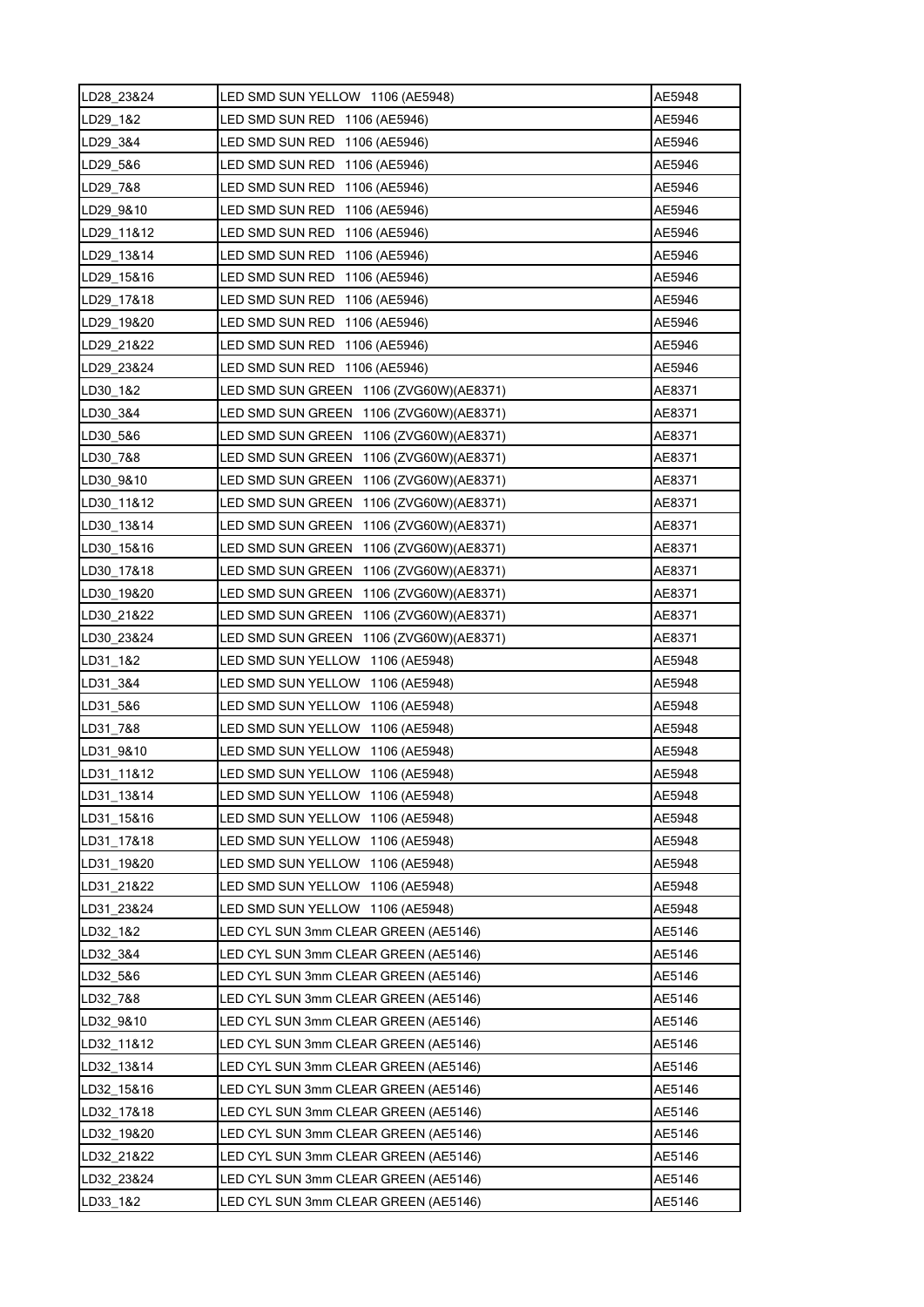| LD28 23&24 | LED SMD SUN YELLOW 1106 (AE5948)         | AE5948 |
|------------|------------------------------------------|--------|
| LD29 1&2   | LED SMD SUN RED 1106 (AE5946)            | AE5946 |
| LD29 3&4   | LED SMD SUN RED 1106 (AE5946)            | AE5946 |
| LD29_5&6   | LED SMD SUN RED 1106 (AE5946)            | AE5946 |
| LD29 7&8   | LED SMD SUN RED 1106 (AE5946)            | AE5946 |
| LD29 9&10  | LED SMD SUN RED 1106 (AE5946)            | AE5946 |
| LD29 11&12 | LED SMD SUN RED 1106 (AE5946)            | AE5946 |
| LD29_13&14 | LED SMD SUN RED 1106 (AE5946)            | AE5946 |
| LD29 15&16 | LED SMD SUN RED 1106 (AE5946)            | AE5946 |
| LD29 17&18 | LED SMD SUN RED 1106 (AE5946)            | AE5946 |
| LD29_19&20 | LED SMD SUN RED 1106 (AE5946)            | AE5946 |
| LD29 21&22 | LED SMD SUN RED 1106 (AE5946)            | AE5946 |
| LD29 23&24 | LED SMD SUN RED 1106 (AE5946)            | AE5946 |
| LD30 1&2   | LED SMD SUN GREEN 1106 (ZVG60W)(AE8371)  | AE8371 |
| LD30 3&4   | LED SMD SUN GREEN 1106 (ZVG60W) (AE8371) | AE8371 |
| LD30_5&6   | LED SMD SUN GREEN 1106 (ZVG60W) (AE8371) | AE8371 |
| LD30 7&8   | LED SMD SUN GREEN 1106 (ZVG60W) (AE8371) | AE8371 |
| LD30 9&10  | LED SMD SUN GREEN 1106 (ZVG60W) (AE8371) | AE8371 |
| LD30_11&12 | LED SMD SUN GREEN 1106 (ZVG60W)(AE8371)  | AE8371 |
| LD30 13&14 | LED SMD SUN GREEN 1106 (ZVG60W) (AE8371) | AE8371 |
| LD30 15&16 | LED SMD SUN GREEN 1106 (ZVG60W) (AE8371) | AE8371 |
| LD30 17&18 | LED SMD SUN GREEN 1106 (ZVG60W)(AE8371)  | AE8371 |
| LD30_19&20 | LED SMD SUN GREEN 1106 (ZVG60W)(AE8371)  | AE8371 |
| LD30 21&22 | LED SMD SUN GREEN 1106 (ZVG60W) (AE8371) | AE8371 |
| LD30 23&24 | LED SMD SUN GREEN 1106 (ZVG60W)(AE8371)  | AE8371 |
| LD31 1&2   | LED SMD SUN YELLOW 1106 (AE5948)         | AE5948 |
| LD31 3&4   | LED SMD SUN YELLOW 1106 (AE5948)         | AE5948 |
| LD31_5&6   | LED SMD SUN YELLOW 1106 (AE5948)         | AE5948 |
| LD31 7&8   | LED SMD SUN YELLOW 1106 (AE5948)         | AE5948 |
| LD31_9&10  | LED SMD SUN YELLOW 1106 (AE5948)         | AE5948 |
| LD31 11&12 | LED SMD SUN YELLOW 1106 (AE5948)         | AE5948 |
| LD31 13&14 | LED SMD SUN YELLOW 1106 (AE5948)         | AE5948 |
| LD31 15&16 | LED SMD SUN YELLOW 1106 (AE5948)         | AE5948 |
| LD31_17&18 | LED SMD SUN YELLOW 1106 (AE5948)         | AE5948 |
| LD31 19&20 | LED SMD SUN YELLOW 1106 (AE5948)         | AE5948 |
| LD31 21&22 | LED SMD SUN YELLOW 1106 (AE5948)         | AE5948 |
| LD31 23&24 | LED SMD SUN YELLOW 1106 (AE5948)         | AE5948 |
| LD32_1&2   | LED CYL SUN 3mm CLEAR GREEN (AE5146)     | AE5146 |
| LD32 3&4   | LED CYL SUN 3mm CLEAR GREEN (AE5146)     | AE5146 |
| LD32 5&6   | LED CYL SUN 3mm CLEAR GREEN (AE5146)     | AE5146 |
| LD32 7&8   | LED CYL SUN 3mm CLEAR GREEN (AE5146)     | AE5146 |
| LD32_9&10  | LED CYL SUN 3mm CLEAR GREEN (AE5146)     | AE5146 |
| LD32_11&12 | LED CYL SUN 3mm CLEAR GREEN (AE5146)     | AE5146 |
| LD32 13&14 | LED CYL SUN 3mm CLEAR GREEN (AE5146)     | AE5146 |
| LD32 15&16 | LED CYL SUN 3mm CLEAR GREEN (AE5146)     | AE5146 |
| LD32_17&18 | LED CYL SUN 3mm CLEAR GREEN (AE5146)     | AE5146 |
| LD32_19&20 | LED CYL SUN 3mm CLEAR GREEN (AE5146)     | AE5146 |
| LD32 21&22 | LED CYL SUN 3mm CLEAR GREEN (AE5146)     | AE5146 |
| LD32 23&24 | LED CYL SUN 3mm CLEAR GREEN (AE5146)     | AE5146 |
| LD33 1&2   | LED CYL SUN 3mm CLEAR GREEN (AE5146)     | AE5146 |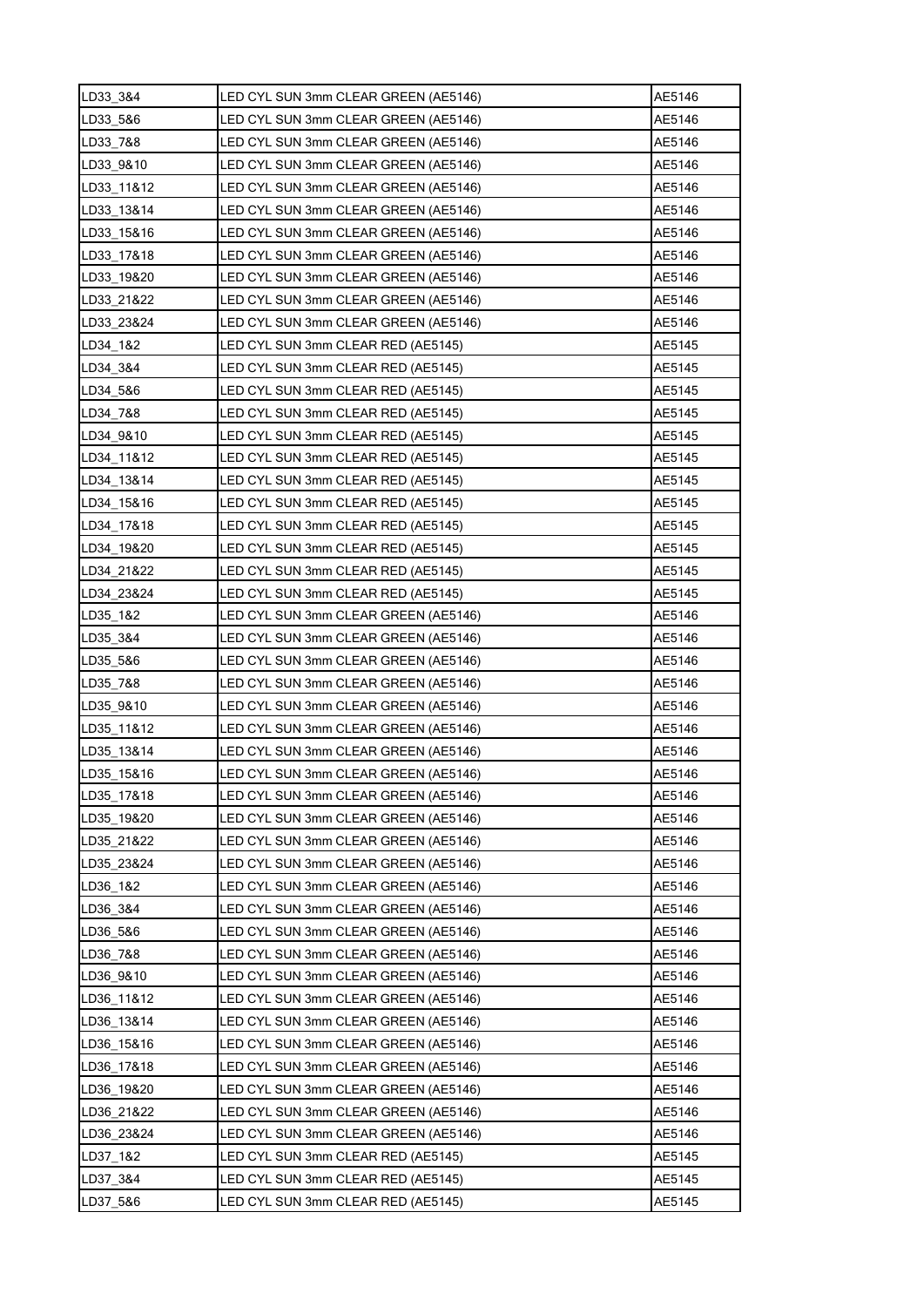| LD33_3&4   | LED CYL SUN 3mm CLEAR GREEN (AE5146) | AE5146 |
|------------|--------------------------------------|--------|
| LD33_5&6   | LED CYL SUN 3mm CLEAR GREEN (AE5146) | AE5146 |
| LD33 7&8   | LED CYL SUN 3mm CLEAR GREEN (AE5146) | AE5146 |
| LD33_9&10  | LED CYL SUN 3mm CLEAR GREEN (AE5146) | AE5146 |
| LD33_11&12 | LED CYL SUN 3mm CLEAR GREEN (AE5146) | AE5146 |
| LD33_13&14 | LED CYL SUN 3mm CLEAR GREEN (AE5146) | AE5146 |
| LD33 15&16 | LED CYL SUN 3mm CLEAR GREEN (AE5146) | AE5146 |
| LD33_17&18 | LED CYL SUN 3mm CLEAR GREEN (AE5146) | AE5146 |
| LD33 19&20 | LED CYL SUN 3mm CLEAR GREEN (AE5146) | AE5146 |
| LD33 21&22 | LED CYL SUN 3mm CLEAR GREEN (AE5146) | AE5146 |
| LD33_23&24 | LED CYL SUN 3mm CLEAR GREEN (AE5146) | AE5146 |
| LD34 1&2   | LED CYL SUN 3mm CLEAR RED (AE5145)   | AE5145 |
| LD34 3&4   | LED CYL SUN 3mm CLEAR RED (AE5145)   | AE5145 |
| LD34 5&6   | LED CYL SUN 3mm CLEAR RED (AE5145)   | AE5145 |
| LD34 7&8   | LED CYL SUN 3mm CLEAR RED (AE5145)   | AE5145 |
| LD34_9&10  | LED CYL SUN 3mm CLEAR RED (AE5145)   | AE5145 |
| LD34 11&12 | LED CYL SUN 3mm CLEAR RED (AE5145)   | AE5145 |
| LD34 13&14 | LED CYL SUN 3mm CLEAR RED (AE5145)   | AE5145 |
| LD34_15&16 | LED CYL SUN 3mm CLEAR RED (AE5145)   | AE5145 |
| LD34 17&18 | LED CYL SUN 3mm CLEAR RED (AE5145)   | AE5145 |
| LD34 19&20 | LED CYL SUN 3mm CLEAR RED (AE5145)   | AE5145 |
| LD34 21&22 | LED CYL SUN 3mm CLEAR RED (AE5145)   | AE5145 |
| LD34_23&24 | LED CYL SUN 3mm CLEAR RED (AE5145)   | AE5145 |
| LD35 1&2   | LED CYL SUN 3mm CLEAR GREEN (AE5146) | AE5146 |
| LD35_3&4   | LED CYL SUN 3mm CLEAR GREEN (AE5146) | AE5146 |
| LD35 5&6   | LED CYL SUN 3mm CLEAR GREEN (AE5146) | AE5146 |
| LD35_7&8   | LED CYL SUN 3mm CLEAR GREEN (AE5146) | AE5146 |
| LD35_9&10  | LED CYL SUN 3mm CLEAR GREEN (AE5146) | AE5146 |
| LD35 11&12 | LED CYL SUN 3mm CLEAR GREEN (AE5146) | AE5146 |
| LD35_13&14 | LED CYL SUN 3mm CLEAR GREEN (AE5146) | AE5146 |
| LD35 15&16 | LED CYL SUN 3mm CLEAR GREEN (AE5146) | AE5146 |
| LD35 17&18 | LED CYL SUN 3mm CLEAR GREEN (AE5146) | AE5146 |
| LD35 19&20 | LED CYL SUN 3mm CLEAR GREEN (AE5146) | AE5146 |
| LD35_21&22 | LED CYL SUN 3mm CLEAR GREEN (AE5146) | AE5146 |
| LD35 23&24 | LED CYL SUN 3mm CLEAR GREEN (AE5146) | AE5146 |
| LD36 1&2   | LED CYL SUN 3mm CLEAR GREEN (AE5146) | AE5146 |
| LD36_3&4   | LED CYL SUN 3mm CLEAR GREEN (AE5146) | AE5146 |
| LD36_5&6   | LED CYL SUN 3mm CLEAR GREEN (AE5146) | AE5146 |
| LD36 7&8   | LED CYL SUN 3mm CLEAR GREEN (AE5146) | AE5146 |
| LD36 9&10  | LED CYL SUN 3mm CLEAR GREEN (AE5146) | AE5146 |
| LD36 11&12 | LED CYL SUN 3mm CLEAR GREEN (AE5146) | AE5146 |
| LD36_13&14 | LED CYL SUN 3mm CLEAR GREEN (AE5146) | AE5146 |
| LD36_15&16 | LED CYL SUN 3mm CLEAR GREEN (AE5146) | AE5146 |
| LD36 17&18 | LED CYL SUN 3mm CLEAR GREEN (AE5146) | AE5146 |
| LD36 19&20 | LED CYL SUN 3mm CLEAR GREEN (AE5146) | AE5146 |
| LD36 21&22 | LED CYL SUN 3mm CLEAR GREEN (AE5146) | AE5146 |
| LD36_23&24 | LED CYL SUN 3mm CLEAR GREEN (AE5146) | AE5146 |
| LD37_1&2   | LED CYL SUN 3mm CLEAR RED (AE5145)   | AE5145 |
| LD37_3&4   | LED CYL SUN 3mm CLEAR RED (AE5145)   | AE5145 |
| LD37 5&6   | LED CYL SUN 3mm CLEAR RED (AE5145)   | AE5145 |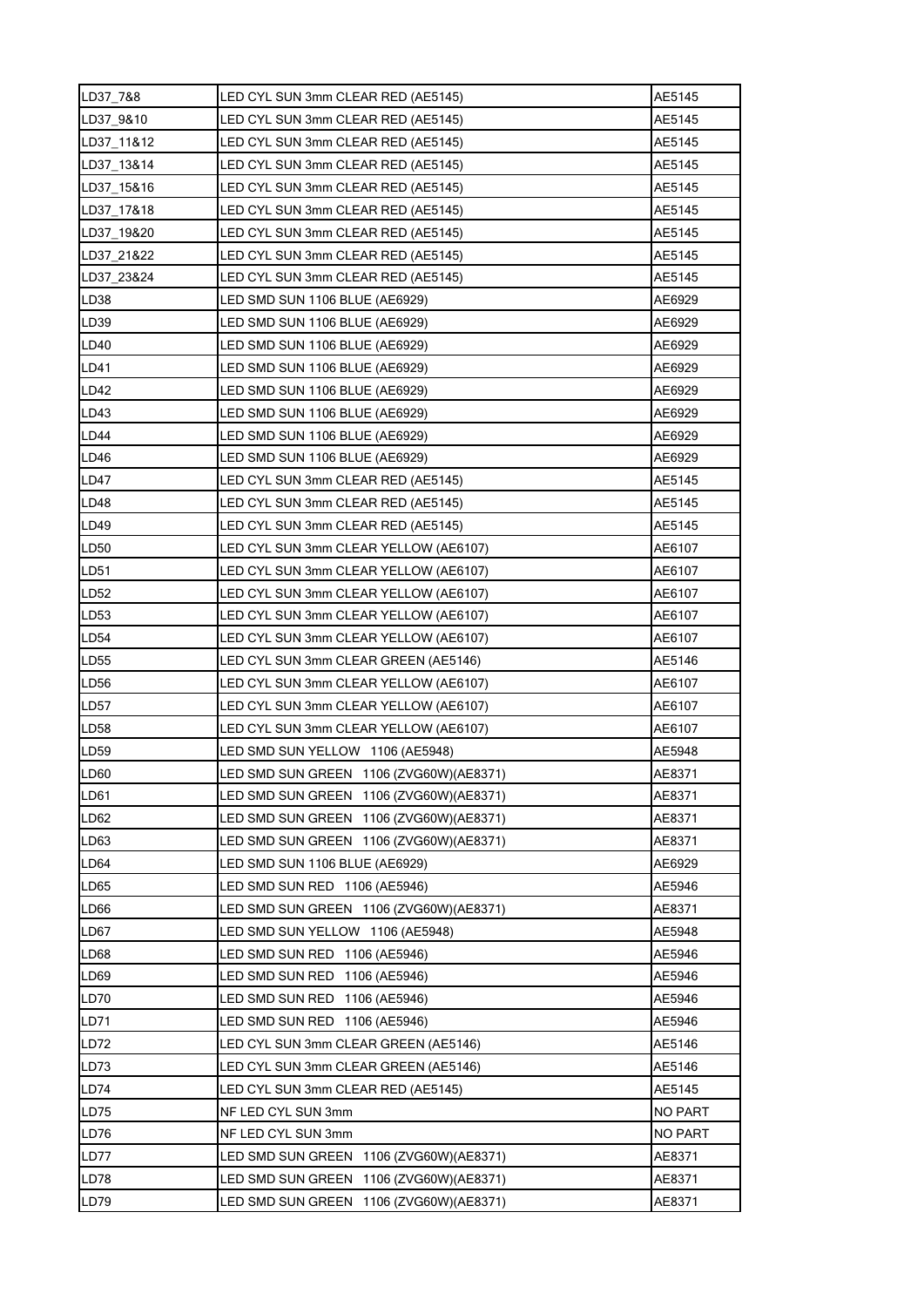| LD37_7&8         | LED CYL SUN 3mm CLEAR RED (AE5145)       | AE5145  |
|------------------|------------------------------------------|---------|
| LD37 9&10        | LED CYL SUN 3mm CLEAR RED (AE5145)       | AE5145  |
| LD37 11&12       | LED CYL SUN 3mm CLEAR RED (AE5145)       | AE5145  |
| LD37_13&14       | LED CYL SUN 3mm CLEAR RED (AE5145)       | AE5145  |
| LD37 15&16       | LED CYL SUN 3mm CLEAR RED (AE5145)       | AE5145  |
| LD37_17&18       | LED CYL SUN 3mm CLEAR RED (AE5145)       | AE5145  |
| LD37_19&20       | LED CYL SUN 3mm CLEAR RED (AE5145)       | AE5145  |
| LD37 21&22       | LED CYL SUN 3mm CLEAR RED (AE5145)       | AE5145  |
| LD37 23&24       | LED CYL SUN 3mm CLEAR RED (AE5145)       | AE5145  |
| LD38             | LED SMD SUN 1106 BLUE (AE6929)           | AE6929  |
| LD <sub>39</sub> | LED SMD SUN 1106 BLUE (AE6929)           | AE6929  |
| LD40             | LED SMD SUN 1106 BLUE (AE6929)           | AE6929  |
| LD41             | LED SMD SUN 1106 BLUE (AE6929)           | AE6929  |
| <b>LD42</b>      | LED SMD SUN 1106 BLUE (AE6929)           | AE6929  |
| LD43             | LED SMD SUN 1106 BLUE (AE6929)           | AE6929  |
| LD44             | LED SMD SUN 1106 BLUE (AE6929)           | AE6929  |
| LD46             | LED SMD SUN 1106 BLUE (AE6929)           | AE6929  |
| LD47             | LED CYL SUN 3mm CLEAR RED (AE5145)       | AE5145  |
| LD48             | LED CYL SUN 3mm CLEAR RED (AE5145)       | AE5145  |
| LD49             | LED CYL SUN 3mm CLEAR RED (AE5145)       | AE5145  |
| LD50             | LED CYL SUN 3mm CLEAR YELLOW (AE6107)    | AE6107  |
| LD51             | LED CYL SUN 3mm CLEAR YELLOW (AE6107)    | AE6107  |
| LD <sub>52</sub> | LED CYL SUN 3mm CLEAR YELLOW (AE6107)    | AE6107  |
| LD <sub>53</sub> | LED CYL SUN 3mm CLEAR YELLOW (AE6107)    | AE6107  |
| LD <sub>54</sub> | LED CYL SUN 3mm CLEAR YELLOW (AE6107)    | AE6107  |
| LD55             | LED CYL SUN 3mm CLEAR GREEN (AE5146)     | AE5146  |
| LD56             | LED CYL SUN 3mm CLEAR YELLOW (AE6107)    | AE6107  |
| LD <sub>57</sub> | LED CYL SUN 3mm CLEAR YELLOW (AE6107)    | AE6107  |
| LD <sub>58</sub> | LED CYL SUN 3mm CLEAR YELLOW (AE6107)    | AE6107  |
| LD <sub>59</sub> | LED SMD SUN YELLOW 1106 (AE5948)         | AE5948  |
| LD60             | LED SMD SUN GREEN 1106 (ZVG60W) (AE8371) | AE8371  |
| LD61             | LED SMD SUN GREEN 1106 (ZVG60W) (AE8371) | AE8371  |
| LD62             | LED SMD SUN GREEN 1106 (ZVG60W) (AE8371) | AE8371  |
| LD63             | LED SMD SUN GREEN 1106 (ZVG60W)(AE8371)  | AE8371  |
| LD64             | LED SMD SUN 1106 BLUE (AE6929)           | AE6929  |
| LD65             | LED SMD SUN RED 1106 (AE5946)            | AE5946  |
| LD66             | LED SMD SUN GREEN 1106 (ZVG60W) (AE8371) | AE8371  |
| LD67             | LED SMD SUN YELLOW 1106 (AE5948)         | AE5948  |
| LD68             | LED SMD SUN RED 1106 (AE5946)            | AE5946  |
| LD69             | LED SMD SUN RED 1106 (AE5946)            | AE5946  |
| LD70             | LED SMD SUN RED 1106 (AE5946)            | AE5946  |
| LD71             | LED SMD SUN RED 1106 (AE5946)            | AE5946  |
| LD72             | LED CYL SUN 3mm CLEAR GREEN (AE5146)     | AE5146  |
| LD73             | LED CYL SUN 3mm CLEAR GREEN (AE5146)     | AE5146  |
| LD74             | LED CYL SUN 3mm CLEAR RED (AE5145)       | AE5145  |
| <b>LD75</b>      | NF LED CYL SUN 3mm                       | NO PART |
| LD76             | NF LED CYL SUN 3mm                       | NO PART |
| LD77             | LED SMD SUN GREEN 1106 (ZVG60W)(AE8371)  | AE8371  |
| <b>LD78</b>      | LED SMD SUN GREEN 1106 (ZVG60W) (AE8371) | AE8371  |
| LD79             | LED SMD SUN GREEN 1106 (ZVG60W) (AE8371) | AE8371  |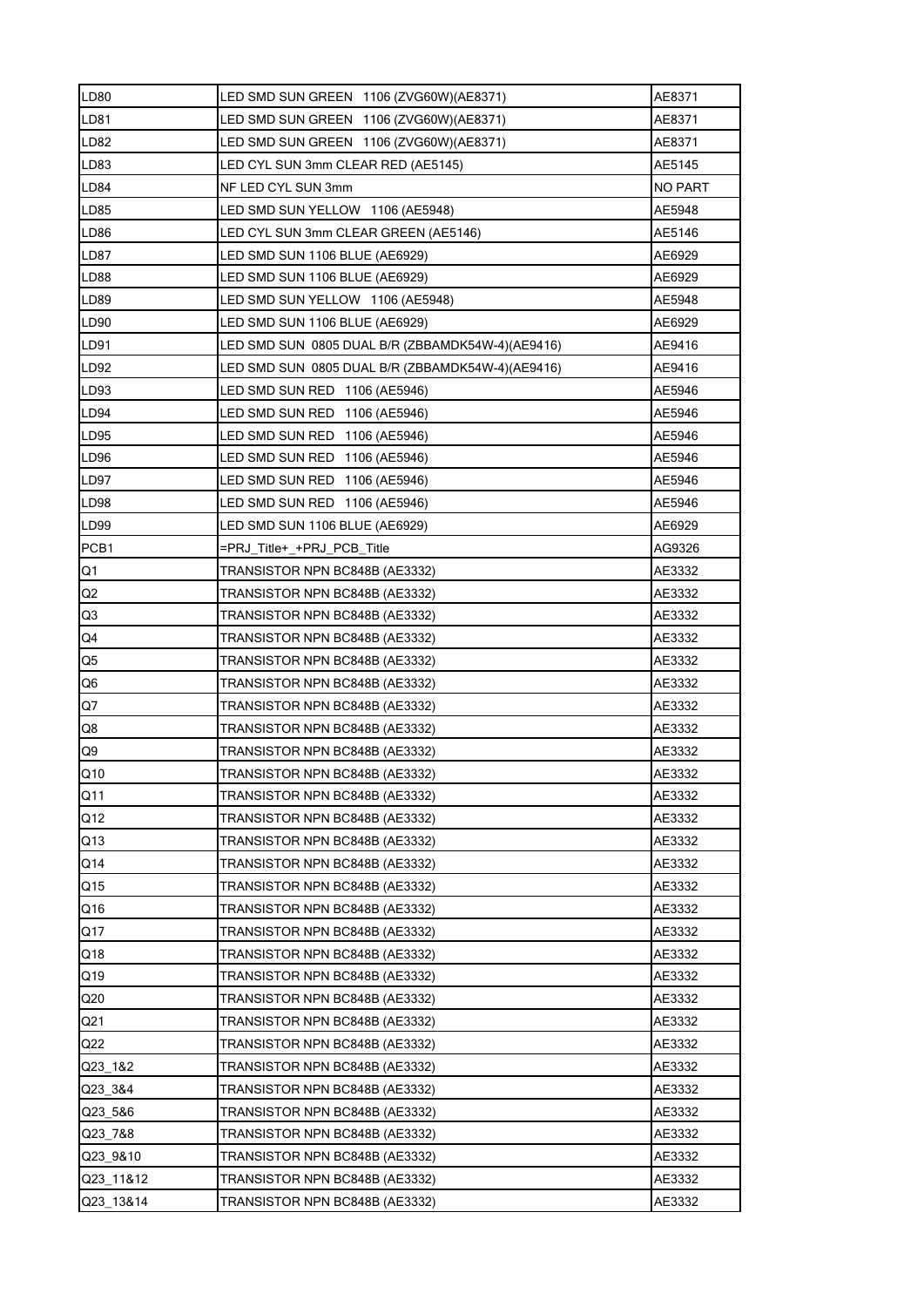| <b>LD80</b>     | LED SMD SUN GREEN 1106 (ZVG60W)(AE8371)          | AE8371  |
|-----------------|--------------------------------------------------|---------|
| <b>LD81</b>     | LED SMD SUN GREEN 1106 (ZVG60W) (AE8371)         | AE8371  |
| <b>LD82</b>     | LED SMD SUN GREEN 1106 (ZVG60W) (AE8371)         | AE8371  |
| LD83            | LED CYL SUN 3mm CLEAR RED (AE5145)               | AE5145  |
| <b>LD84</b>     | NF LED CYL SUN 3mm                               | NO PART |
| <b>LD85</b>     | LED SMD SUN YELLOW 1106 (AE5948)                 | AE5948  |
| <b>LD86</b>     | LED CYL SUN 3mm CLEAR GREEN (AE5146)             | AE5146  |
| LD87            | LED SMD SUN 1106 BLUE (AE6929)                   | AE6929  |
| <b>LD88</b>     | LED SMD SUN 1106 BLUE (AE6929)                   | AE6929  |
| LD89            | LED SMD SUN YELLOW 1106 (AE5948)                 | AE5948  |
| LD90            | LED SMD SUN 1106 BLUE (AE6929)                   | AE6929  |
| LD91            | LED SMD SUN 0805 DUAL B/R (ZBBAMDK54W-4)(AE9416) | AE9416  |
| LD92            | LED SMD SUN 0805 DUAL B/R (ZBBAMDK54W-4)(AE9416) | AE9416  |
| LD93            | LED SMD SUN RED 1106 (AE5946)                    | AE5946  |
| LD94            | LED SMD SUN RED 1106 (AE5946)                    | AE5946  |
| LD95            | LED SMD SUN RED 1106 (AE5946)                    | AE5946  |
| LD96            | LED SMD SUN RED 1106 (AE5946)                    | AE5946  |
| LD97            | LED SMD SUN RED 1106 (AE5946)                    | AE5946  |
| <b>LD98</b>     | LED SMD SUN RED 1106 (AE5946)                    | AE5946  |
| LD99            | LED SMD SUN 1106 BLUE (AE6929)                   | AE6929  |
| PCB1            | =PRJ Title+ +PRJ PCB Title                       | AG9326  |
| Q1              | TRANSISTOR NPN BC848B (AE3332)                   | AE3332  |
| Q2              | TRANSISTOR NPN BC848B (AE3332)                   | AE3332  |
| Q <sub>3</sub>  | TRANSISTOR NPN BC848B (AE3332)                   | AE3332  |
| Q4              | TRANSISTOR NPN BC848B (AE3332)                   | AE3332  |
| Q5              | TRANSISTOR NPN BC848B (AE3332)                   | AE3332  |
| Q6              | TRANSISTOR NPN BC848B (AE3332)                   | AE3332  |
| Q7              | TRANSISTOR NPN BC848B (AE3332)                   | AE3332  |
| Q8              | TRANSISTOR NPN BC848B (AE3332)                   | AE3332  |
| Q9              | TRANSISTOR NPN BC848B (AE3332)                   | AE3332  |
| Q10             | TRANSISTOR NPN BC848B (AE3332)                   | AE3332  |
| Q11             | TRANSISTOR NPN BC848B (AE3332)                   | AE3332  |
| Q12             | TRANSISTOR NPN BC848B (AE3332)                   | AE3332  |
| Q13             | TRANSISTOR NPN BC848B (AE3332)                   | AE3332  |
| Q14             | TRANSISTOR NPN BC848B (AE3332)                   | AE3332  |
| Q15             | TRANSISTOR NPN BC848B (AE3332)                   | AE3332  |
| Q16             | TRANSISTOR NPN BC848B (AE3332)                   | AE3332  |
| Q17             | TRANSISTOR NPN BC848B (AE3332)                   | AE3332  |
| Q18             | TRANSISTOR NPN BC848B (AE3332)                   | AE3332  |
| Q19             | TRANSISTOR NPN BC848B (AE3332)                   | AE3332  |
| Q20             | TRANSISTOR NPN BC848B (AE3332)                   | AE3332  |
| Q <sub>21</sub> | TRANSISTOR NPN BC848B (AE3332)                   | AE3332  |
| Q22             | TRANSISTOR NPN BC848B (AE3332)                   | AE3332  |
| Q23 1&2         | TRANSISTOR NPN BC848B (AE3332)                   | AE3332  |
| Q23 3&4         | TRANSISTOR NPN BC848B (AE3332)                   | AE3332  |
| Q23_5&6         | TRANSISTOR NPN BC848B (AE3332)                   | AE3332  |
| Q23_7&8         | TRANSISTOR NPN BC848B (AE3332)                   | AE3332  |
| Q23 9&10        | TRANSISTOR NPN BC848B (AE3332)                   | AE3332  |
| Q23 11&12       | TRANSISTOR NPN BC848B (AE3332)                   | AE3332  |
| Q23 13&14       | TRANSISTOR NPN BC848B (AE3332)                   | AE3332  |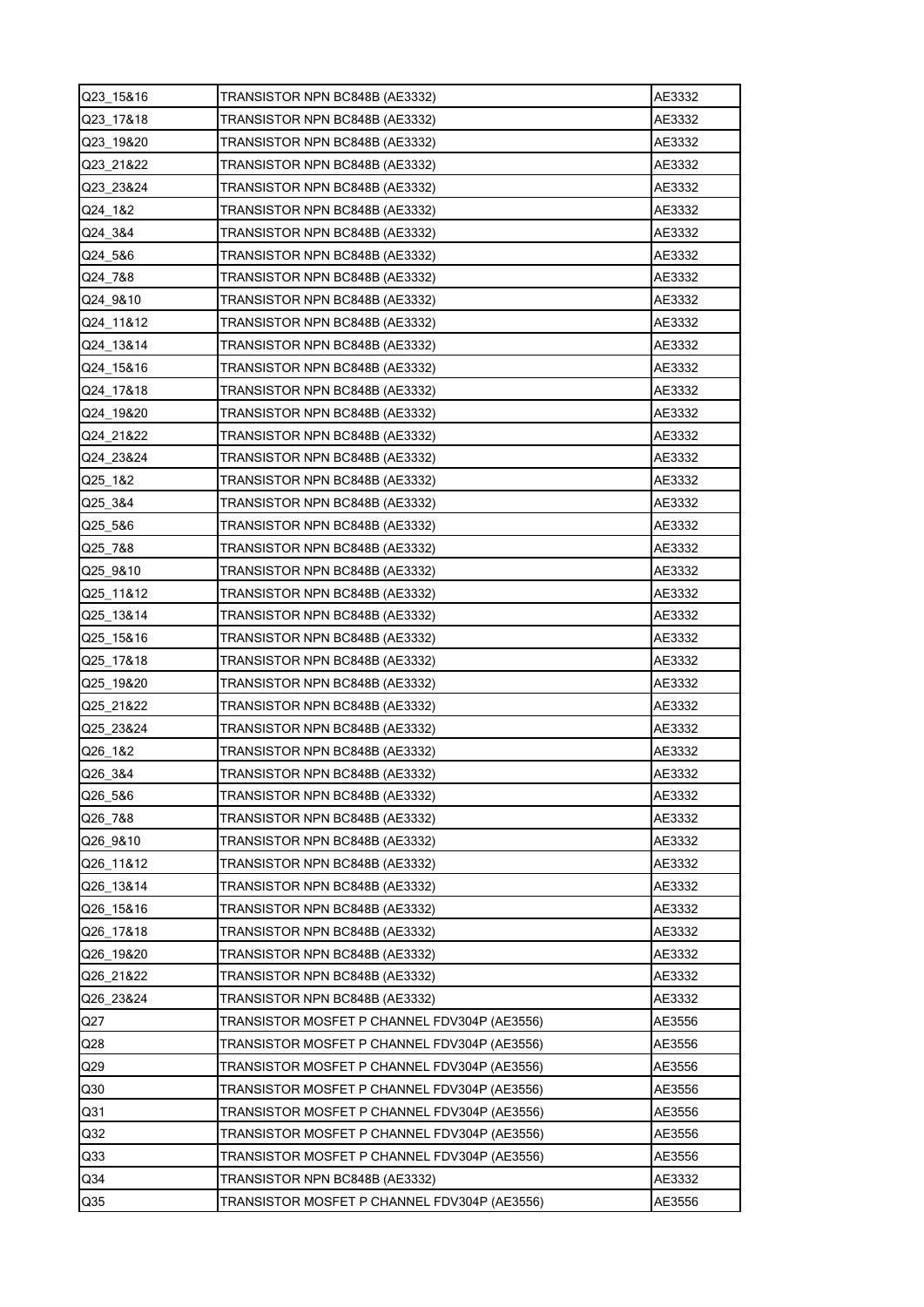| Q23_15&16       | TRANSISTOR NPN BC848B (AE3332)               | AE3332 |
|-----------------|----------------------------------------------|--------|
| Q23 17&18       | TRANSISTOR NPN BC848B (AE3332)               | AE3332 |
| Q23 19&20       | TRANSISTOR NPN BC848B (AE3332)               | AE3332 |
| Q23 21&22       | TRANSISTOR NPN BC848B (AE3332)               | AE3332 |
| Q23 23&24       | TRANSISTOR NPN BC848B (AE3332)               | AE3332 |
| Q24 1&2         | TRANSISTOR NPN BC848B (AE3332)               | AE3332 |
| Q24 3&4         | TRANSISTOR NPN BC848B (AE3332)               | AE3332 |
| Q24_5&6         | TRANSISTOR NPN BC848B (AE3332)               | AE3332 |
| Q24_7&8         | TRANSISTOR NPN BC848B (AE3332)               | AE3332 |
| Q24 9&10        | TRANSISTOR NPN BC848B (AE3332)               | AE3332 |
| Q24_11&12       | TRANSISTOR NPN BC848B (AE3332)               | AE3332 |
| Q24 13&14       | TRANSISTOR NPN BC848B (AE3332)               | AE3332 |
| Q24 15&16       | TRANSISTOR NPN BC848B (AE3332)               | AE3332 |
| Q24 17&18       | TRANSISTOR NPN BC848B (AE3332)               | AE3332 |
| Q24 19&20       | TRANSISTOR NPN BC848B (AE3332)               | AE3332 |
| Q24 21&22       | TRANSISTOR NPN BC848B (AE3332)               | AE3332 |
| Q24_23&24       | TRANSISTOR NPN BC848B (AE3332)               | AE3332 |
| Q25 1&2         | TRANSISTOR NPN BC848B (AE3332)               | AE3332 |
| Q25_3&4         | TRANSISTOR NPN BC848B (AE3332)               | AE3332 |
| Q25 5&6         | TRANSISTOR NPN BC848B (AE3332)               | AE3332 |
| Q25 7&8         | TRANSISTOR NPN BC848B (AE3332)               | AE3332 |
| Q25 9&10        | TRANSISTOR NPN BC848B (AE3332)               | AE3332 |
| Q25_11&12       | TRANSISTOR NPN BC848B (AE3332)               | AE3332 |
| Q25 13&14       | TRANSISTOR NPN BC848B (AE3332)               | AE3332 |
| Q25 15&16       | TRANSISTOR NPN BC848B (AE3332)               | AE3332 |
| Q25 17&18       | TRANSISTOR NPN BC848B (AE3332)               | AE3332 |
| Q25 19&20       | TRANSISTOR NPN BC848B (AE3332)               | AE3332 |
| Q25 21&22       | TRANSISTOR NPN BC848B (AE3332)               | AE3332 |
| Q25 23&24       | TRANSISTOR NPN BC848B (AE3332)               | AE3332 |
| Q26_1&2         | TRANSISTOR NPN BC848B (AE3332)               | AE3332 |
| Q26_3&4         | TRANSISTOR NPN BC848B (AE3332)               | AE3332 |
| Q26 5&6         | TRANSISTOR NPN BC848B (AE3332)               | AE3332 |
| Q26 7&8         | TRANSISTOR NPN BC848B (AE3332)               | AE3332 |
| Q26 9&10        | TRANSISTOR NPN BC848B (AE3332)               | AE3332 |
| Q26 11&12       | TRANSISTOR NPN BC848B (AE3332)               | AE3332 |
| Q26 13&14       | TRANSISTOR NPN BC848B (AE3332)               | AE3332 |
| Q26_15&16       | TRANSISTOR NPN BC848B (AE3332)               | AE3332 |
| Q26 17&18       | TRANSISTOR NPN BC848B (AE3332)               | AE3332 |
| Q26 19&20       | TRANSISTOR NPN BC848B (AE3332)               | AE3332 |
| Q26 21&22       | TRANSISTOR NPN BC848B (AE3332)               | AE3332 |
| Q26 23&24       | TRANSISTOR NPN BC848B (AE3332)               | AE3332 |
| Q27             | TRANSISTOR MOSFET P CHANNEL FDV304P (AE3556) | AE3556 |
| Q28             | TRANSISTOR MOSFET P CHANNEL FDV304P (AE3556) | AE3556 |
| Q29             | TRANSISTOR MOSFET P CHANNEL FDV304P (AE3556) | AE3556 |
| Q30             | TRANSISTOR MOSFET P CHANNEL FDV304P (AE3556) | AE3556 |
| Q <sub>31</sub> | TRANSISTOR MOSFET P CHANNEL FDV304P (AE3556) | AE3556 |
| Q32             | TRANSISTOR MOSFET P CHANNEL FDV304P (AE3556) | AE3556 |
| Q33             | TRANSISTOR MOSFET P CHANNEL FDV304P (AE3556) | AE3556 |
| Q34             | TRANSISTOR NPN BC848B (AE3332)               | AE3332 |
| Q35             | TRANSISTOR MOSFET P CHANNEL FDV304P (AE3556) | AE3556 |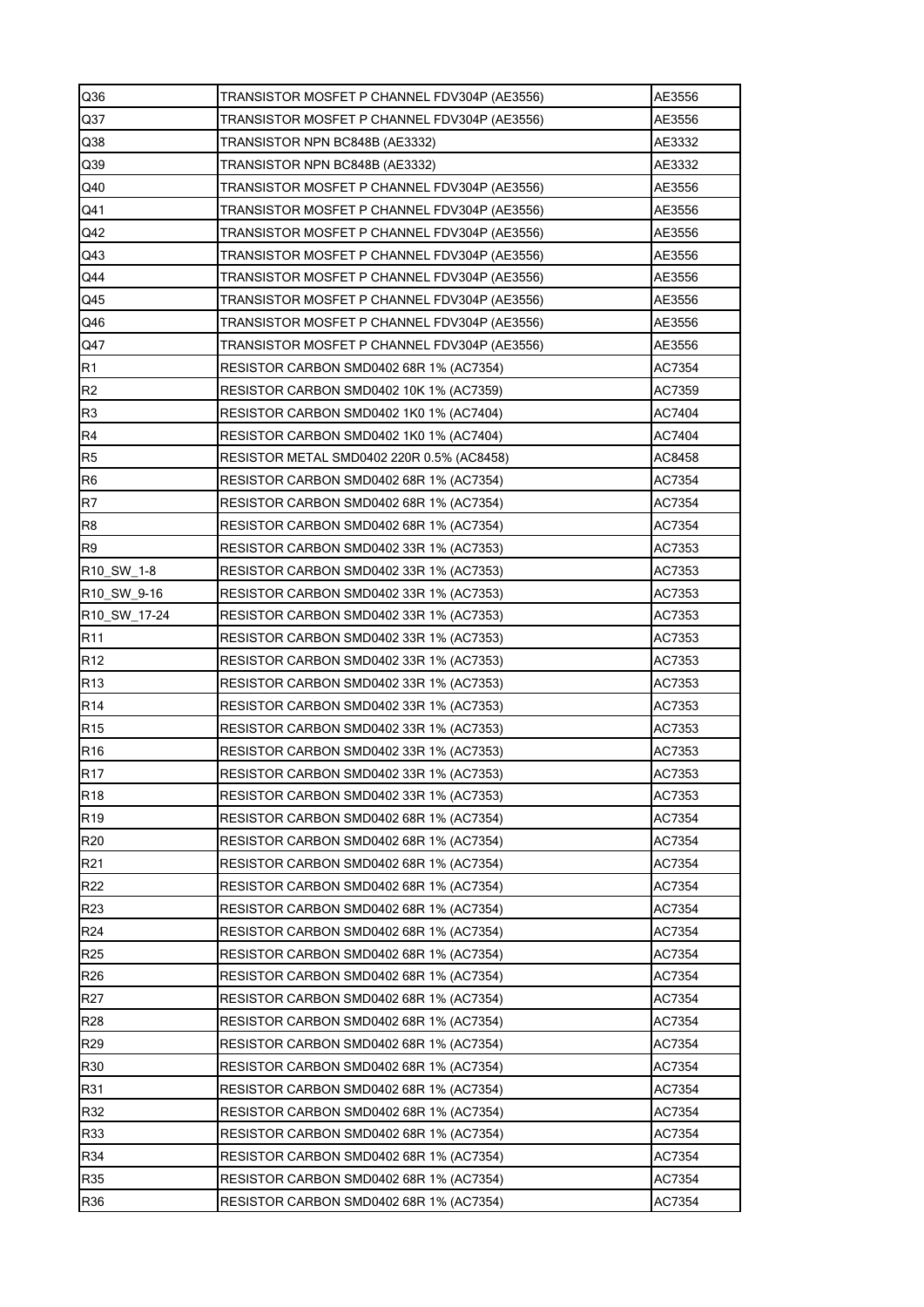| Q36                    | TRANSISTOR MOSFET P CHANNEL FDV304P (AE3556) | AE3556           |
|------------------------|----------------------------------------------|------------------|
| Q <sub>37</sub>        | TRANSISTOR MOSFET P CHANNEL FDV304P (AE3556) | AE3556           |
| Q38                    | TRANSISTOR NPN BC848B (AE3332)               | AE3332           |
| Q39                    | TRANSISTOR NPN BC848B (AE3332)               | AE3332           |
| Q40                    | TRANSISTOR MOSFET P CHANNEL FDV304P (AE3556) | AE3556           |
| Q41                    | TRANSISTOR MOSFET P CHANNEL FDV304P (AE3556) | AE3556           |
| Q42                    | TRANSISTOR MOSFET P CHANNEL FDV304P (AE3556) | AE3556           |
| Q43                    | TRANSISTOR MOSFET P CHANNEL FDV304P (AE3556) | AE3556           |
| Q44                    | TRANSISTOR MOSFET P CHANNEL FDV304P (AE3556) | AE3556           |
| Q45                    | TRANSISTOR MOSFET P CHANNEL FDV304P (AE3556) | AE3556           |
| Q46                    | TRANSISTOR MOSFET P CHANNEL FDV304P (AE3556) | AE3556           |
| Q47                    | TRANSISTOR MOSFET P CHANNEL FDV304P (AE3556) | AE3556           |
| R <sub>1</sub>         | RESISTOR CARBON SMD0402 68R 1% (AC7354)      | AC7354           |
| R <sub>2</sub>         | RESISTOR CARBON SMD0402 10K 1% (AC7359)      | AC7359           |
| R <sub>3</sub>         | RESISTOR CARBON SMD0402 1K0 1% (AC7404)      | AC7404           |
| R <sub>4</sub>         | RESISTOR CARBON SMD0402 1K0 1% (AC7404)      | AC7404           |
| R <sub>5</sub>         | RESISTOR METAL SMD0402 220R 0.5% (AC8458)    | AC8458           |
| R <sub>6</sub>         | RESISTOR CARBON SMD0402 68R 1% (AC7354)      | AC7354           |
| R7                     | RESISTOR CARBON SMD0402 68R 1% (AC7354)      | AC7354           |
| R <sub>8</sub>         | RESISTOR CARBON SMD0402 68R 1% (AC7354)      | AC7354           |
| R9                     | RESISTOR CARBON SMD0402 33R 1% (AC7353)      | AC7353           |
| R <sub>10</sub> SW 1-8 | RESISTOR CARBON SMD0402 33R 1% (AC7353)      | AC7353           |
| R10_SW_9-16            | RESISTOR CARBON SMD0402 33R 1% (AC7353)      | AC7353           |
| R10 SW 17-24           | RESISTOR CARBON SMD0402 33R 1% (AC7353)      | AC7353           |
| R <sub>11</sub>        | RESISTOR CARBON SMD0402 33R 1% (AC7353)      | AC7353           |
| R <sub>12</sub>        | RESISTOR CARBON SMD0402 33R 1% (AC7353)      | AC7353           |
| R <sub>13</sub>        | RESISTOR CARBON SMD0402 33R 1% (AC7353)      | AC7353           |
| R <sub>14</sub>        | RESISTOR CARBON SMD0402 33R 1% (AC7353)      | AC7353           |
| R <sub>15</sub>        | RESISTOR CARBON SMD0402 33R 1% (AC7353)      | AC7353           |
| R <sub>16</sub>        | RESISTOR CARBON SMD0402 33R 1% (AC7353)      | AC7353           |
| R <sub>17</sub>        | RESISTOR CARBON SMD0402 33R 1% (AC7353)      | AC7353           |
| R <sub>18</sub>        | RESISTOR CARBON SMD0402 33R 1% (AC7353)      | AC7353           |
| R <sub>19</sub>        | RESISTOR CARBON SMD0402 68R 1% (AC7354)      | AC7354           |
| R <sub>20</sub>        | RESISTOR CARBON SMD0402 68R 1% (AC7354)      | AC7354           |
| R <sub>21</sub>        | RESISTOR CARBON SMD0402 68R 1% (AC7354)      | AC7354           |
| R <sub>22</sub>        | RESISTOR CARBON SMD0402 68R 1% (AC7354)      | AC7354           |
| R <sub>23</sub>        | RESISTOR CARBON SMD0402 68R 1% (AC7354)      | AC7354           |
| R <sub>24</sub>        | RESISTOR CARBON SMD0402 68R 1% (AC7354)      | AC7354           |
| R <sub>25</sub>        | RESISTOR CARBON SMD0402 68R 1% (AC7354)      | AC7354           |
| R <sub>26</sub>        | RESISTOR CARBON SMD0402 68R 1% (AC7354)      | AC7354           |
| R <sub>27</sub>        |                                              | AC7354           |
| <b>R28</b>             | RESISTOR CARBON SMD0402 68R 1% (AC7354)      | AC7354           |
|                        | RESISTOR CARBON SMD0402 68R 1% (AC7354)      |                  |
| R <sub>29</sub><br>R30 | RESISTOR CARBON SMD0402 68R 1% (AC7354)      | AC7354<br>AC7354 |
|                        | RESISTOR CARBON SMD0402 68R 1% (AC7354)      |                  |
| R31                    | RESISTOR CARBON SMD0402 68R 1% (AC7354)      | AC7354           |
| R32                    | RESISTOR CARBON SMD0402 68R 1% (AC7354)      | AC7354           |
| R33                    | RESISTOR CARBON SMD0402 68R 1% (AC7354)      | AC7354           |
| R34                    | RESISTOR CARBON SMD0402 68R 1% (AC7354)      | AC7354           |
| R35                    | RESISTOR CARBON SMD0402 68R 1% (AC7354)      | AC7354           |
| <b>R36</b>             | RESISTOR CARBON SMD0402 68R 1% (AC7354)      | AC7354           |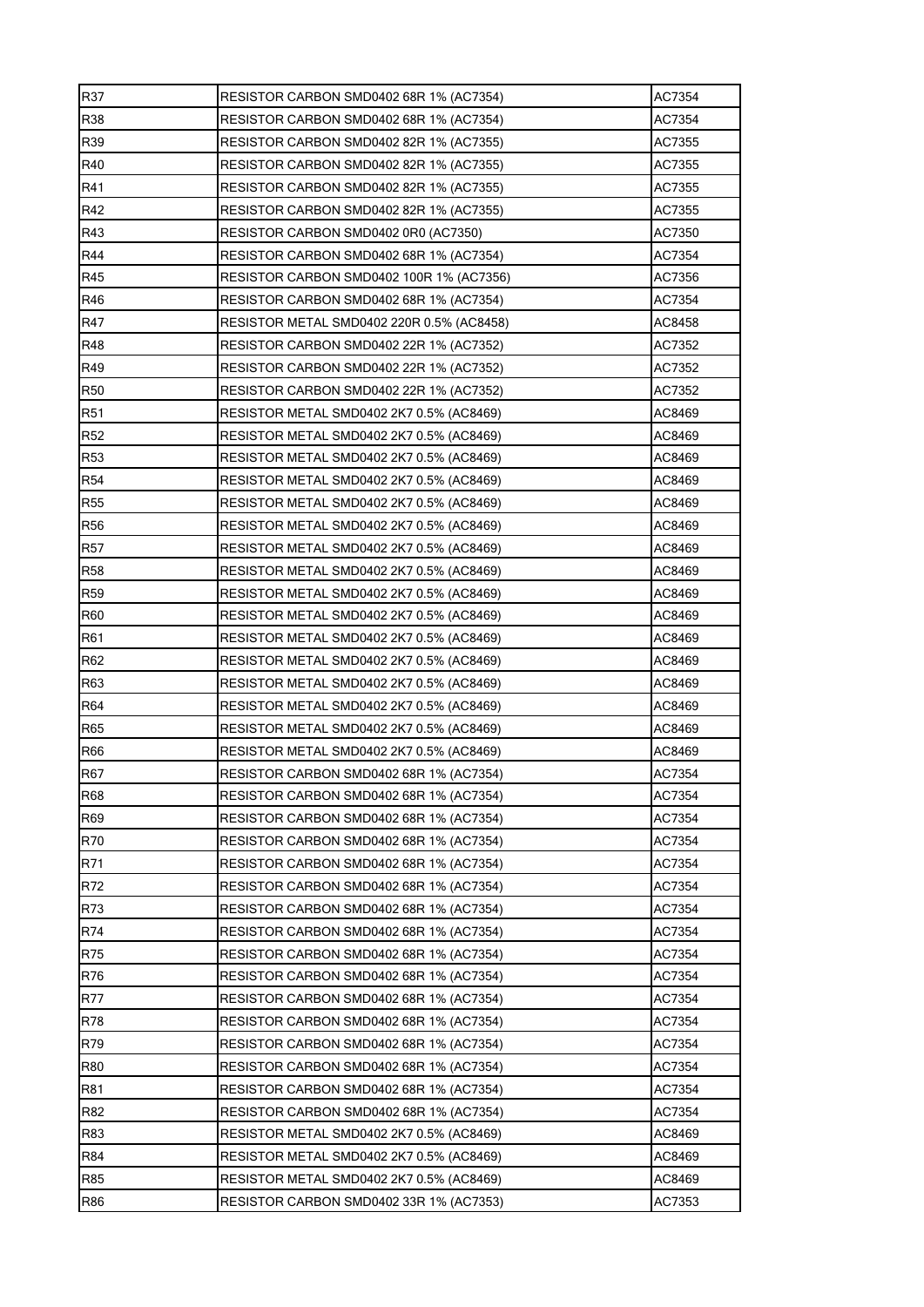| R37             | RESISTOR CARBON SMD0402 68R 1% (AC7354)   | AC7354 |
|-----------------|-------------------------------------------|--------|
| <b>R38</b>      | RESISTOR CARBON SMD0402 68R 1% (AC7354)   | AC7354 |
| R39             | RESISTOR CARBON SMD0402 82R 1% (AC7355)   | AC7355 |
| R40             | RESISTOR CARBON SMD0402 82R 1% (AC7355)   | AC7355 |
| R41             | RESISTOR CARBON SMD0402 82R 1% (AC7355)   | AC7355 |
| R42             | RESISTOR CARBON SMD0402 82R 1% (AC7355)   | AC7355 |
| R43             | RESISTOR CARBON SMD0402 0R0 (AC7350)      | AC7350 |
| R44             | RESISTOR CARBON SMD0402 68R 1% (AC7354)   | AC7354 |
| R45             | RESISTOR CARBON SMD0402 100R 1% (AC7356)  | AC7356 |
| R46             | RESISTOR CARBON SMD0402 68R 1% (AC7354)   | AC7354 |
| R47             | RESISTOR METAL SMD0402 220R 0.5% (AC8458) | AC8458 |
| <b>R48</b>      | RESISTOR CARBON SMD0402 22R 1% (AC7352)   | AC7352 |
| R49             | RESISTOR CARBON SMD0402 22R 1% (AC7352)   | AC7352 |
| R <sub>50</sub> | RESISTOR CARBON SMD0402 22R 1% (AC7352)   | AC7352 |
| R <sub>51</sub> | RESISTOR METAL SMD0402 2K7 0.5% (AC8469)  | AC8469 |
| R <sub>52</sub> | RESISTOR METAL SMD0402 2K7 0.5% (AC8469)  | AC8469 |
| R <sub>53</sub> | RESISTOR METAL SMD0402 2K7 0.5% (AC8469)  | AC8469 |
| <b>R54</b>      | RESISTOR METAL SMD0402 2K7 0.5% (AC8469)  | AC8469 |
| <b>R55</b>      | RESISTOR METAL SMD0402 2K7 0.5% (AC8469)  | AC8469 |
| <b>R56</b>      | RESISTOR METAL SMD0402 2K7 0.5% (AC8469)  | AC8469 |
| <b>R57</b>      | RESISTOR METAL SMD0402 2K7 0.5% (AC8469)  | AC8469 |
| <b>R58</b>      | RESISTOR METAL SMD0402 2K7 0.5% (AC8469)  | AC8469 |
| <b>R59</b>      | RESISTOR METAL SMD0402 2K7 0.5% (AC8469)  | AC8469 |
| <b>R60</b>      | RESISTOR METAL SMD0402 2K7 0.5% (AC8469)  | AC8469 |
| R61             | RESISTOR METAL SMD0402 2K7 0.5% (AC8469)  | AC8469 |
| R62             | RESISTOR METAL SMD0402 2K7 0.5% (AC8469)  | AC8469 |
| <b>R63</b>      | RESISTOR METAL SMD0402 2K7 0.5% (AC8469)  | AC8469 |
| R64             | RESISTOR METAL SMD0402 2K7 0.5% (AC8469)  | AC8469 |
| R65             | RESISTOR METAL SMD0402 2K7 0.5% (AC8469)  | AC8469 |
| <b>R66</b>      | RESISTOR METAL SMD0402 2K7 0.5% (AC8469)  | AC8469 |
| <b>R67</b>      | RESISTOR CARBON SMD0402 68R 1% (AC7354)   | AC7354 |
| <b>R68</b>      | RESISTOR CARBON SMD0402 68R 1% (AC7354)   | AC7354 |
| R69             | RESISTOR CARBON SMD0402 68R 1% (AC7354)   | AC7354 |
| R70             | RESISTOR CARBON SMD0402 68R 1% (AC7354)   | AC7354 |
| R71             | RESISTOR CARBON SMD0402 68R 1% (AC7354)   | AC7354 |
| R72             | RESISTOR CARBON SMD0402 68R 1% (AC7354)   | AC7354 |
| R73             | RESISTOR CARBON SMD0402 68R 1% (AC7354)   | AC7354 |
| R74             | RESISTOR CARBON SMD0402 68R 1% (AC7354)   | AC7354 |
| R75             | RESISTOR CARBON SMD0402 68R 1% (AC7354)   | AC7354 |
| R76             | RESISTOR CARBON SMD0402 68R 1% (AC7354)   | AC7354 |
| <b>R77</b>      | RESISTOR CARBON SMD0402 68R 1% (AC7354)   | AC7354 |
| <b>R78</b>      | RESISTOR CARBON SMD0402 68R 1% (AC7354)   | AC7354 |
| R79             | RESISTOR CARBON SMD0402 68R 1% (AC7354)   | AC7354 |
| <b>R80</b>      | RESISTOR CARBON SMD0402 68R 1% (AC7354)   | AC7354 |
| <b>R81</b>      | RESISTOR CARBON SMD0402 68R 1% (AC7354)   | AC7354 |
| R82             | RESISTOR CARBON SMD0402 68R 1% (AC7354)   | AC7354 |
| R83             | RESISTOR METAL SMD0402 2K7 0.5% (AC8469)  | AC8469 |
| <b>R84</b>      | RESISTOR METAL SMD0402 2K7 0.5% (AC8469)  | AC8469 |
| R85             | RESISTOR METAL SMD0402 2K7 0.5% (AC8469)  | AC8469 |
| R86             | RESISTOR CARBON SMD0402 33R 1% (AC7353)   | AC7353 |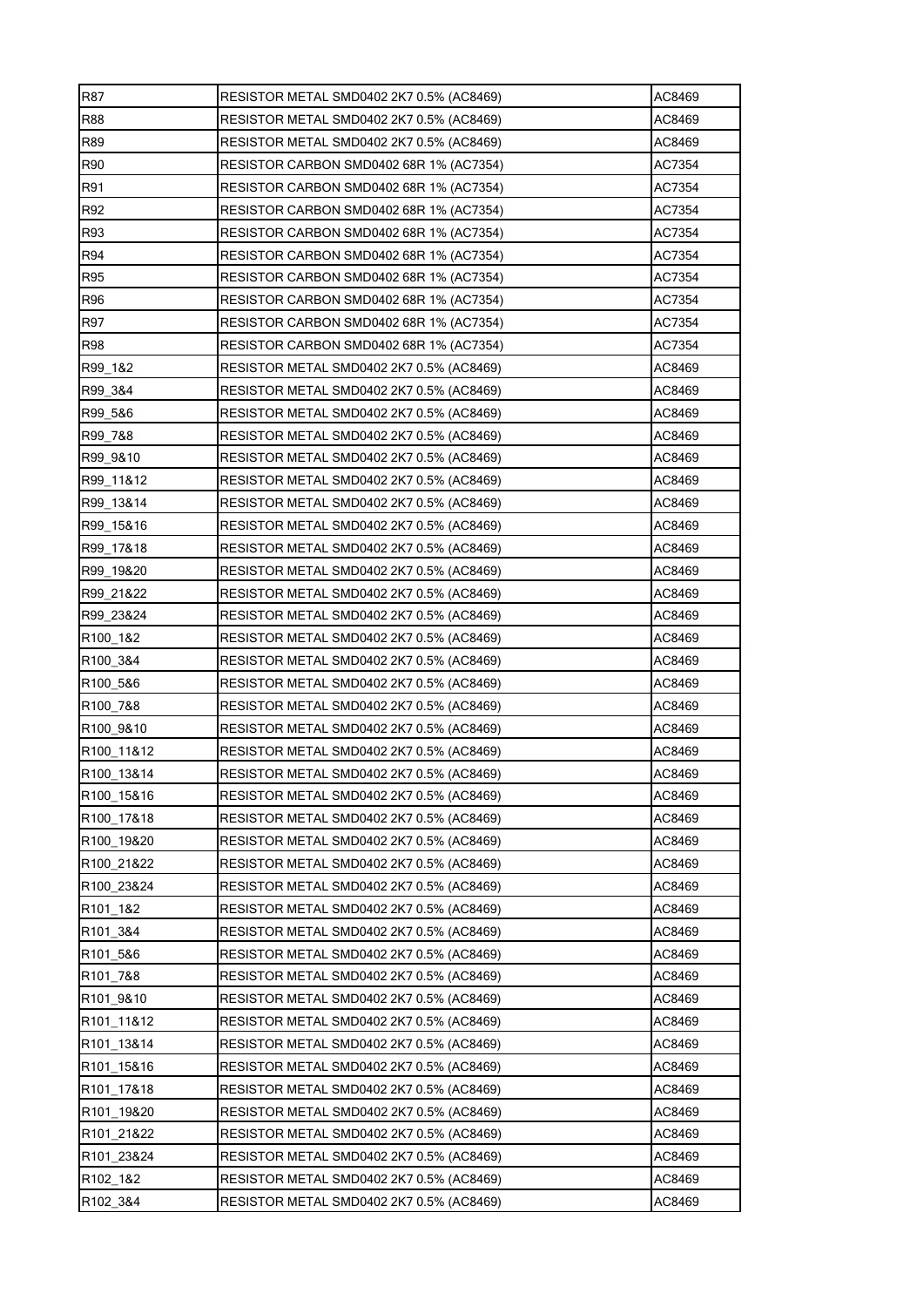| <b>R87</b>             | RESISTOR METAL SMD0402 2K7 0.5% (AC8469) | AC8469 |
|------------------------|------------------------------------------|--------|
| <b>R88</b>             | RESISTOR METAL SMD0402 2K7 0.5% (AC8469) | AC8469 |
| R89                    | RESISTOR METAL SMD0402 2K7 0.5% (AC8469) | AC8469 |
| <b>R90</b>             | RESISTOR CARBON SMD0402 68R 1% (AC7354)  | AC7354 |
| <b>R91</b>             | RESISTOR CARBON SMD0402 68R 1% (AC7354)  | AC7354 |
| R92                    | RESISTOR CARBON SMD0402 68R 1% (AC7354)  | AC7354 |
| R93                    | RESISTOR CARBON SMD0402 68R 1% (AC7354)  | AC7354 |
| R94                    | RESISTOR CARBON SMD0402 68R 1% (AC7354)  | AC7354 |
| R95                    | RESISTOR CARBON SMD0402 68R 1% (AC7354)  | AC7354 |
| <b>R96</b>             | RESISTOR CARBON SMD0402 68R 1% (AC7354)  | AC7354 |
| <b>R97</b>             | RESISTOR CARBON SMD0402 68R 1% (AC7354)  | AC7354 |
| <b>R98</b>             | RESISTOR CARBON SMD0402 68R 1% (AC7354)  | AC7354 |
| R99 1&2                | RESISTOR METAL SMD0402 2K7 0.5% (AC8469) | AC8469 |
| R99 3&4                | RESISTOR METAL SMD0402 2K7 0.5% (AC8469) | AC8469 |
| R99 5&6                | RESISTOR METAL SMD0402 2K7 0.5% (AC8469) | AC8469 |
| R99 7&8                | RESISTOR METAL SMD0402 2K7 0.5% (AC8469) | AC8469 |
| R99 9&10               | RESISTOR METAL SMD0402 2K7 0.5% (AC8469) | AC8469 |
| R99 11&12              | RESISTOR METAL SMD0402 2K7 0.5% (AC8469) | AC8469 |
| R99 13&14              | RESISTOR METAL SMD0402 2K7 0.5% (AC8469) | AC8469 |
| R99 15&16              | RESISTOR METAL SMD0402 2K7 0.5% (AC8469) | AC8469 |
| R99 17&18              | RESISTOR METAL SMD0402 2K7 0.5% (AC8469) | AC8469 |
| R99 19&20              | RESISTOR METAL SMD0402 2K7 0.5% (AC8469) | AC8469 |
| R99 21&22              | RESISTOR METAL SMD0402 2K7 0.5% (AC8469) | AC8469 |
| R99 23&24              | RESISTOR METAL SMD0402 2K7 0.5% (AC8469) | AC8469 |
| R <sub>100</sub> 1&2   | RESISTOR METAL SMD0402 2K7 0.5% (AC8469) | AC8469 |
| R100 3&4               | RESISTOR METAL SMD0402 2K7 0.5% (AC8469) | AC8469 |
| R100_5&6               | RESISTOR METAL SMD0402 2K7 0.5% (AC8469) | AC8469 |
| R100 7&8               | RESISTOR METAL SMD0402 2K7 0.5% (AC8469) | AC8469 |
| R100 9&10              | RESISTOR METAL SMD0402 2K7 0.5% (AC8469) | AC8469 |
| R100_11&12             | RESISTOR METAL SMD0402 2K7 0.5% (AC8469) | AC8469 |
| R <sub>100</sub> 13&14 | RESISTOR METAL SMD0402 2K7 0.5% (AC8469) | AC8469 |
| R100_15&16             | RESISTOR METAL SMD0402 2K7 0.5% (AC8469) | AC8469 |
| R100_17&18             | RESISTOR METAL SMD0402 2K7 0.5% (AC8469) | AC8469 |
| R100 19&20             | RESISTOR METAL SMD0402 2K7 0.5% (AC8469) | AC8469 |
| R100 21&22             | RESISTOR METAL SMD0402 2K7 0.5% (AC8469) | AC8469 |
| R100_23&24             | RESISTOR METAL SMD0402 2K7 0.5% (AC8469) | AC8469 |
| R101 1&2               | RESISTOR METAL SMD0402 2K7 0.5% (AC8469) | AC8469 |
| R101 3&4               | RESISTOR METAL SMD0402 2K7 0.5% (AC8469) | AC8469 |
| R101 5&6               | RESISTOR METAL SMD0402 2K7 0.5% (AC8469) | AC8469 |
| R101 7&8               | RESISTOR METAL SMD0402 2K7 0.5% (AC8469) | AC8469 |
| R101 9&10              | RESISTOR METAL SMD0402 2K7 0.5% (AC8469) | AC8469 |
| R101 11&12             | RESISTOR METAL SMD0402 2K7 0.5% (AC8469) | AC8469 |
| R101 13&14             | RESISTOR METAL SMD0402 2K7 0.5% (AC8469) | AC8469 |
| R101_15&16             | RESISTOR METAL SMD0402 2K7 0.5% (AC8469) | AC8469 |
| R101 17&18             | RESISTOR METAL SMD0402 2K7 0.5% (AC8469) | AC8469 |
| R101 19&20             | RESISTOR METAL SMD0402 2K7 0.5% (AC8469) | AC8469 |
| R101 21&22             | RESISTOR METAL SMD0402 2K7 0.5% (AC8469) | AC8469 |
| R101 23&24             | RESISTOR METAL SMD0402 2K7 0.5% (AC8469) | AC8469 |
| R102_1&2               | RESISTOR METAL SMD0402 2K7 0.5% (AC8469) | AC8469 |
| R102_3&4               | RESISTOR METAL SMD0402 2K7 0.5% (AC8469) | AC8469 |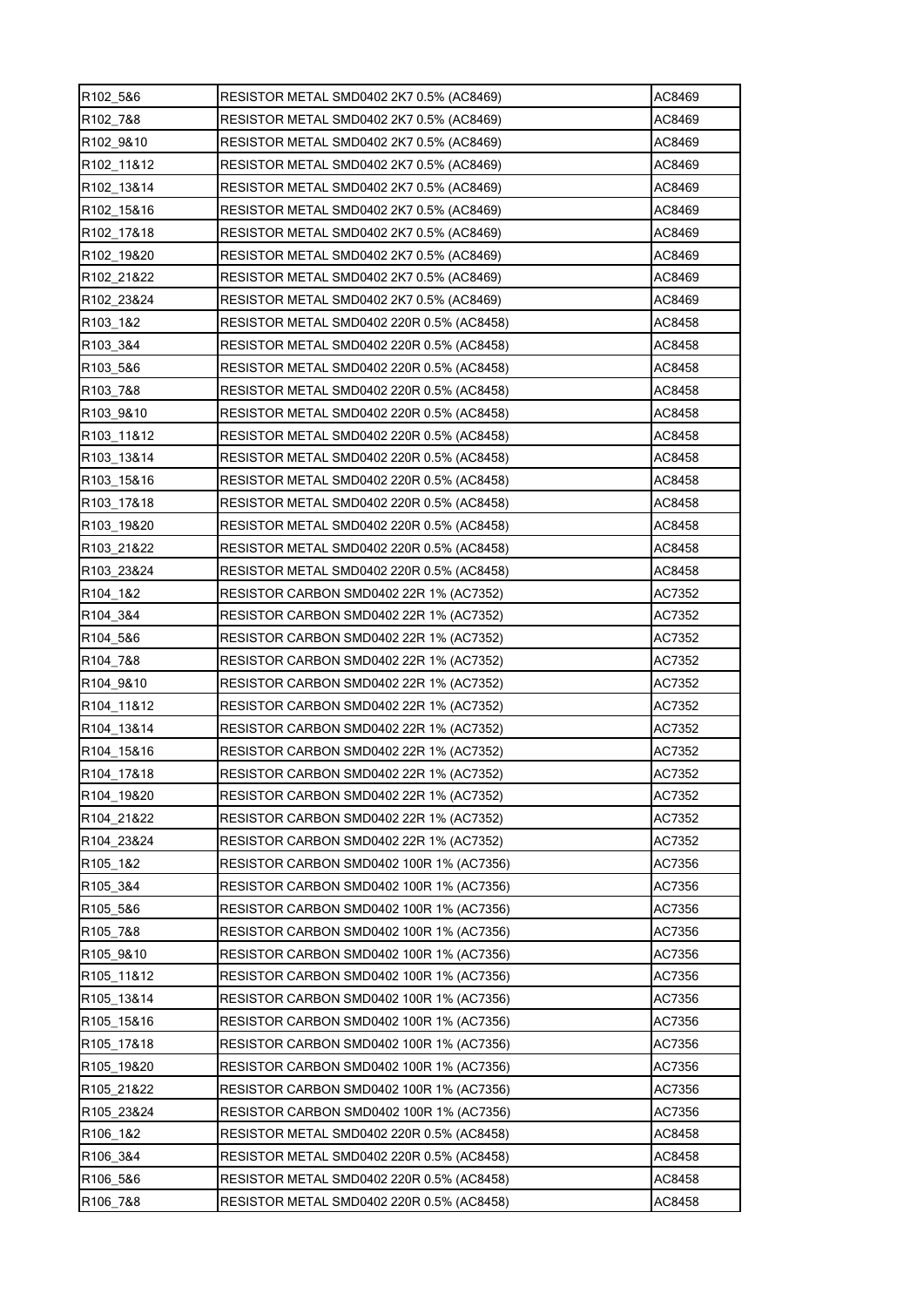| R <sub>102</sub> 5&6   | RESISTOR METAL SMD0402 2K7 0.5% (AC8469)        | AC8469 |
|------------------------|-------------------------------------------------|--------|
| R102 7&8               | RESISTOR METAL SMD0402 2K7 0.5% (AC8469)        | AC8469 |
| R102 9&10              | RESISTOR METAL SMD0402 2K7 0.5% (AC8469)        | AC8469 |
| R <sub>102</sub> 11&12 | RESISTOR METAL SMD0402 2K7 0.5% (AC8469)        | AC8469 |
| R <sub>102</sub> 13&14 | RESISTOR METAL SMD0402 2K7 0.5% (AC8469)        | AC8469 |
| R <sub>102</sub> 15&16 | RESISTOR METAL SMD0402 2K7 0.5% (AC8469)        | AC8469 |
| R102 17&18             | RESISTOR METAL SMD0402 2K7 0.5% (AC8469)        | AC8469 |
| R102 19&20             | RESISTOR METAL SMD0402 2K7 0.5% (AC8469)        | AC8469 |
| R102 21&22             | RESISTOR METAL SMD0402 2K7 0.5% (AC8469)        | AC8469 |
| R102 23&24             | RESISTOR METAL SMD0402 2K7 0.5% (AC8469)        | AC8469 |
| R103_1&2               | RESISTOR METAL SMD0402 220R 0.5% (AC8458)       | AC8458 |
| R103 3&4               | RESISTOR METAL SMD0402 220R 0.5% (AC8458)       | AC8458 |
| R103 5&6               | RESISTOR METAL SMD0402 220R 0.5% (AC8458)       | AC8458 |
| R103 7&8               | RESISTOR METAL SMD0402 220R 0.5% (AC8458)       | AC8458 |
| R <sub>103</sub> 9&10  | RESISTOR METAL SMD0402 220R 0.5% (AC8458)       | AC8458 |
| R103 11&12             | RESISTOR METAL SMD0402 220R 0.5% (AC8458)       | AC8458 |
| R103 13&14             | RESISTOR METAL SMD0402 220R 0.5% (AC8458)       | AC8458 |
| R103 15&16             | RESISTOR METAL SMD0402 220R 0.5% (AC8458)       | AC8458 |
| R103_17&18             | RESISTOR METAL SMD0402 220R 0.5% (AC8458)       | AC8458 |
| R103 19&20             | RESISTOR METAL SMD0402 220R 0.5% (AC8458)       | AC8458 |
| R103 21&22             | RESISTOR METAL SMD0402 220R 0.5% (AC8458)       | AC8458 |
| R103 23&24             | RESISTOR METAL SMD0402 220R 0.5% (AC8458)       | AC8458 |
| R <sub>104</sub> 1&2   | RESISTOR CARBON SMD0402 22R 1% (AC7352)         | AC7352 |
| R <sub>104</sub> 3&4   | RESISTOR CARBON SMD0402 22R 1% (AC7352)         | AC7352 |
| R <sub>104</sub> 5&6   | RESISTOR CARBON SMD0402 22R 1% (AC7352)         | AC7352 |
| R104 7&8               | RESISTOR CARBON SMD0402 22R 1% (AC7352)         | AC7352 |
| R104 9&10              | RESISTOR CARBON SMD0402 22R 1% (AC7352)         | AC7352 |
| R104 11&12             | RESISTOR CARBON SMD0402 22R 1% (AC7352)         | AC7352 |
| R104 13&14             | RESISTOR CARBON SMD0402 22R 1% (AC7352)         | AC7352 |
| R104_15&16             | <b>RESISTOR CARBON SMD0402 22R 1% (AC7352)</b>  | AC7352 |
| R104 17&18             | RESISTOR CARBON SMD0402 22R 1% (AC7352)         | AC7352 |
| R104 19&20             | RESISTOR CARBON SMD0402 22R 1% (AC7352)         | AC7352 |
| R104 21&22             | RESISTOR CARBON SMD0402 22R 1% (AC7352)         | AC7352 |
| R104 23&24             | RESISTOR CARBON SMD0402 22R 1% (AC7352)         | AC7352 |
| R105 1&2               | RESISTOR CARBON SMD0402 100R 1% (AC7356)        | AC7356 |
| R105 3&4               | RESISTOR CARBON SMD0402 100R 1% (AC7356)        | AC7356 |
| R105 5&6               | RESISTOR CARBON SMD0402 100R 1% (AC7356)        | AC7356 |
| R105_7&8               | <b>RESISTOR CARBON SMD0402 100R 1% (AC7356)</b> | AC7356 |
| R <sub>105</sub> 9&10  | RESISTOR CARBON SMD0402 100R 1% (AC7356)        | AC7356 |
| R105 11&12             | RESISTOR CARBON SMD0402 100R 1% (AC7356)        | AC7356 |
| R105_13&14             | RESISTOR CARBON SMD0402 100R 1% (AC7356)        | AC7356 |
| R105 15&16             | <b>RESISTOR CARBON SMD0402 100R 1% (AC7356)</b> | AC7356 |
| R <sub>105</sub> 17&18 | <b>RESISTOR CARBON SMD0402 100R 1% (AC7356)</b> | AC7356 |
| R105 19&20             | <b>RESISTOR CARBON SMD0402 100R 1% (AC7356)</b> | AC7356 |
| R105 21&22             | RESISTOR CARBON SMD0402 100R 1% (AC7356)        | AC7356 |
| R105 23&24             | RESISTOR CARBON SMD0402 100R 1% (AC7356)        | AC7356 |
| R106 1&2               | RESISTOR METAL SMD0402 220R 0.5% (AC8458)       | AC8458 |
| R106 3&4               | RESISTOR METAL SMD0402 220R 0.5% (AC8458)       | AC8458 |
| R106 5&6               | RESISTOR METAL SMD0402 220R 0.5% (AC8458)       | AC8458 |
| R106 7&8               | RESISTOR METAL SMD0402 220R 0.5% (AC8458)       | AC8458 |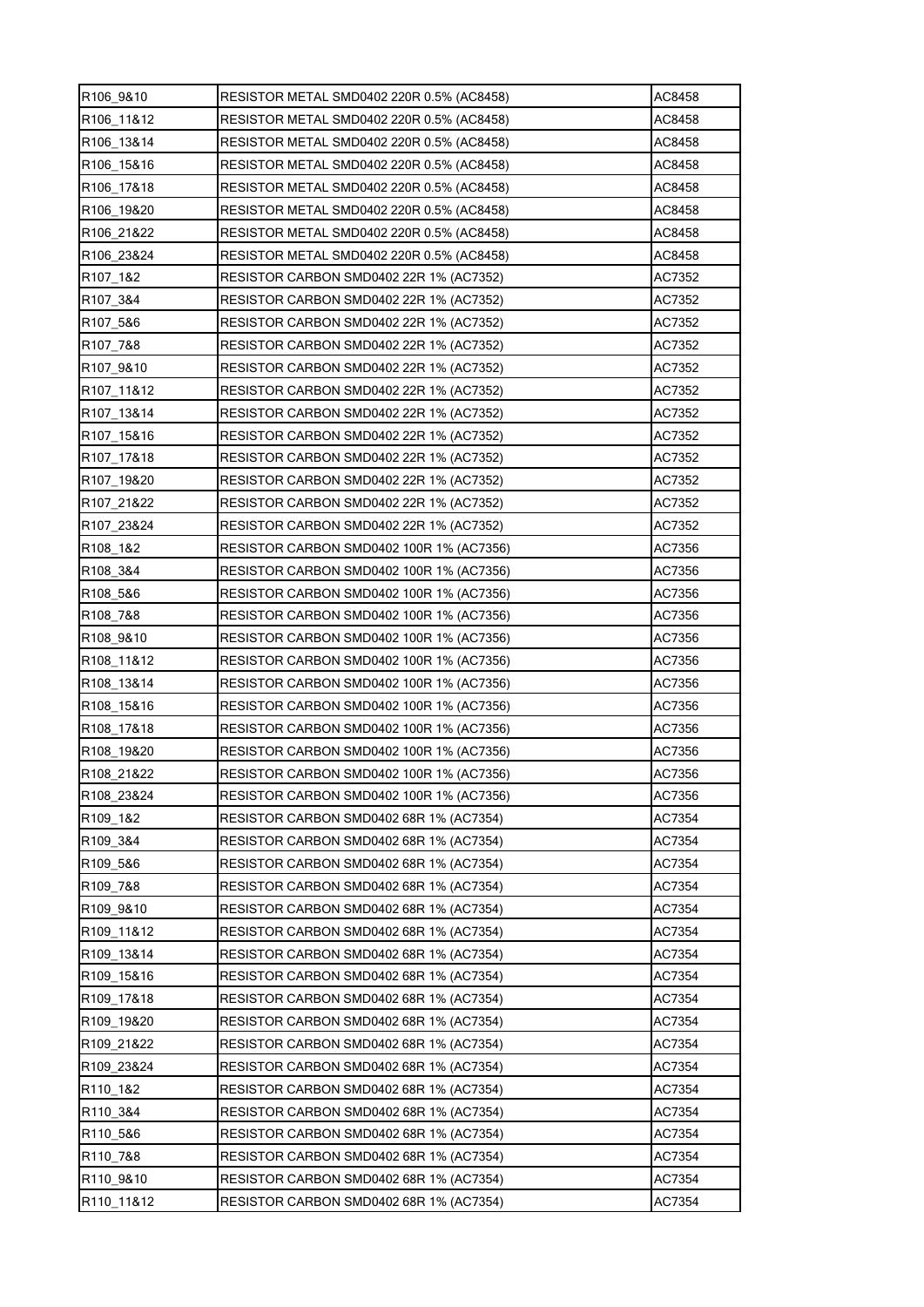| R106_9&10              | RESISTOR METAL SMD0402 220R 0.5% (AC8458)      | AC8458 |
|------------------------|------------------------------------------------|--------|
| R106 11&12             | RESISTOR METAL SMD0402 220R 0.5% (AC8458)      | AC8458 |
| R106 13&14             | RESISTOR METAL SMD0402 220R 0.5% (AC8458)      | AC8458 |
| R106 15&16             | RESISTOR METAL SMD0402 220R 0.5% (AC8458)      | AC8458 |
| R <sub>106</sub> 17&18 | RESISTOR METAL SMD0402 220R 0.5% (AC8458)      | AC8458 |
| R <sub>106</sub> 19&20 | RESISTOR METAL SMD0402 220R 0.5% (AC8458)      | AC8458 |
| R106 21&22             | RESISTOR METAL SMD0402 220R 0.5% (AC8458)      | AC8458 |
| R106_23&24             | RESISTOR METAL SMD0402 220R 0.5% (AC8458)      | AC8458 |
| R107 1&2               | RESISTOR CARBON SMD0402 22R 1% (AC7352)        | AC7352 |
| R107 3&4               | RESISTOR CARBON SMD0402 22R 1% (AC7352)        | AC7352 |
| R107_5&6               | RESISTOR CARBON SMD0402 22R 1% (AC7352)        | AC7352 |
| R <sub>107</sub> 7&8   | RESISTOR CARBON SMD0402 22R 1% (AC7352)        | AC7352 |
| R107 9&10              | RESISTOR CARBON SMD0402 22R 1% (AC7352)        | AC7352 |
| R107 11&12             | RESISTOR CARBON SMD0402 22R 1% (AC7352)        | AC7352 |
| R107_13&14             | RESISTOR CARBON SMD0402 22R 1% (AC7352)        | AC7352 |
| R107_15&16             | RESISTOR CARBON SMD0402 22R 1% (AC7352)        | AC7352 |
| R <sub>107</sub> 17&18 | RESISTOR CARBON SMD0402 22R 1% (AC7352)        | AC7352 |
| R107_19&20             | RESISTOR CARBON SMD0402 22R 1% (AC7352)        | AC7352 |
| R107_21&22             | RESISTOR CARBON SMD0402 22R 1% (AC7352)        | AC7352 |
| R107 23&24             | RESISTOR CARBON SMD0402 22R 1% (AC7352)        | AC7352 |
| R108 1&2               | RESISTOR CARBON SMD0402 100R 1% (AC7356)       | AC7356 |
| R108 3&4               | RESISTOR CARBON SMD0402 100R 1% (AC7356)       | AC7356 |
| R <sub>108</sub> 5&6   | RESISTOR CARBON SMD0402 100R 1% (AC7356)       | AC7356 |
| R <sub>108</sub> 7&8   | RESISTOR CARBON SMD0402 100R 1% (AC7356)       | AC7356 |
| R108 9&10              | RESISTOR CARBON SMD0402 100R 1% (AC7356)       | AC7356 |
| R108 11&12             | RESISTOR CARBON SMD0402 100R 1% (AC7356)       | AC7356 |
| R <sub>108</sub> 13&14 | RESISTOR CARBON SMD0402 100R 1% (AC7356)       | AC7356 |
| R108 15&16             | RESISTOR CARBON SMD0402 100R 1% (AC7356)       | AC7356 |
| R108_17&18             | RESISTOR CARBON SMD0402 100R 1% (AC7356)       | AC7356 |
| R108_19&20             | RESISTOR CARBON SMD0402 100R 1% (AC7356)       | AC7356 |
| R108 21&22             | RESISTOR CARBON SMD0402 100R 1% (AC7356)       | AC7356 |
| R108 23&24             | RESISTOR CARBON SMD0402 100R 1% (AC7356)       | AC7356 |
| R109 1&2               | RESISTOR CARBON SMD0402 68R 1% (AC7354)        | AC7354 |
| R109 3&4               | RESISTOR CARBON SMD0402 68R 1% (AC7354)        | AC7354 |
| R109 5&6               | RESISTOR CARBON SMD0402 68R 1% (AC7354)        | AC7354 |
| R109_7&8               | RESISTOR CARBON SMD0402 68R 1% (AC7354)        | AC7354 |
| R109 9&10              | RESISTOR CARBON SMD0402 68R 1% (AC7354)        | AC7354 |
| R109_11&12             | RESISTOR CARBON SMD0402 68R 1% (AC7354)        | AC7354 |
| R <sub>109</sub> 13&14 | RESISTOR CARBON SMD0402 68R 1% (AC7354)        | AC7354 |
| R109 15&16             | RESISTOR CARBON SMD0402 68R 1% (AC7354)        | AC7354 |
| R109 17&18             | RESISTOR CARBON SMD0402 68R 1% (AC7354)        | AC7354 |
| R109_19&20             | RESISTOR CARBON SMD0402 68R 1% (AC7354)        | AC7354 |
| R109_21&22             | RESISTOR CARBON SMD0402 68R 1% (AC7354)        | AC7354 |
| R109 23&24             | RESISTOR CARBON SMD0402 68R 1% (AC7354)        | AC7354 |
| R110 1&2               | RESISTOR CARBON SMD0402 68R 1% (AC7354)        | AC7354 |
| R110_3&4               | RESISTOR CARBON SMD0402 68R 1% (AC7354)        | AC7354 |
| R110_5&6               | RESISTOR CARBON SMD0402 68R 1% (AC7354)        | AC7354 |
| R110 7&8               | <b>RESISTOR CARBON SMD0402 68R 1% (AC7354)</b> | AC7354 |
| R110 9&10              | RESISTOR CARBON SMD0402 68R 1% (AC7354)        | AC7354 |
| R110 11&12             | RESISTOR CARBON SMD0402 68R 1% (AC7354)        | AC7354 |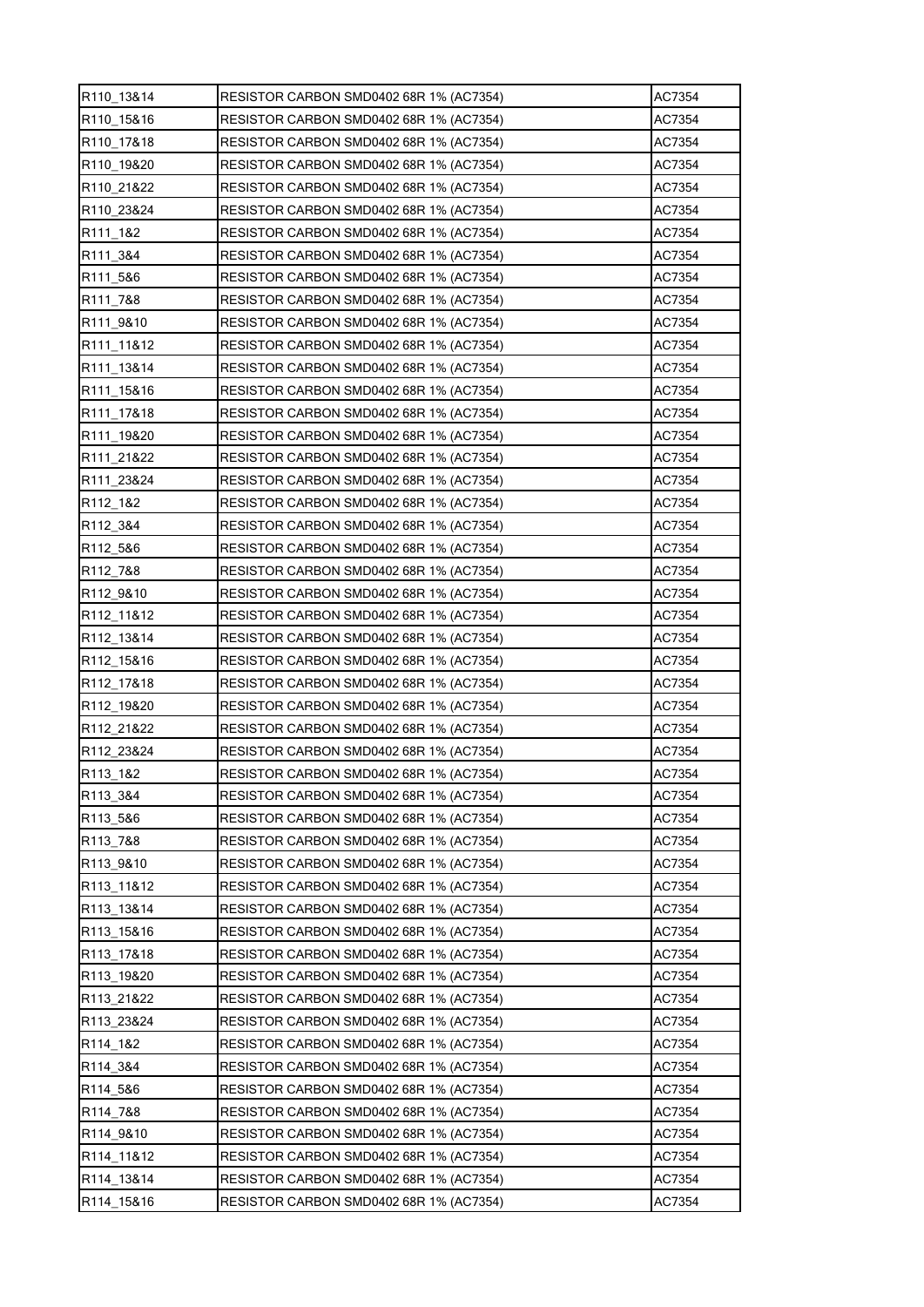| R110_13&14             | RESISTOR CARBON SMD0402 68R 1% (AC7354) | AC7354 |
|------------------------|-----------------------------------------|--------|
| R110 15&16             | RESISTOR CARBON SMD0402 68R 1% (AC7354) | AC7354 |
| R110 17&18             | RESISTOR CARBON SMD0402 68R 1% (AC7354) | AC7354 |
| R110_19&20             | RESISTOR CARBON SMD0402 68R 1% (AC7354) | AC7354 |
| R110 21&22             | RESISTOR CARBON SMD0402 68R 1% (AC7354) | AC7354 |
| R <sub>110</sub> 23&24 | RESISTOR CARBON SMD0402 68R 1% (AC7354) | AC7354 |
| R <sub>111</sub> 1&2   | RESISTOR CARBON SMD0402 68R 1% (AC7354) | AC7354 |
| R111_3&4               | RESISTOR CARBON SMD0402 68R 1% (AC7354) | AC7354 |
| R111 5&6               | RESISTOR CARBON SMD0402 68R 1% (AC7354) | AC7354 |
| R <sub>111</sub> 7&8   | RESISTOR CARBON SMD0402 68R 1% (AC7354) | AC7354 |
| R <sub>111</sub> 9&10  | RESISTOR CARBON SMD0402 68R 1% (AC7354) | AC7354 |
| R <sub>111</sub> 11&12 | RESISTOR CARBON SMD0402 68R 1% (AC7354) | AC7354 |
| R111_13&14             | RESISTOR CARBON SMD0402 68R 1% (AC7354) | AC7354 |
| R111 15&16             | RESISTOR CARBON SMD0402 68R 1% (AC7354) | AC7354 |
| R111 17&18             | RESISTOR CARBON SMD0402 68R 1% (AC7354) | AC7354 |
| R <sub>111</sub> 19&20 | RESISTOR CARBON SMD0402 68R 1% (AC7354) | AC7354 |
| R111 21&22             | RESISTOR CARBON SMD0402 68R 1% (AC7354) | AC7354 |
| R111 23&24             | RESISTOR CARBON SMD0402 68R 1% (AC7354) | AC7354 |
| R112 1&2               | RESISTOR CARBON SMD0402 68R 1% (AC7354) | AC7354 |
| R <sub>112</sub> 3&4   | RESISTOR CARBON SMD0402 68R 1% (AC7354) | AC7354 |
| R112 5&6               | RESISTOR CARBON SMD0402 68R 1% (AC7354) | AC7354 |
| R <sub>112</sub> 7&8   | RESISTOR CARBON SMD0402 68R 1% (AC7354) | AC7354 |
| R <sub>112</sub> 9&10  | RESISTOR CARBON SMD0402 68R 1% (AC7354) | AC7354 |
| R <sub>112</sub> 11&12 | RESISTOR CARBON SMD0402 68R 1% (AC7354) | AC7354 |
| R112 13&14             | RESISTOR CARBON SMD0402 68R 1% (AC7354) | AC7354 |
| R112 15&16             | RESISTOR CARBON SMD0402 68R 1% (AC7354) | AC7354 |
| R <sub>112</sub> 17&18 | RESISTOR CARBON SMD0402 68R 1% (AC7354) | AC7354 |
| R112 19&20             | RESISTOR CARBON SMD0402 68R 1% (AC7354) | AC7354 |
| R112 21&22             | RESISTOR CARBON SMD0402 68R 1% (AC7354) | AC7354 |
| R112_23&24             | RESISTOR CARBON SMD0402 68R 1% (AC7354) | AC7354 |
| R113 1&2               | RESISTOR CARBON SMD0402 68R 1% (AC7354) | AC7354 |
| R113 3&4               | RESISTOR CARBON SMD0402 68R 1% (AC7354) | AC7354 |
| R113 5&6               | RESISTOR CARBON SMD0402 68R 1% (AC7354) | AC7354 |
| R113_7&8               | RESISTOR CARBON SMD0402 68R 1% (AC7354) | AC7354 |
| R113_9&10              | RESISTOR CARBON SMD0402 68R 1% (AC7354) | AC7354 |
| R113_11&12             | RESISTOR CARBON SMD0402 68R 1% (AC7354) | AC7354 |
| R113 13&14             | RESISTOR CARBON SMD0402 68R 1% (AC7354) | AC7354 |
| R113_15&16             | RESISTOR CARBON SMD0402 68R 1% (AC7354) | AC7354 |
| R113 17&18             | RESISTOR CARBON SMD0402 68R 1% (AC7354) | AC7354 |
| R113 19&20             | RESISTOR CARBON SMD0402 68R 1% (AC7354) | AC7354 |
| R113 21&22             | RESISTOR CARBON SMD0402 68R 1% (AC7354) | AC7354 |
| R113_23&24             | RESISTOR CARBON SMD0402 68R 1% (AC7354) | AC7354 |
| R114_1&2               | RESISTOR CARBON SMD0402 68R 1% (AC7354) | AC7354 |
| R114 3&4               | RESISTOR CARBON SMD0402 68R 1% (AC7354) | AC7354 |
| R114 5&6               | RESISTOR CARBON SMD0402 68R 1% (AC7354) | AC7354 |
| R114_7&8               | RESISTOR CARBON SMD0402 68R 1% (AC7354) | AC7354 |
| R114_9&10              | RESISTOR CARBON SMD0402 68R 1% (AC7354) | AC7354 |
| R114 11&12             | RESISTOR CARBON SMD0402 68R 1% (AC7354) | AC7354 |
| R114_13&14             | RESISTOR CARBON SMD0402 68R 1% (AC7354) | AC7354 |
| R114_15&16             | RESISTOR CARBON SMD0402 68R 1% (AC7354) | AC7354 |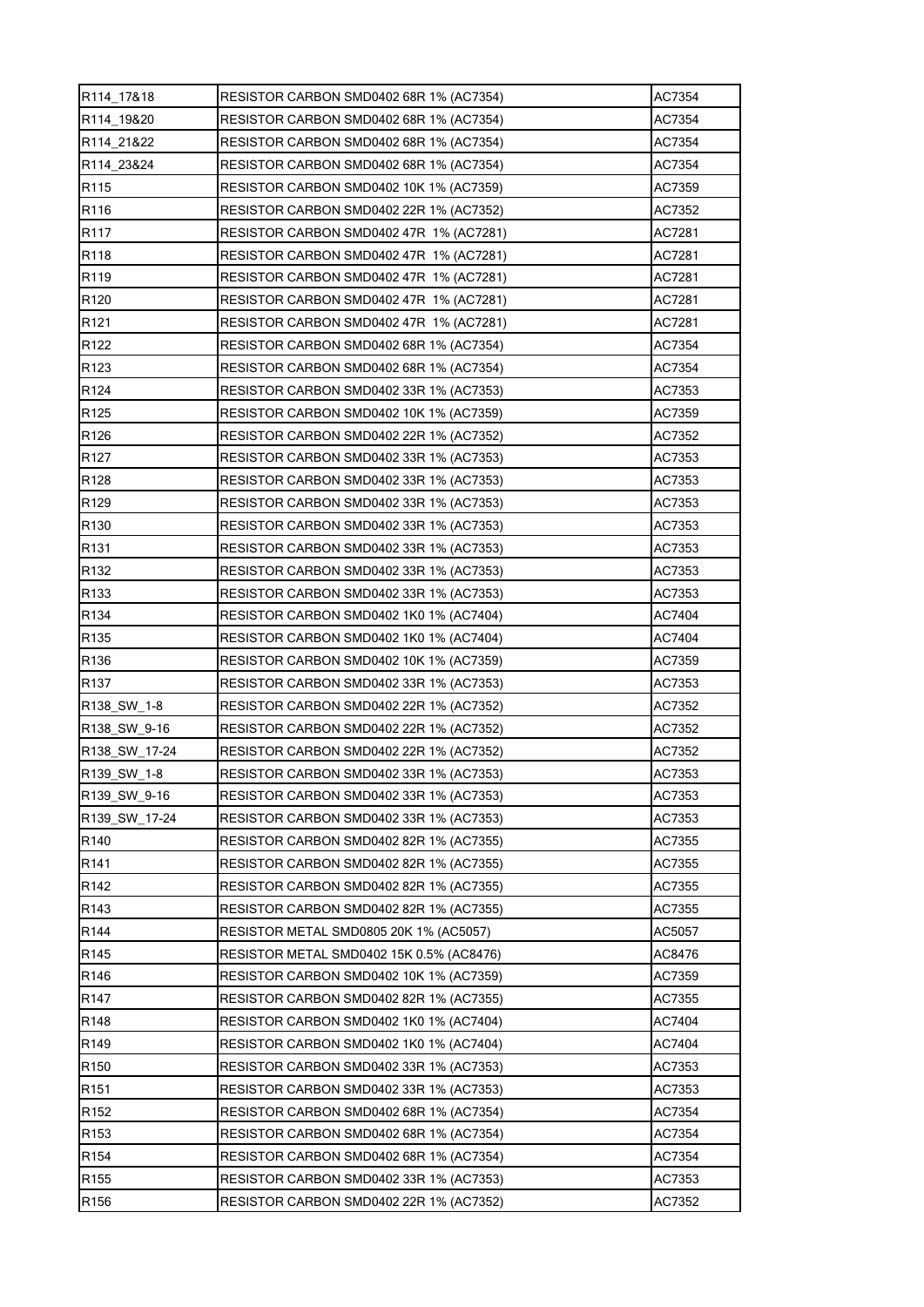| R114_17&18       | RESISTOR CARBON SMD0402 68R 1% (AC7354)  | AC7354 |
|------------------|------------------------------------------|--------|
| R114 19&20       | RESISTOR CARBON SMD0402 68R 1% (AC7354)  | AC7354 |
| R114 21&22       | RESISTOR CARBON SMD0402 68R 1% (AC7354)  | AC7354 |
| R114 23&24       | RESISTOR CARBON SMD0402 68R 1% (AC7354)  | AC7354 |
| R115             | RESISTOR CARBON SMD0402 10K 1% (AC7359)  | AC7359 |
| R116             | RESISTOR CARBON SMD0402 22R 1% (AC7352)  | AC7352 |
| R <sub>117</sub> | RESISTOR CARBON SMD0402 47R 1% (AC7281)  | AC7281 |
| R118             | RESISTOR CARBON SMD0402 47R 1% (AC7281)  | AC7281 |
| R119             | RESISTOR CARBON SMD0402 47R 1% (AC7281)  | AC7281 |
| R <sub>120</sub> | RESISTOR CARBON SMD0402 47R 1% (AC7281)  | AC7281 |
| R <sub>121</sub> | RESISTOR CARBON SMD0402 47R 1% (AC7281)  | AC7281 |
| R122             | RESISTOR CARBON SMD0402 68R 1% (AC7354)  | AC7354 |
| R <sub>123</sub> | RESISTOR CARBON SMD0402 68R 1% (AC7354)  | AC7354 |
| R124             | RESISTOR CARBON SMD0402 33R 1% (AC7353)  | AC7353 |
| R125             | RESISTOR CARBON SMD0402 10K 1% (AC7359)  | AC7359 |
| R <sub>126</sub> | RESISTOR CARBON SMD0402 22R 1% (AC7352)  | AC7352 |
| R <sub>127</sub> | RESISTOR CARBON SMD0402 33R 1% (AC7353)  | AC7353 |
| R <sub>128</sub> | RESISTOR CARBON SMD0402 33R 1% (AC7353)  | AC7353 |
| R <sub>129</sub> | RESISTOR CARBON SMD0402 33R 1% (AC7353)  | AC7353 |
| R <sub>130</sub> | RESISTOR CARBON SMD0402 33R 1% (AC7353)  | AC7353 |
| R <sub>131</sub> | RESISTOR CARBON SMD0402 33R 1% (AC7353)  | AC7353 |
| R132             | RESISTOR CARBON SMD0402 33R 1% (AC7353)  | AC7353 |
| R <sub>133</sub> | RESISTOR CARBON SMD0402 33R 1% (AC7353)  | AC7353 |
| R <sub>134</sub> | RESISTOR CARBON SMD0402 1K0 1% (AC7404)  | AC7404 |
| R <sub>135</sub> | RESISTOR CARBON SMD0402 1K0 1% (AC7404)  | AC7404 |
| R <sub>136</sub> | RESISTOR CARBON SMD0402 10K 1% (AC7359)  | AC7359 |
| R <sub>137</sub> | RESISTOR CARBON SMD0402 33R 1% (AC7353)  | AC7353 |
| R138 SW 1-8      | RESISTOR CARBON SMD0402 22R 1% (AC7352)  | AC7352 |
| R138 SW 9-16     | RESISTOR CARBON SMD0402 22R 1% (AC7352)  | AC7352 |
| R138_SW_17-24    | RESISTOR CARBON SMD0402 22R 1% (AC7352)  | AC7352 |
| R139_SW_1-8      | RESISTOR CARBON SMD0402 33R 1% (AC7353)  | AC7353 |
| R139 SW 9-16     | RESISTOR CARBON SMD0402 33R 1% (AC7353)  | AC7353 |
| R139 SW 17-24    | RESISTOR CARBON SMD0402 33R 1% (AC7353)  | AC7353 |
| R140             | RESISTOR CARBON SMD0402 82R 1% (AC7355)  | AC7355 |
| R <sub>141</sub> | RESISTOR CARBON SMD0402 82R 1% (AC7355)  | AC7355 |
| R <sub>142</sub> | RESISTOR CARBON SMD0402 82R 1% (AC7355)  | AC7355 |
| R <sub>143</sub> | RESISTOR CARBON SMD0402 82R 1% (AC7355)  | AC7355 |
| R144             | RESISTOR METAL SMD0805 20K 1% (AC5057)   | AC5057 |
| R <sub>145</sub> | RESISTOR METAL SMD0402 15K 0.5% (AC8476) | AC8476 |
| R146             | RESISTOR CARBON SMD0402 10K 1% (AC7359)  | AC7359 |
| R <sub>147</sub> | RESISTOR CARBON SMD0402 82R 1% (AC7355)  | AC7355 |
| R148             | RESISTOR CARBON SMD0402 1K0 1% (AC7404)  | AC7404 |
| R <sub>149</sub> | RESISTOR CARBON SMD0402 1K0 1% (AC7404)  | AC7404 |
| R <sub>150</sub> | RESISTOR CARBON SMD0402 33R 1% (AC7353)  | AC7353 |
| R <sub>151</sub> | RESISTOR CARBON SMD0402 33R 1% (AC7353)  | AC7353 |
| R <sub>152</sub> | RESISTOR CARBON SMD0402 68R 1% (AC7354)  | AC7354 |
| R <sub>153</sub> | RESISTOR CARBON SMD0402 68R 1% (AC7354)  | AC7354 |
| R <sub>154</sub> | RESISTOR CARBON SMD0402 68R 1% (AC7354)  | AC7354 |
| R <sub>155</sub> | RESISTOR CARBON SMD0402 33R 1% (AC7353)  | AC7353 |
| R <sub>156</sub> | RESISTOR CARBON SMD0402 22R 1% (AC7352)  | AC7352 |
|                  |                                          |        |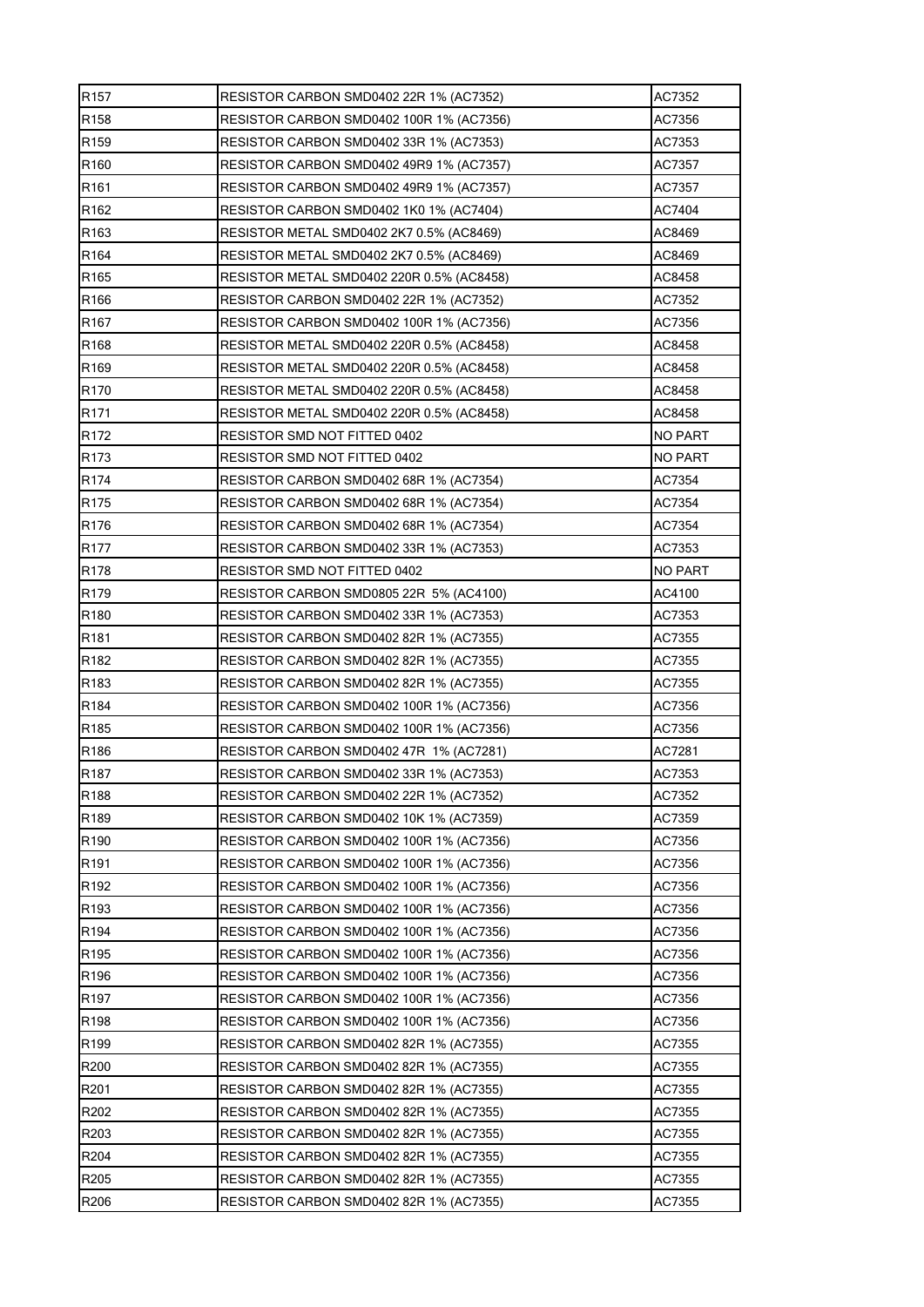| R <sub>157</sub> | RESISTOR CARBON SMD0402 22R 1% (AC7352)   | AC7352         |
|------------------|-------------------------------------------|----------------|
| R <sub>158</sub> | RESISTOR CARBON SMD0402 100R 1% (AC7356)  | AC7356         |
| R159             | RESISTOR CARBON SMD0402 33R 1% (AC7353)   | AC7353         |
| R <sub>160</sub> | RESISTOR CARBON SMD0402 49R9 1% (AC7357)  | AC7357         |
| R <sub>161</sub> | RESISTOR CARBON SMD0402 49R9 1% (AC7357)  | AC7357         |
| R <sub>162</sub> | RESISTOR CARBON SMD0402 1K0 1% (AC7404)   | AC7404         |
| R163             | RESISTOR METAL SMD0402 2K7 0.5% (AC8469)  | AC8469         |
| R <sub>164</sub> | RESISTOR METAL SMD0402 2K7 0.5% (AC8469)  | AC8469         |
| R165             | RESISTOR METAL SMD0402 220R 0.5% (AC8458) | AC8458         |
| R <sub>166</sub> | RESISTOR CARBON SMD0402 22R 1% (AC7352)   | AC7352         |
| R <sub>167</sub> | RESISTOR CARBON SMD0402 100R 1% (AC7356)  | AC7356         |
| R <sub>168</sub> | RESISTOR METAL SMD0402 220R 0.5% (AC8458) | AC8458         |
| R <sub>169</sub> | RESISTOR METAL SMD0402 220R 0.5% (AC8458) | AC8458         |
| R <sub>170</sub> | RESISTOR METAL SMD0402 220R 0.5% (AC8458) | AC8458         |
| R <sub>171</sub> | RESISTOR METAL SMD0402 220R 0.5% (AC8458) | AC8458         |
| R <sub>172</sub> | RESISTOR SMD NOT FITTED 0402              | <b>NO PART</b> |
| R <sub>173</sub> | RESISTOR SMD NOT FITTED 0402              | NO PART        |
| R <sub>174</sub> | RESISTOR CARBON SMD0402 68R 1% (AC7354)   | AC7354         |
| R <sub>175</sub> | RESISTOR CARBON SMD0402 68R 1% (AC7354)   | AC7354         |
| R <sub>176</sub> | RESISTOR CARBON SMD0402 68R 1% (AC7354)   | AC7354         |
| R <sub>177</sub> | RESISTOR CARBON SMD0402 33R 1% (AC7353)   | AC7353         |
| R <sub>178</sub> | RESISTOR SMD NOT FITTED 0402              | NO PART        |
| R <sub>179</sub> | RESISTOR CARBON SMD0805 22R 5% (AC4100)   | AC4100         |
| R <sub>180</sub> | RESISTOR CARBON SMD0402 33R 1% (AC7353)   | AC7353         |
| R <sub>181</sub> | RESISTOR CARBON SMD0402 82R 1% (AC7355)   | AC7355         |
| R <sub>182</sub> | RESISTOR CARBON SMD0402 82R 1% (AC7355)   | AC7355         |
| R <sub>183</sub> | RESISTOR CARBON SMD0402 82R 1% (AC7355)   | AC7355         |
| R184             | RESISTOR CARBON SMD0402 100R 1% (AC7356)  | AC7356         |
| R <sub>185</sub> | RESISTOR CARBON SMD0402 100R 1% (AC7356)  | AC7356         |
| R <sub>186</sub> | RESISTOR CARBON SMD0402 47R 1% (AC7281)   | AC7281         |
| R <sub>187</sub> | RESISTOR CARBON SMD0402 33R 1% (AC7353)   | AC7353         |
| R188             | RESISTOR CARBON SMD0402 22R 1% (AC7352)   | AC7352         |
| R189             | RESISTOR CARBON SMD0402 10K 1% (AC7359)   | AC7359         |
| R190             | RESISTOR CARBON SMD0402 100R 1% (AC7356)  | AC7356         |
| R <sub>191</sub> | RESISTOR CARBON SMD0402 100R 1% (AC7356)  | AC7356         |
| R <sub>192</sub> | RESISTOR CARBON SMD0402 100R 1% (AC7356)  | AC7356         |
| R <sub>193</sub> | RESISTOR CARBON SMD0402 100R 1% (AC7356)  | AC7356         |
| R194             | RESISTOR CARBON SMD0402 100R 1% (AC7356)  | AC7356         |
| R <sub>195</sub> | RESISTOR CARBON SMD0402 100R 1% (AC7356)  | AC7356         |
| R196             | RESISTOR CARBON SMD0402 100R 1% (AC7356)  | AC7356         |
| R197             | RESISTOR CARBON SMD0402 100R 1% (AC7356)  | AC7356         |
| R <sub>198</sub> | RESISTOR CARBON SMD0402 100R 1% (AC7356)  | AC7356         |
| R <sub>199</sub> | RESISTOR CARBON SMD0402 82R 1% (AC7355)   | AC7355         |
| R200             | RESISTOR CARBON SMD0402 82R 1% (AC7355)   | AC7355         |
| R201             | RESISTOR CARBON SMD0402 82R 1% (AC7355)   | AC7355         |
| R202             | RESISTOR CARBON SMD0402 82R 1% (AC7355)   | AC7355         |
| R203             | RESISTOR CARBON SMD0402 82R 1% (AC7355)   | AC7355         |
| R204             | RESISTOR CARBON SMD0402 82R 1% (AC7355)   | AC7355         |
| R205             | RESISTOR CARBON SMD0402 82R 1% (AC7355)   | AC7355         |
| R206             | RESISTOR CARBON SMD0402 82R 1% (AC7355)   | AC7355         |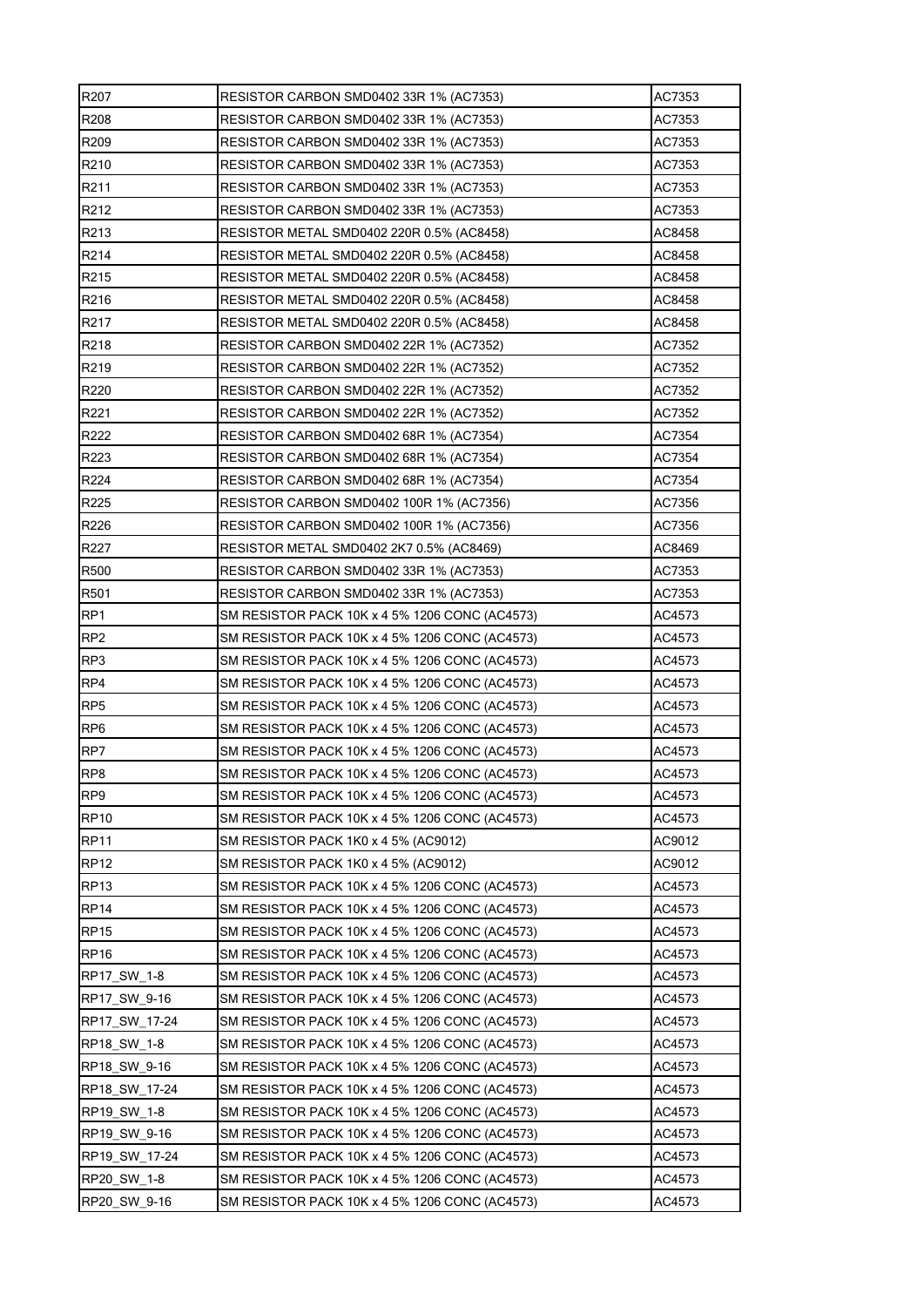| R207             | RESISTOR CARBON SMD0402 33R 1% (AC7353)        | AC7353 |
|------------------|------------------------------------------------|--------|
| R208             | RESISTOR CARBON SMD0402 33R 1% (AC7353)        | AC7353 |
| R209             | RESISTOR CARBON SMD0402 33R 1% (AC7353)        | AC7353 |
| R210             | RESISTOR CARBON SMD0402 33R 1% (AC7353)        | AC7353 |
| R <sub>211</sub> | RESISTOR CARBON SMD0402 33R 1% (AC7353)        | AC7353 |
| R212             | RESISTOR CARBON SMD0402 33R 1% (AC7353)        | AC7353 |
| R213             | RESISTOR METAL SMD0402 220R 0.5% (AC8458)      | AC8458 |
| R214             | RESISTOR METAL SMD0402 220R 0.5% (AC8458)      | AC8458 |
| R215             | RESISTOR METAL SMD0402 220R 0.5% (AC8458)      | AC8458 |
| R216             | RESISTOR METAL SMD0402 220R 0.5% (AC8458)      | AC8458 |
| R217             | RESISTOR METAL SMD0402 220R 0.5% (AC8458)      | AC8458 |
| R218             | RESISTOR CARBON SMD0402 22R 1% (AC7352)        | AC7352 |
| R219             | RESISTOR CARBON SMD0402 22R 1% (AC7352)        | AC7352 |
| R220             | RESISTOR CARBON SMD0402 22R 1% (AC7352)        | AC7352 |
| R221             | RESISTOR CARBON SMD0402 22R 1% (AC7352)        | AC7352 |
| R222             | RESISTOR CARBON SMD0402 68R 1% (AC7354)        | AC7354 |
| R223             | RESISTOR CARBON SMD0402 68R 1% (AC7354)        | AC7354 |
| R224             | RESISTOR CARBON SMD0402 68R 1% (AC7354)        | AC7354 |
| R225             | RESISTOR CARBON SMD0402 100R 1% (AC7356)       | AC7356 |
| R226             | RESISTOR CARBON SMD0402 100R 1% (AC7356)       | AC7356 |
| R227             | RESISTOR METAL SMD0402 2K7 0.5% (AC8469)       | AC8469 |
| R500             | RESISTOR CARBON SMD0402 33R 1% (AC7353)        | AC7353 |
| R501             | RESISTOR CARBON SMD0402 33R 1% (AC7353)        | AC7353 |
| RP <sub>1</sub>  | SM RESISTOR PACK 10K x 4 5% 1206 CONC (AC4573) | AC4573 |
| RP <sub>2</sub>  | SM RESISTOR PACK 10K x 4 5% 1206 CONC (AC4573) | AC4573 |
| RP3              | SM RESISTOR PACK 10K x 4 5% 1206 CONC (AC4573) | AC4573 |
| RP4              | SM RESISTOR PACK 10K x 4 5% 1206 CONC (AC4573) | AC4573 |
| RP <sub>5</sub>  | SM RESISTOR PACK 10K x 4 5% 1206 CONC (AC4573) | AC4573 |
| RP <sub>6</sub>  | SM RESISTOR PACK 10K x 4 5% 1206 CONC (AC4573) | AC4573 |
| RP7              | SM RESISTOR PACK 10K x 4 5% 1206 CONC (AC4573) | AC4573 |
| RP8              | SM RESISTOR PACK 10K x 4 5% 1206 CONC (AC4573) | AC4573 |
| RP <sub>9</sub>  | SM RESISTOR PACK 10K x 4 5% 1206 CONC (AC4573) | AC4573 |
| <b>RP10</b>      | SM RESISTOR PACK 10K x 4 5% 1206 CONC (AC4573) | AC4573 |
| <b>RP11</b>      | SM RESISTOR PACK 1K0 x 4 5% (AC9012)           | AC9012 |
| <b>RP12</b>      | SM RESISTOR PACK 1K0 x 4 5% (AC9012)           | AC9012 |
| <b>RP13</b>      | SM RESISTOR PACK 10K x 4 5% 1206 CONC (AC4573) | AC4573 |
| <b>RP14</b>      | SM RESISTOR PACK 10K x 4 5% 1206 CONC (AC4573) | AC4573 |
| <b>RP15</b>      | SM RESISTOR PACK 10K x 4 5% 1206 CONC (AC4573) | AC4573 |
| <b>RP16</b>      | SM RESISTOR PACK 10K x 4 5% 1206 CONC (AC4573) | AC4573 |
| RP17_SW_1-8      | SM RESISTOR PACK 10K x 4 5% 1206 CONC (AC4573) | AC4573 |
| RP17 SW 9-16     | SM RESISTOR PACK 10K x 4 5% 1206 CONC (AC4573) | AC4573 |
| RP17_SW_17-24    | SM RESISTOR PACK 10K x 4 5% 1206 CONC (AC4573) | AC4573 |
| RP18_SW_1-8      | SM RESISTOR PACK 10K x 4 5% 1206 CONC (AC4573) | AC4573 |
| RP18 SW 9-16     | SM RESISTOR PACK 10K x 4 5% 1206 CONC (AC4573) | AC4573 |
| RP18_SW_17-24    | SM RESISTOR PACK 10K x 4 5% 1206 CONC (AC4573) | AC4573 |
| RP19 SW 1-8      | SM RESISTOR PACK 10K x 4 5% 1206 CONC (AC4573) | AC4573 |
| RP19 SW 9-16     | SM RESISTOR PACK 10K x 4 5% 1206 CONC (AC4573) | AC4573 |
| RP19 SW 17-24    | SM RESISTOR PACK 10K x 4 5% 1206 CONC (AC4573) | AC4573 |
| RP20 SW 1-8      | SM RESISTOR PACK 10K x 4 5% 1206 CONC (AC4573) | AC4573 |
| RP20_SW_9-16     | SM RESISTOR PACK 10K x 4 5% 1206 CONC (AC4573) | AC4573 |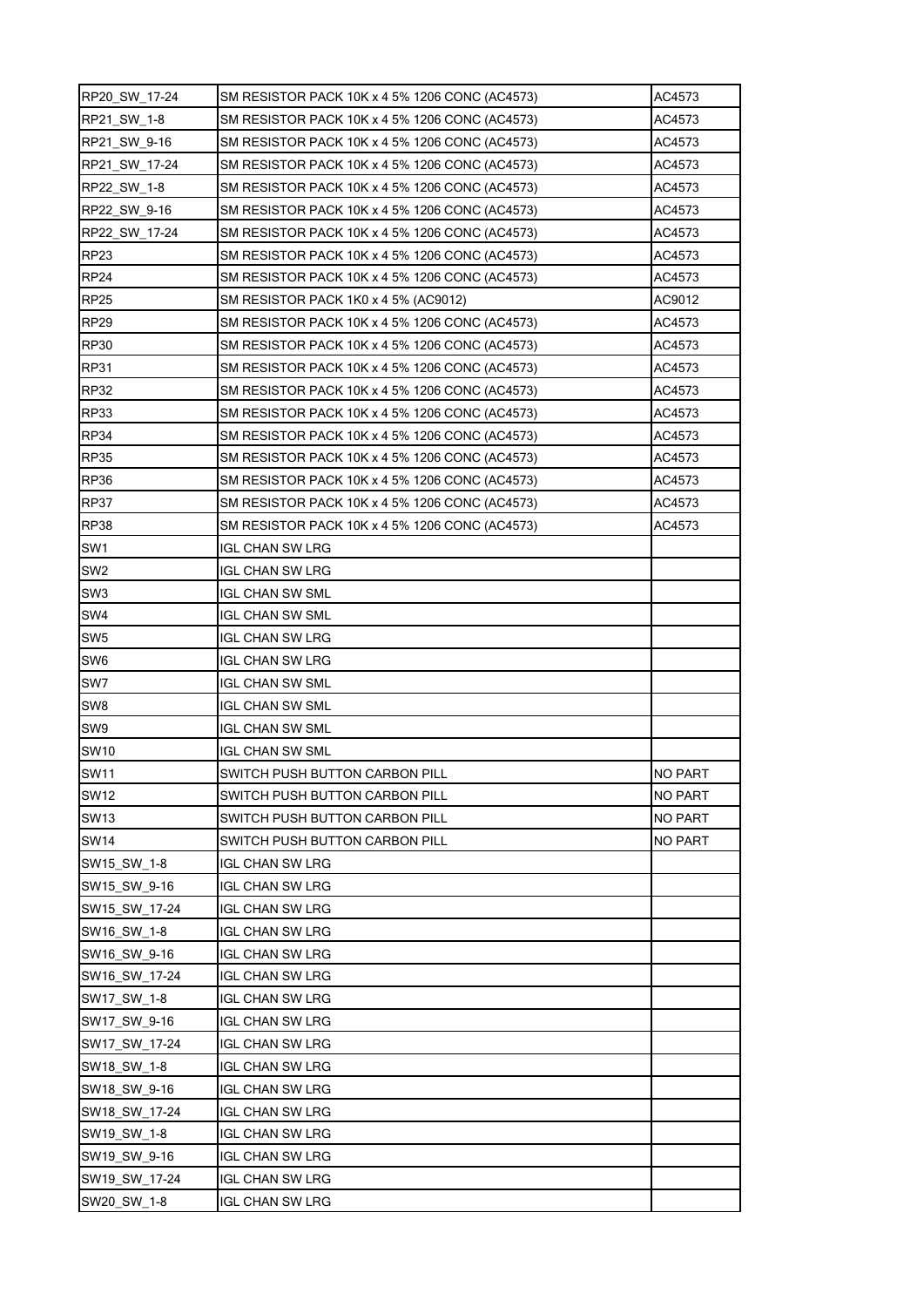| RP20_SW_17-24   | SM RESISTOR PACK 10K x 4 5% 1206 CONC (AC4573) | AC4573         |
|-----------------|------------------------------------------------|----------------|
| RP21 SW 1-8     | SM RESISTOR PACK 10K x 4 5% 1206 CONC (AC4573) | AC4573         |
| RP21 SW 9-16    | SM RESISTOR PACK 10K x 4 5% 1206 CONC (AC4573) | AC4573         |
| RP21 SW 17-24   | SM RESISTOR PACK 10K x 4 5% 1206 CONC (AC4573) | AC4573         |
| RP22 SW 1-8     | SM RESISTOR PACK 10K x 4 5% 1206 CONC (AC4573) | AC4573         |
| RP22 SW 9-16    | SM RESISTOR PACK 10K x 4 5% 1206 CONC (AC4573) | AC4573         |
| RP22 SW 17-24   | SM RESISTOR PACK 10K x 4 5% 1206 CONC (AC4573) | AC4573         |
| <b>RP23</b>     | SM RESISTOR PACK 10K x 4 5% 1206 CONC (AC4573) | AC4573         |
| <b>RP24</b>     | SM RESISTOR PACK 10K x 4 5% 1206 CONC (AC4573) | AC4573         |
| <b>RP25</b>     | SM RESISTOR PACK 1K0 x 4 5% (AC9012)           | AC9012         |
| <b>RP29</b>     | SM RESISTOR PACK 10K x 4 5% 1206 CONC (AC4573) | AC4573         |
| <b>RP30</b>     | SM RESISTOR PACK 10K x 4 5% 1206 CONC (AC4573) | AC4573         |
| <b>RP31</b>     | SM RESISTOR PACK 10K x 4 5% 1206 CONC (AC4573) | AC4573         |
| <b>RP32</b>     | SM RESISTOR PACK 10K x 4 5% 1206 CONC (AC4573) | AC4573         |
| <b>RP33</b>     | SM RESISTOR PACK 10K x 4 5% 1206 CONC (AC4573) | AC4573         |
| <b>RP34</b>     | SM RESISTOR PACK 10K x 4 5% 1206 CONC (AC4573) | AC4573         |
| <b>RP35</b>     | SM RESISTOR PACK 10K x 4 5% 1206 CONC (AC4573) | AC4573         |
| <b>RP36</b>     | SM RESISTOR PACK 10K x 4 5% 1206 CONC (AC4573) | AC4573         |
| <b>RP37</b>     | SM RESISTOR PACK 10K x 4 5% 1206 CONC (AC4573) | AC4573         |
| <b>RP38</b>     | SM RESISTOR PACK 10K x 4 5% 1206 CONC (AC4573) | AC4573         |
| SW <sub>1</sub> | IGL CHAN SW LRG                                |                |
| SW <sub>2</sub> | <b>IGL CHAN SW LRG</b>                         |                |
| SW <sub>3</sub> | <b>IGL CHAN SW SML</b>                         |                |
| SW <sub>4</sub> | IGL CHAN SW SML                                |                |
| SW <sub>5</sub> | IGL CHAN SW LRG                                |                |
| SW6             | <b>IGL CHAN SW LRG</b>                         |                |
| SW7             | IGL CHAN SW SML                                |                |
| SW <sub>8</sub> | IGL CHAN SW SML                                |                |
| SW9             | <b>IGL CHAN SW SML</b>                         |                |
| <b>SW10</b>     | IGL CHAN SW SML                                |                |
| <b>SW11</b>     | SWITCH PUSH BUTTON CARBON PILL                 | <b>NO PART</b> |
| <b>SW12</b>     | SWITCH PUSH BUTTON CARBON PILL                 | <b>NO PART</b> |
| <b>SW13</b>     | SWITCH PUSH BUTTON CARBON PILL                 | <b>NO PART</b> |
| <b>SW14</b>     | SWITCH PUSH BUTTON CARBON PILL                 | NO PART        |
| SW15_SW_1-8     | <b>IGL CHAN SW LRG</b>                         |                |
| SW15 SW 9-16    | <b>IGL CHAN SW LRG</b>                         |                |
| SW15 SW 17-24   | <b>IGL CHAN SW LRG</b>                         |                |
| SW16_SW_1-8     | <b>IGL CHAN SW LRG</b>                         |                |
| SW16_SW_9-16    | <b>IGL CHAN SW LRG</b>                         |                |
| SW16_SW_17-24   | IGL CHAN SW LRG                                |                |
| SW17_SW_1-8     | <b>IGL CHAN SW LRG</b>                         |                |
| SW17_SW_9-16    | <b>IGL CHAN SW LRG</b>                         |                |
| SW17_SW_17-24   | IGL CHAN SW LRG                                |                |
| SW18 SW 1-8     | IGL CHAN SW LRG                                |                |
| SW18_SW_9-16    | <b>IGL CHAN SW LRG</b>                         |                |
| SW18_SW_17-24   | IGL CHAN SW LRG                                |                |
| SW19_SW_1-8     | <b>IGL CHAN SW LRG</b>                         |                |
| SW19 SW 9-16    | <b>IGL CHAN SW LRG</b>                         |                |
| SW19_SW_17-24   | <b>IGL CHAN SW LRG</b>                         |                |
| SW20_SW_1-8     | <b>IGL CHAN SW LRG</b>                         |                |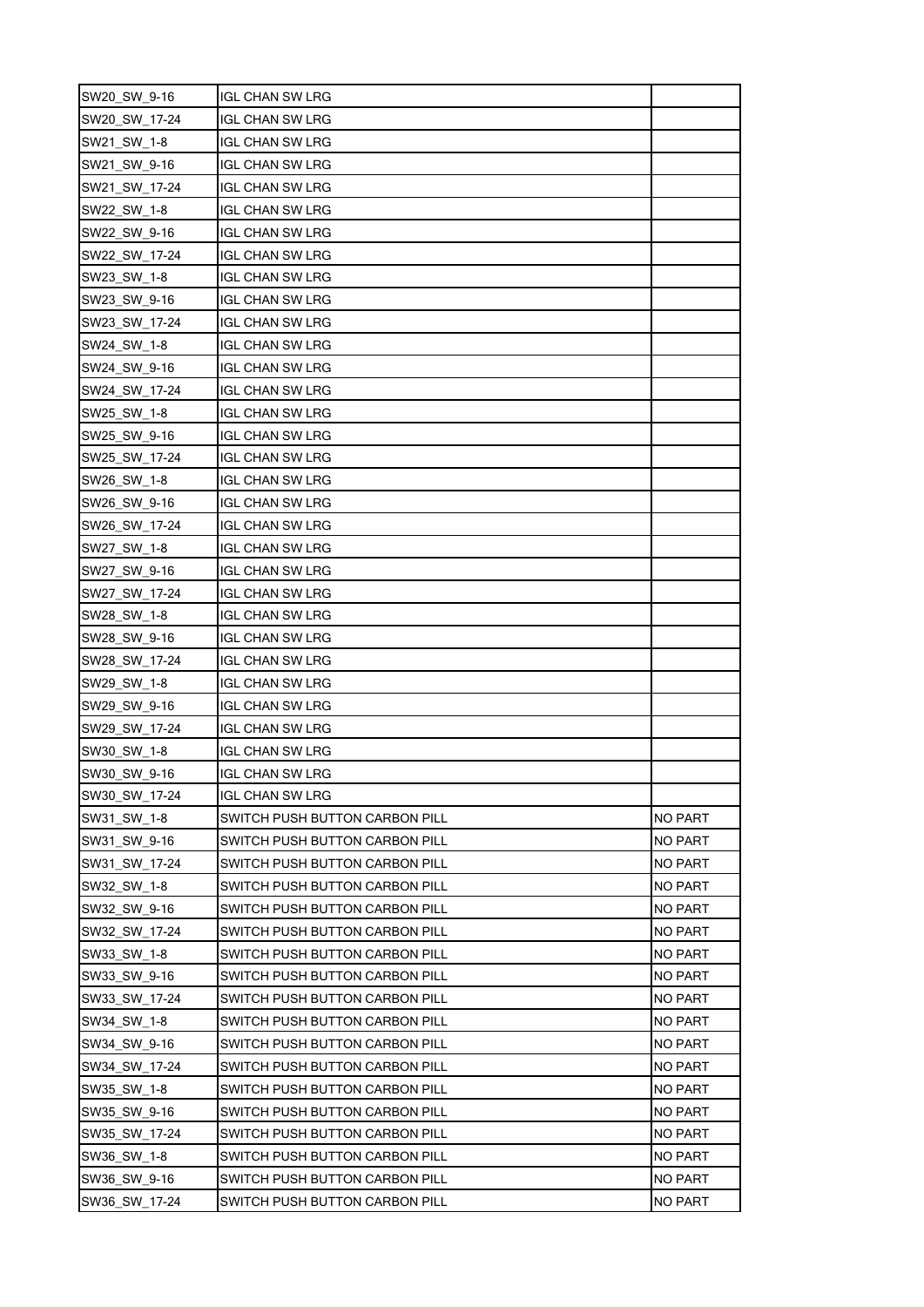| SW20_SW_9-16  | <b>IGL CHAN SW LRG</b>         |                |
|---------------|--------------------------------|----------------|
| SW20_SW_17-24 | <b>IGL CHAN SW LRG</b>         |                |
| SW21 SW 1-8   | IGL CHAN SW LRG                |                |
| SW21 SW 9-16  | <b>IGL CHAN SW LRG</b>         |                |
| SW21_SW_17-24 | IGL CHAN SW LRG                |                |
| SW22 SW 1-8   | <b>IGL CHAN SW LRG</b>         |                |
| SW22_SW_9-16  | IGL CHAN SW LRG                |                |
| SW22_SW_17-24 | <b>IGL CHAN SW LRG</b>         |                |
| SW23_SW_1-8   | <b>IGL CHAN SW LRG</b>         |                |
| SW23 SW 9-16  | IGL CHAN SW LRG                |                |
| SW23_SW_17-24 | <b>IGL CHAN SW LRG</b>         |                |
| SW24_SW_1-8   | <b>IGL CHAN SW LRG</b>         |                |
| SW24_SW_9-16  | IGL CHAN SW LRG                |                |
| SW24_SW_17-24 | IGL CHAN SW LRG                |                |
| SW25_SW_1-8   | IGL CHAN SW LRG                |                |
| SW25 SW 9-16  | IGL CHAN SW LRG                |                |
| SW25_SW_17-24 | IGL CHAN SW LRG                |                |
| SW26_SW_1-8   | <b>IGL CHAN SW LRG</b>         |                |
| SW26_SW_9-16  | IGL CHAN SW LRG                |                |
| SW26_SW_17-24 | IGL CHAN SW LRG                |                |
| SW27_SW_1-8   | <b>IGL CHAN SW LRG</b>         |                |
| SW27_SW_9-16  | IGL CHAN SW LRG                |                |
| SW27_SW_17-24 | IGL CHAN SW LRG                |                |
| SW28_SW_1-8   | IGL CHAN SW LRG                |                |
| SW28_SW_9-16  | <b>IGL CHAN SW LRG</b>         |                |
| SW28_SW_17-24 | IGL CHAN SW LRG                |                |
| SW29_SW_1-8   | IGL CHAN SW LRG                |                |
| SW29_SW_9-16  | IGL CHAN SW LRG                |                |
| SW29 SW 17-24 | IGL CHAN SW LRG                |                |
| SW30_SW_1-8   | <b>IGL CHAN SW LRG</b>         |                |
| SW30 SW 9-16  | <b>IGL CHAN SW LRG</b>         |                |
| SW30 SW 17-24 | <b>IGL CHAN SW LRG</b>         |                |
| SW31 SW 1-8   | SWITCH PUSH BUTTON CARBON PILL | NO PART        |
| SW31_SW_9-16  | SWITCH PUSH BUTTON CARBON PILL | NO PART        |
| SW31_SW_17-24 | SWITCH PUSH BUTTON CARBON PILL | NO PART        |
| SW32 SW 1-8   | SWITCH PUSH BUTTON CARBON PILL | NO PART        |
| SW32_SW_9-16  | SWITCH PUSH BUTTON CARBON PILL | NO PART        |
| SW32 SW 17-24 | SWITCH PUSH BUTTON CARBON PILL | NO PART        |
| SW33 SW 1-8   | SWITCH PUSH BUTTON CARBON PILL | NO PART        |
| SW33_SW_9-16  | SWITCH PUSH BUTTON CARBON PILL | NO PART        |
| SW33 SW 17-24 | SWITCH PUSH BUTTON CARBON PILL | NO PART        |
| SW34_SW_1-8   | SWITCH PUSH BUTTON CARBON PILL | NO PART        |
| SW34 SW 9-16  | SWITCH PUSH BUTTON CARBON PILL | <b>NO PART</b> |
| SW34 SW 17-24 | SWITCH PUSH BUTTON CARBON PILL | NO PART        |
| SW35 SW 1-8   | SWITCH PUSH BUTTON CARBON PILL | <b>NO PART</b> |
| SW35_SW_9-16  | SWITCH PUSH BUTTON CARBON PILL | <b>NO PART</b> |
| SW35_SW_17-24 | SWITCH PUSH BUTTON CARBON PILL | NO PART        |
| SW36 SW 1-8   | SWITCH PUSH BUTTON CARBON PILL | <b>NO PART</b> |
| SW36_SW_9-16  | SWITCH PUSH BUTTON CARBON PILL | NO PART        |
| SW36_SW_17-24 | SWITCH PUSH BUTTON CARBON PILL | NO PART        |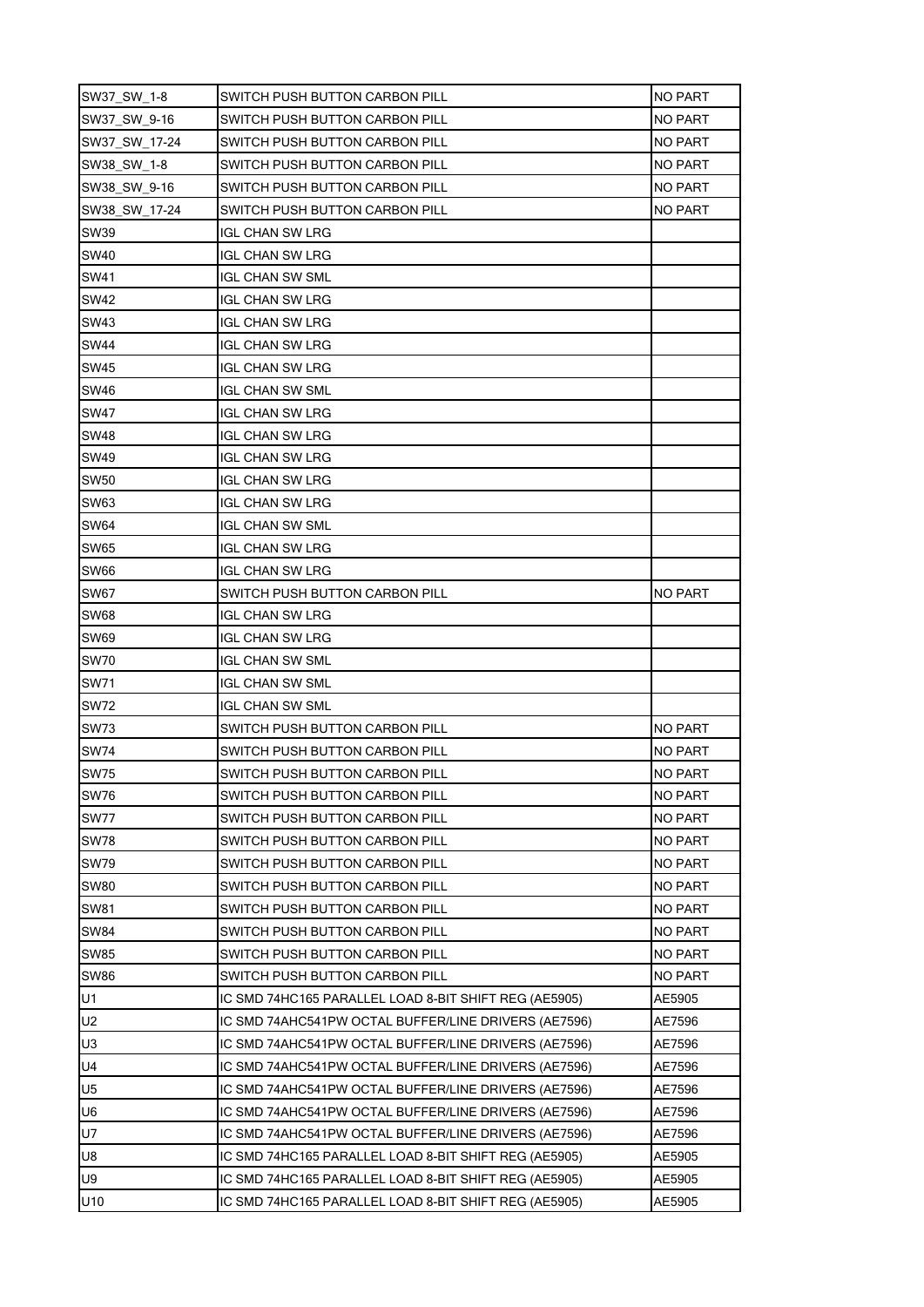| SW37_SW_1-8    | SWITCH PUSH BUTTON CARBON PILL                        | <b>NO PART</b> |
|----------------|-------------------------------------------------------|----------------|
| SW37_SW_9-16   | SWITCH PUSH BUTTON CARBON PILL                        | NO PART        |
| SW37 SW 17-24  | SWITCH PUSH BUTTON CARBON PILL                        | <b>NO PART</b> |
| SW38_SW_1-8    | SWITCH PUSH BUTTON CARBON PILL                        | NO PART        |
| SW38 SW 9-16   | SWITCH PUSH BUTTON CARBON PILL                        | <b>NO PART</b> |
| SW38 SW 17-24  | SWITCH PUSH BUTTON CARBON PILL                        | NO PART        |
| <b>SW39</b>    | IGL CHAN SW LRG                                       |                |
| SW40           | IGL CHAN SW LRG                                       |                |
| SW41           | IGL CHAN SW SML                                       |                |
| <b>SW42</b>    | <b>IGL CHAN SW LRG</b>                                |                |
| <b>SW43</b>    | IGL CHAN SW LRG                                       |                |
| <b>SW44</b>    | IGL CHAN SW LRG                                       |                |
| <b>SW45</b>    | IGL CHAN SW LRG                                       |                |
| <b>SW46</b>    | IGL CHAN SW SML                                       |                |
| <b>SW47</b>    | IGL CHAN SW LRG                                       |                |
| <b>SW48</b>    | IGL CHAN SW LRG                                       |                |
| <b>SW49</b>    | IGL CHAN SW LRG                                       |                |
| <b>SW50</b>    | <b>IGL CHAN SW LRG</b>                                |                |
| <b>SW63</b>    | IGL CHAN SW LRG                                       |                |
| <b>SW64</b>    | IGL CHAN SW SML                                       |                |
| <b>SW65</b>    | IGL CHAN SW LRG                                       |                |
| <b>SW66</b>    | IGL CHAN SW LRG                                       |                |
| <b>SW67</b>    | SWITCH PUSH BUTTON CARBON PILL                        | <b>NO PART</b> |
| SW68           | IGL CHAN SW LRG                                       |                |
| <b>SW69</b>    | IGL CHAN SW LRG                                       |                |
| <b>SW70</b>    | IGL CHAN SW SML                                       |                |
| SW71           | IGL CHAN SW SML                                       |                |
| <b>SW72</b>    | <b>IGL CHAN SW SML</b>                                |                |
| <b>SW73</b>    | SWITCH PUSH BUTTON CARBON PILL                        | <b>NO PART</b> |
| <b>SW74</b>    | SWITCH PUSH BUTTON CARBON PILL                        | NO PART        |
| <b>SW75</b>    | SWITCH PUSH BUTTON CARBON PILL                        | <b>NO PART</b> |
| <b>SW76</b>    | SWITCH PUSH BUTTON CARBON PILL                        | <b>NO PART</b> |
| <b>SW77</b>    | SWITCH PUSH BUTTON CARBON PILL                        | <b>NO PART</b> |
| <b>SW78</b>    | SWITCH PUSH BUTTON CARBON PILL                        | <b>NO PART</b> |
| <b>SW79</b>    | SWITCH PUSH BUTTON CARBON PILL                        | NO PART        |
| <b>SW80</b>    | SWITCH PUSH BUTTON CARBON PILL                        | <b>NO PART</b> |
| <b>SW81</b>    | SWITCH PUSH BUTTON CARBON PILL                        | <b>NO PART</b> |
| <b>SW84</b>    | SWITCH PUSH BUTTON CARBON PILL                        | <b>NO PART</b> |
| <b>SW85</b>    | SWITCH PUSH BUTTON CARBON PILL                        | NO PART        |
| <b>SW86</b>    | SWITCH PUSH BUTTON CARBON PILL                        | <b>NO PART</b> |
| U1             | IC SMD 74HC165 PARALLEL LOAD 8-BIT SHIFT REG (AE5905) | AE5905         |
| U <sub>2</sub> | IC SMD 74AHC541PW OCTAL BUFFER/LINE DRIVERS (AE7596)  | AE7596         |
| U <sub>3</sub> | IC SMD 74AHC541PW OCTAL BUFFER/LINE DRIVERS (AE7596)  | AE7596         |
| U <sub>4</sub> | IC SMD 74AHC541PW OCTAL BUFFER/LINE DRIVERS (AE7596)  | AE7596         |
| U <sub>5</sub> | IC SMD 74AHC541PW OCTAL BUFFER/LINE DRIVERS (AE7596)  | AE7596         |
| U <sub>6</sub> | IC SMD 74AHC541PW OCTAL BUFFER/LINE DRIVERS (AE7596)  | AE7596         |
| U7             | IC SMD 74AHC541PW OCTAL BUFFER/LINE DRIVERS (AE7596)  | AE7596         |
| U8             | IC SMD 74HC165 PARALLEL LOAD 8-BIT SHIFT REG (AE5905) | AE5905         |
| U9             | IC SMD 74HC165 PARALLEL LOAD 8-BIT SHIFT REG (AE5905) | AE5905         |
| U10            | IC SMD 74HC165 PARALLEL LOAD 8-BIT SHIFT REG (AE5905) | AE5905         |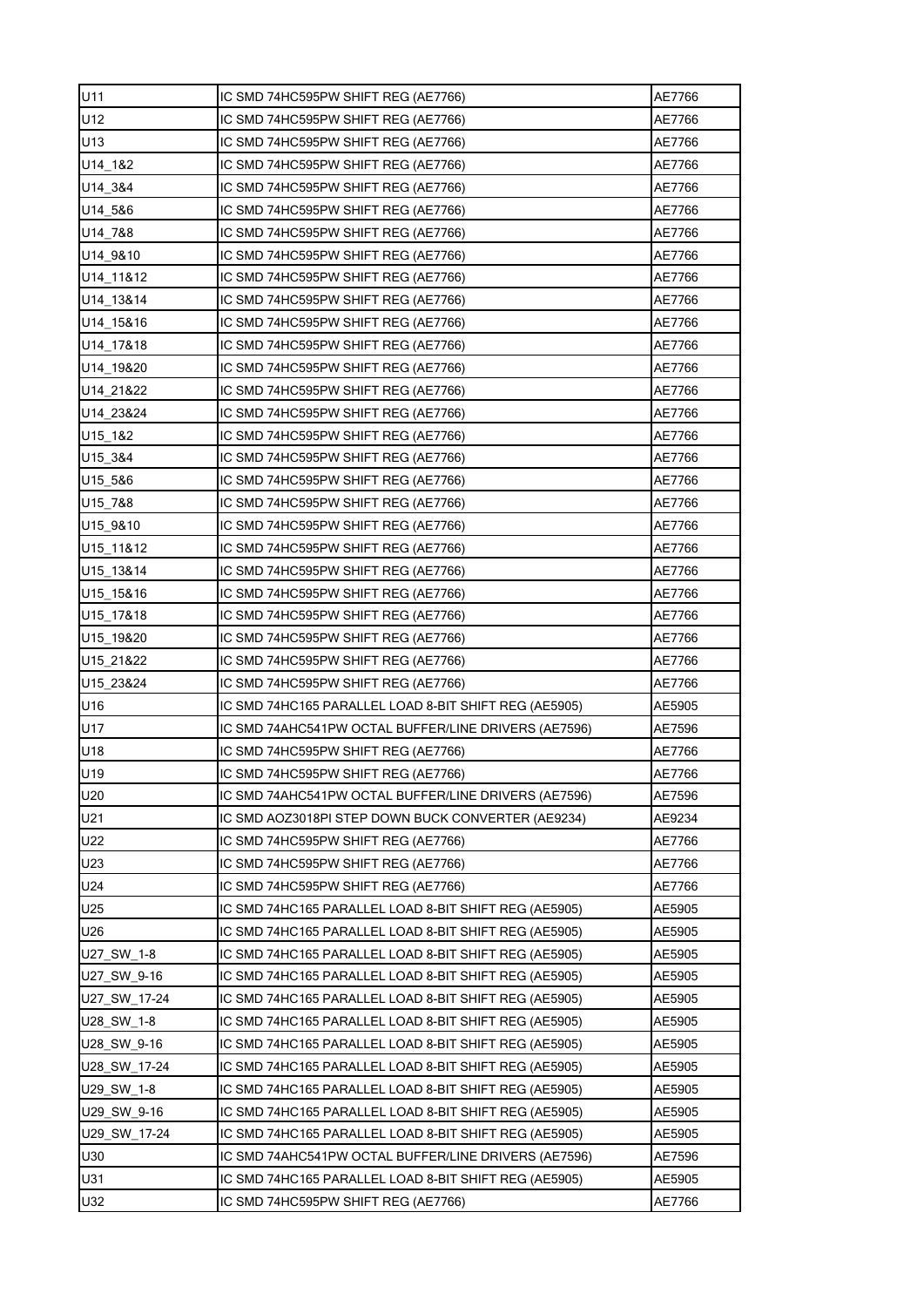| U11          | IC SMD 74HC595PW SHIFT REG (AE7766)                   | AE7766 |
|--------------|-------------------------------------------------------|--------|
| U12          | IC SMD 74HC595PW SHIFT REG (AE7766)                   | AE7766 |
| U13          | IC SMD 74HC595PW SHIFT REG (AE7766)                   | AE7766 |
| U14 1&2      | IC SMD 74HC595PW SHIFT REG (AE7766)                   | AE7766 |
| U14_3&4      | IC SMD 74HC595PW SHIFT REG (AE7766)                   | AE7766 |
| U14 5&6      | IC SMD 74HC595PW SHIFT REG (AE7766)                   | AE7766 |
| U14 7&8      | IC SMD 74HC595PW SHIFT REG (AE7766)                   | AE7766 |
| U14 9&10     | IC SMD 74HC595PW SHIFT REG (AE7766)                   | AE7766 |
| U14 11&12    | IC SMD 74HC595PW SHIFT REG (AE7766)                   | AE7766 |
| U14 13&14    | IC SMD 74HC595PW SHIFT REG (AE7766)                   | AE7766 |
| U14 15&16    | IC SMD 74HC595PW SHIFT REG (AE7766)                   | AE7766 |
| U14 17&18    | IC SMD 74HC595PW SHIFT REG (AE7766)                   | AE7766 |
| U14 19&20    | IC SMD 74HC595PW SHIFT REG (AE7766)                   | AE7766 |
| U14 21&22    | IC SMD 74HC595PW SHIFT REG (AE7766)                   | AE7766 |
| U14 23&24    | IC SMD 74HC595PW SHIFT REG (AE7766)                   | AE7766 |
| $U15 - 182$  | IC SMD 74HC595PW SHIFT REG (AE7766)                   | AE7766 |
| U15 3&4      | IC SMD 74HC595PW SHIFT REG (AE7766)                   | AE7766 |
| U15 5&6      | IC SMD 74HC595PW SHIFT REG (AE7766)                   | AE7766 |
| U15 7&8      | IC SMD 74HC595PW SHIFT REG (AE7766)                   | AE7766 |
| U15 9&10     | IC SMD 74HC595PW SHIFT REG (AE7766)                   | AE7766 |
| U15 11&12    | IC SMD 74HC595PW SHIFT REG (AE7766)                   | AE7766 |
| U15 13&14    | IC SMD 74HC595PW SHIFT REG (AE7766)                   | AE7766 |
| U15_15&16    | IC SMD 74HC595PW SHIFT REG (AE7766)                   | AE7766 |
| U15 17&18    | IC SMD 74HC595PW SHIFT REG (AE7766)                   | AE7766 |
| U15 19&20    | IC SMD 74HC595PW SHIFT REG (AE7766)                   | AE7766 |
| U15 21&22    | IC SMD 74HC595PW SHIFT REG (AE7766)                   | AE7766 |
| U15 23&24    | IC SMD 74HC595PW SHIFT REG (AE7766)                   | AE7766 |
| U16          | IC SMD 74HC165 PARALLEL LOAD 8-BIT SHIFT REG (AE5905) | AE5905 |
| U17          | IC SMD 74AHC541PW OCTAL BUFFER/LINE DRIVERS (AE7596)  | AE7596 |
| U18          | IC SMD 74HC595PW SHIFT REG (AE7766)                   | AE7766 |
| U19          | IC SMD 74HC595PW SHIFT REG (AE7766)                   | AE7766 |
| U20          | IC SMD 74AHC541PW OCTAL BUFFER/LINE DRIVERS (AE7596)  | AE7596 |
| U21          | IC SMD AOZ3018PI STEP DOWN BUCK CONVERTER (AE9234)    | AE9234 |
| U22          | IC SMD 74HC595PW SHIFT REG (AE7766)                   | AE7766 |
| U23          | IC SMD 74HC595PW SHIFT REG (AE7766)                   | AE7766 |
| U24          | IC SMD 74HC595PW SHIFT REG (AE7766)                   | AE7766 |
| U25          | IC SMD 74HC165 PARALLEL LOAD 8-BIT SHIFT REG (AE5905) | AE5905 |
| U26          | IC SMD 74HC165 PARALLEL LOAD 8-BIT SHIFT REG (AE5905) | AE5905 |
| U27_SW_1-8   | IC SMD 74HC165 PARALLEL LOAD 8-BIT SHIFT REG (AE5905) | AE5905 |
| U27_SW_9-16  | IC SMD 74HC165 PARALLEL LOAD 8-BIT SHIFT REG (AE5905) | AE5905 |
| U27 SW 17-24 | IC SMD 74HC165 PARALLEL LOAD 8-BIT SHIFT REG (AE5905) | AE5905 |
| U28_SW_1-8   | IC SMD 74HC165 PARALLEL LOAD 8-BIT SHIFT REG (AE5905) | AE5905 |
| U28 SW 9-16  | IC SMD 74HC165 PARALLEL LOAD 8-BIT SHIFT REG (AE5905) | AE5905 |
| U28_SW_17-24 | IC SMD 74HC165 PARALLEL LOAD 8-BIT SHIFT REG (AE5905) | AE5905 |
| U29_SW_1-8   | IC SMD 74HC165 PARALLEL LOAD 8-BIT SHIFT REG (AE5905) | AE5905 |
| U29_SW_9-16  | IC SMD 74HC165 PARALLEL LOAD 8-BIT SHIFT REG (AE5905) | AE5905 |
| U29 SW 17-24 | IC SMD 74HC165 PARALLEL LOAD 8-BIT SHIFT REG (AE5905) | AE5905 |
| U30          | IC SMD 74AHC541PW OCTAL BUFFER/LINE DRIVERS (AE7596)  | AE7596 |
| U31          | IC SMD 74HC165 PARALLEL LOAD 8-BIT SHIFT REG (AE5905) | AE5905 |
| U32          | IC SMD 74HC595PW SHIFT REG (AE7766)                   | AE7766 |